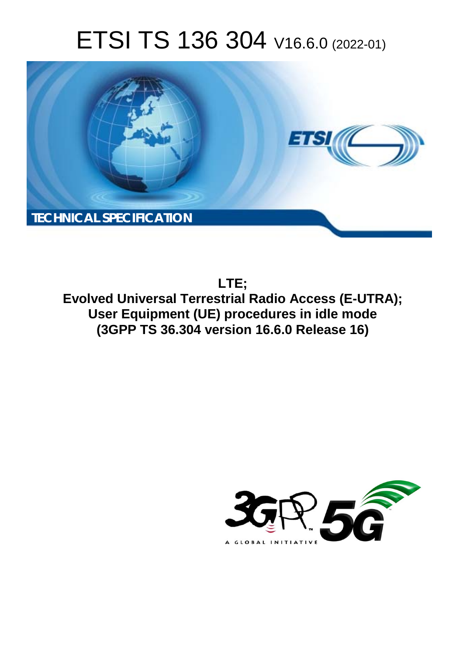# ETSI TS 136 304 V16.6.0 (2022-01)



**LTE; Evolved Universal Terrestrial Radio Access (E-UTRA); User Equipment (UE) procedures in idle mode (3GPP TS 36.304 version 16.6.0 Release 16)** 

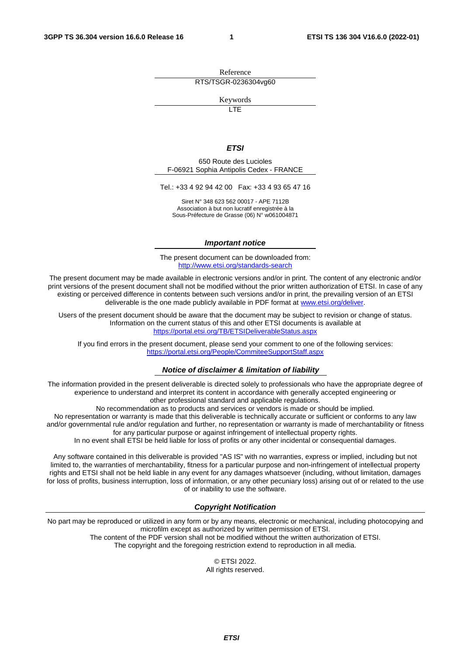Reference RTS/TSGR-0236304vg60

Keywords

**LTE** 

#### *ETSI*

650 Route des Lucioles F-06921 Sophia Antipolis Cedex - FRANCE

Tel.: +33 4 92 94 42 00 Fax: +33 4 93 65 47 16

Siret N° 348 623 562 00017 - APE 7112B Association à but non lucratif enregistrée à la Sous-Préfecture de Grasse (06) N° w061004871

#### *Important notice*

The present document can be downloaded from: <http://www.etsi.org/standards-search>

The present document may be made available in electronic versions and/or in print. The content of any electronic and/or print versions of the present document shall not be modified without the prior written authorization of ETSI. In case of any existing or perceived difference in contents between such versions and/or in print, the prevailing version of an ETSI deliverable is the one made publicly available in PDF format at [www.etsi.org/deliver](http://www.etsi.org/deliver).

Users of the present document should be aware that the document may be subject to revision or change of status. Information on the current status of this and other ETSI documents is available at <https://portal.etsi.org/TB/ETSIDeliverableStatus.aspx>

If you find errors in the present document, please send your comment to one of the following services: <https://portal.etsi.org/People/CommiteeSupportStaff.aspx>

#### *Notice of disclaimer & limitation of liability*

The information provided in the present deliverable is directed solely to professionals who have the appropriate degree of experience to understand and interpret its content in accordance with generally accepted engineering or other professional standard and applicable regulations.

No recommendation as to products and services or vendors is made or should be implied.

No representation or warranty is made that this deliverable is technically accurate or sufficient or conforms to any law and/or governmental rule and/or regulation and further, no representation or warranty is made of merchantability or fitness for any particular purpose or against infringement of intellectual property rights.

In no event shall ETSI be held liable for loss of profits or any other incidental or consequential damages.

Any software contained in this deliverable is provided "AS IS" with no warranties, express or implied, including but not limited to, the warranties of merchantability, fitness for a particular purpose and non-infringement of intellectual property rights and ETSI shall not be held liable in any event for any damages whatsoever (including, without limitation, damages for loss of profits, business interruption, loss of information, or any other pecuniary loss) arising out of or related to the use of or inability to use the software.

#### *Copyright Notification*

No part may be reproduced or utilized in any form or by any means, electronic or mechanical, including photocopying and microfilm except as authorized by written permission of ETSI. The content of the PDF version shall not be modified without the written authorization of ETSI.

The copyright and the foregoing restriction extend to reproduction in all media.

© ETSI 2022. All rights reserved.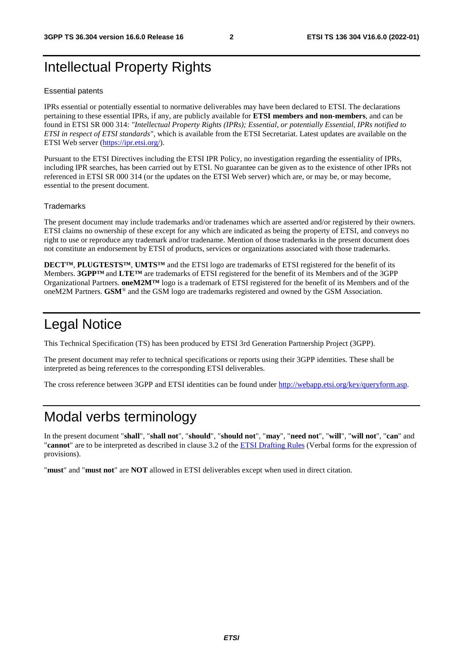## Intellectual Property Rights

#### Essential patents

IPRs essential or potentially essential to normative deliverables may have been declared to ETSI. The declarations pertaining to these essential IPRs, if any, are publicly available for **ETSI members and non-members**, and can be found in ETSI SR 000 314: *"Intellectual Property Rights (IPRs); Essential, or potentially Essential, IPRs notified to ETSI in respect of ETSI standards"*, which is available from the ETSI Secretariat. Latest updates are available on the ETSI Web server ([https://ipr.etsi.org/\)](https://ipr.etsi.org/).

Pursuant to the ETSI Directives including the ETSI IPR Policy, no investigation regarding the essentiality of IPRs, including IPR searches, has been carried out by ETSI. No guarantee can be given as to the existence of other IPRs not referenced in ETSI SR 000 314 (or the updates on the ETSI Web server) which are, or may be, or may become, essential to the present document.

#### **Trademarks**

The present document may include trademarks and/or tradenames which are asserted and/or registered by their owners. ETSI claims no ownership of these except for any which are indicated as being the property of ETSI, and conveys no right to use or reproduce any trademark and/or tradename. Mention of those trademarks in the present document does not constitute an endorsement by ETSI of products, services or organizations associated with those trademarks.

**DECT™**, **PLUGTESTS™**, **UMTS™** and the ETSI logo are trademarks of ETSI registered for the benefit of its Members. **3GPP™** and **LTE™** are trademarks of ETSI registered for the benefit of its Members and of the 3GPP Organizational Partners. **oneM2M™** logo is a trademark of ETSI registered for the benefit of its Members and of the oneM2M Partners. **GSM**® and the GSM logo are trademarks registered and owned by the GSM Association.

## Legal Notice

This Technical Specification (TS) has been produced by ETSI 3rd Generation Partnership Project (3GPP).

The present document may refer to technical specifications or reports using their 3GPP identities. These shall be interpreted as being references to the corresponding ETSI deliverables.

The cross reference between 3GPP and ETSI identities can be found under<http://webapp.etsi.org/key/queryform.asp>.

## Modal verbs terminology

In the present document "**shall**", "**shall not**", "**should**", "**should not**", "**may**", "**need not**", "**will**", "**will not**", "**can**" and "**cannot**" are to be interpreted as described in clause 3.2 of the [ETSI Drafting Rules](https://portal.etsi.org/Services/editHelp!/Howtostart/ETSIDraftingRules.aspx) (Verbal forms for the expression of provisions).

"**must**" and "**must not**" are **NOT** allowed in ETSI deliverables except when used in direct citation.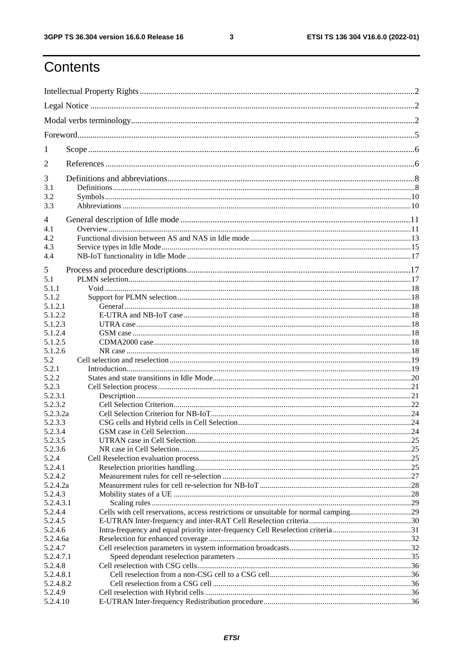$\mathbf{3}$ 

## Contents

| 1                    |                                                                                      |     |  |
|----------------------|--------------------------------------------------------------------------------------|-----|--|
| 2                    |                                                                                      |     |  |
| 3                    |                                                                                      |     |  |
| 3.1<br>3.2           |                                                                                      |     |  |
| 3.3                  |                                                                                      |     |  |
| 4                    |                                                                                      |     |  |
| 4.1                  |                                                                                      |     |  |
| 4.2                  |                                                                                      |     |  |
| 4.3                  |                                                                                      |     |  |
| 4.4                  |                                                                                      |     |  |
| 5                    |                                                                                      |     |  |
| 5.1                  |                                                                                      |     |  |
| 5.1.1                |                                                                                      |     |  |
| 5.1.2                |                                                                                      |     |  |
| 5.1.2.1              |                                                                                      |     |  |
| 5.1.2.2              |                                                                                      |     |  |
| 5.1.2.3              |                                                                                      |     |  |
| 5.1.2.4              |                                                                                      |     |  |
| 5.1.2.5              |                                                                                      |     |  |
| 5.1.2.6              |                                                                                      |     |  |
| 5.2                  |                                                                                      |     |  |
| 5.2.1                |                                                                                      |     |  |
| 5.2.2<br>5.2.3       |                                                                                      |     |  |
| 5.2.3.1              |                                                                                      |     |  |
| 5.2.3.2              |                                                                                      |     |  |
| 5.2.3.2a             |                                                                                      |     |  |
| 5.2.3.3              |                                                                                      |     |  |
| 5.2.3.4              | GSM case in Cell Selection.                                                          | .24 |  |
| 5.2.3.5              |                                                                                      |     |  |
| 5.2.3.6              |                                                                                      |     |  |
| 5.2.4                |                                                                                      |     |  |
| 5.2.4.1              |                                                                                      |     |  |
| 5.2.4.2              |                                                                                      |     |  |
| 5.2.4.2a             |                                                                                      |     |  |
| 5.2.4.3              |                                                                                      |     |  |
| 5.2.4.3.1            |                                                                                      |     |  |
| 5.2.4.4              | Cells with cell reservations, access restrictions or unsuitable for normal camping29 |     |  |
| 5.2.4.5              |                                                                                      |     |  |
| 5.2.4.6              | Intra-frequency and equal priority inter-frequency Cell Reselection criteria31       |     |  |
| 5.2.4.6a             |                                                                                      |     |  |
| 5.2.4.7<br>5.2.4.7.1 |                                                                                      |     |  |
| 5.2.4.8              |                                                                                      |     |  |
| 5.2.4.8.1            |                                                                                      |     |  |
| 5.2.4.8.2            |                                                                                      |     |  |
| 5.2.4.9              |                                                                                      |     |  |
| 5.2.4.10             |                                                                                      |     |  |
|                      |                                                                                      |     |  |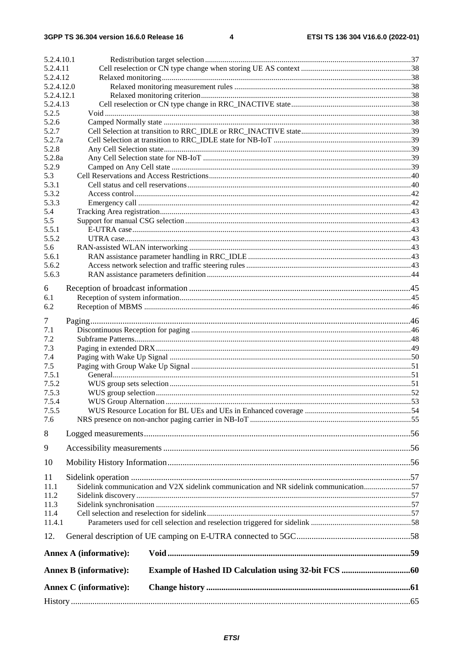| 5.2.4.10.1               |                                                                                       |  |
|--------------------------|---------------------------------------------------------------------------------------|--|
| 5.2.4.11                 |                                                                                       |  |
| 5.2.4.12                 |                                                                                       |  |
| 5.2.4.12.0<br>5.2.4.12.1 |                                                                                       |  |
| 5.2.4.13                 |                                                                                       |  |
| 5.2.5                    |                                                                                       |  |
| 5.2.6                    |                                                                                       |  |
| 5.2.7                    |                                                                                       |  |
| 5.2.7a                   |                                                                                       |  |
| 5.2.8                    |                                                                                       |  |
| 5.2.8a                   |                                                                                       |  |
| 5.2.9                    |                                                                                       |  |
| 5.3                      |                                                                                       |  |
| 5.3.1                    |                                                                                       |  |
| 5.3.2                    |                                                                                       |  |
| 5.3.3                    |                                                                                       |  |
| 5.4                      |                                                                                       |  |
| 5.5                      |                                                                                       |  |
| 5.5.1<br>5.5.2           |                                                                                       |  |
| 5.6                      |                                                                                       |  |
| 5.6.1                    |                                                                                       |  |
| 5.6.2                    |                                                                                       |  |
| 5.6.3                    |                                                                                       |  |
|                          |                                                                                       |  |
| 6                        |                                                                                       |  |
| 6.1                      |                                                                                       |  |
| 6.2                      |                                                                                       |  |
| 7                        |                                                                                       |  |
| 7.1                      |                                                                                       |  |
| 7.2                      |                                                                                       |  |
| 7.3                      |                                                                                       |  |
| 7.4                      |                                                                                       |  |
| 7.5                      |                                                                                       |  |
| 7.5.1                    |                                                                                       |  |
| 7.5.2                    |                                                                                       |  |
| 7.5.3                    |                                                                                       |  |
| 7.5.4                    |                                                                                       |  |
| 7.5.5                    |                                                                                       |  |
| 7.6                      |                                                                                       |  |
| 8                        |                                                                                       |  |
| 9                        |                                                                                       |  |
| 10                       |                                                                                       |  |
|                          |                                                                                       |  |
| 11                       |                                                                                       |  |
| 11.1                     | Sidelink communication and V2X sidelink communication and NR sidelink communication57 |  |
| 11.2<br>11.3             |                                                                                       |  |
| 11.4                     |                                                                                       |  |
| 11.4.1                   |                                                                                       |  |
|                          |                                                                                       |  |
| 12.                      |                                                                                       |  |
|                          | <b>Annex A (informative):</b>                                                         |  |
|                          | <b>Annex B</b> (informative):                                                         |  |
|                          | <b>Annex C</b> (informative):                                                         |  |
|                          |                                                                                       |  |
|                          |                                                                                       |  |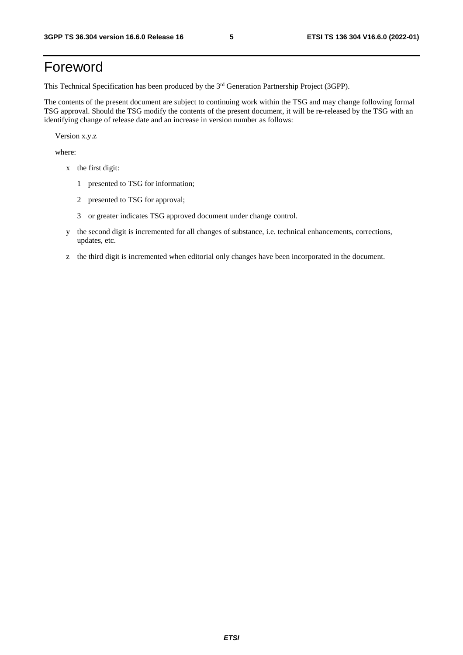## Foreword

This Technical Specification has been produced by the 3<sup>rd</sup> Generation Partnership Project (3GPP).

The contents of the present document are subject to continuing work within the TSG and may change following formal TSG approval. Should the TSG modify the contents of the present document, it will be re-released by the TSG with an identifying change of release date and an increase in version number as follows:

Version x.y.z

where:

- x the first digit:
	- 1 presented to TSG for information;
	- 2 presented to TSG for approval;
	- 3 or greater indicates TSG approved document under change control.
- y the second digit is incremented for all changes of substance, i.e. technical enhancements, corrections, updates, etc.
- z the third digit is incremented when editorial only changes have been incorporated in the document.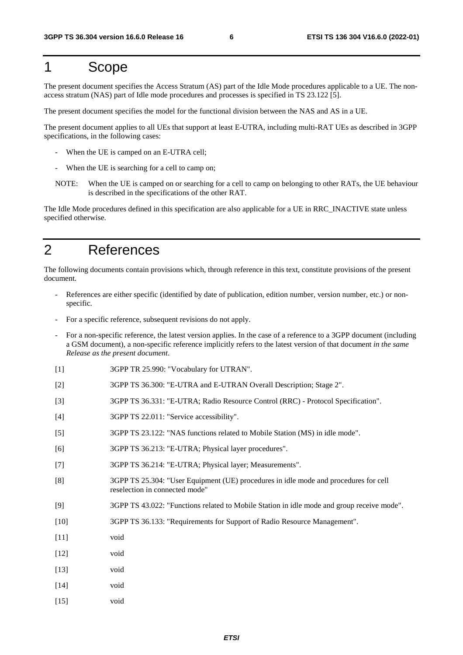## 1 Scope

The present document specifies the Access Stratum (AS) part of the Idle Mode procedures applicable to a UE. The nonaccess stratum (NAS) part of Idle mode procedures and processes is specified in TS 23.122 [5].

The present document specifies the model for the functional division between the NAS and AS in a UE.

The present document applies to all UEs that support at least E-UTRA, including multi-RAT UEs as described in 3GPP specifications, in the following cases:

- When the UE is camped on an E-UTRA cell;
- When the UE is searching for a cell to camp on:
- NOTE: When the UE is camped on or searching for a cell to camp on belonging to other RATs, the UE behaviour is described in the specifications of the other RAT.

The Idle Mode procedures defined in this specification are also applicable for a UE in RRC\_INACTIVE state unless specified otherwise.

## 2 References

The following documents contain provisions which, through reference in this text, constitute provisions of the present document.

- References are either specific (identified by date of publication, edition number, version number, etc.) or nonspecific.
- For a specific reference, subsequent revisions do not apply.
- For a non-specific reference, the latest version applies. In the case of a reference to a 3GPP document (including a GSM document), a non-specific reference implicitly refers to the latest version of that document *in the same Release as the present document*.
- [1] 3GPP TR 25.990: "Vocabulary for UTRAN".
- [2] 3GPP TS 36.300: "E-UTRA and E-UTRAN Overall Description; Stage 2".
- [3] 3GPP TS 36.331: "E-UTRA; Radio Resource Control (RRC) Protocol Specification".
- [4] 3GPP TS 22.011: "Service accessibility".
- [5] 3GPP TS 23.122: "NAS functions related to Mobile Station (MS) in idle mode".
- [6] 3GPP TS 36.213: "E-UTRA; Physical layer procedures".
- [7] 3GPP TS 36.214: "E-UTRA; Physical layer; Measurements".
- [8] 3GPP TS 25.304: "User Equipment (UE) procedures in idle mode and procedures for cell reselection in connected mode"
- [9] 3GPP TS 43.022: "Functions related to Mobile Station in idle mode and group receive mode".
- [10] 3GPP TS 36.133: "Requirements for Support of Radio Resource Management".
- [11] void
- [12] void
- [13] void
- [14] void
- [15] void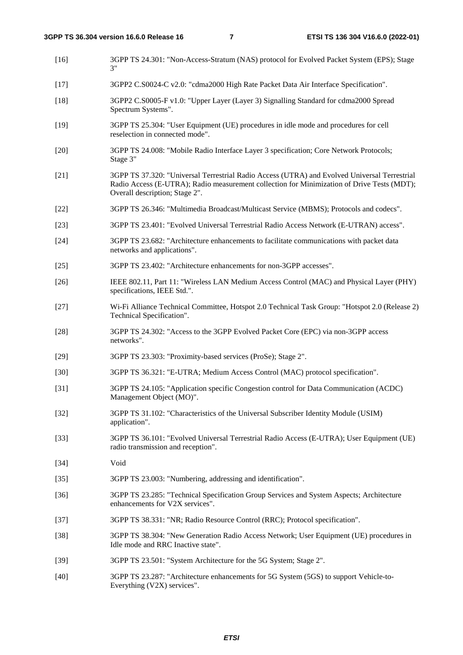| $[16]$ | 3GPP TS 24.301: "Non-Access-Stratum (NAS) protocol for Evolved Packet System (EPS); Stage<br>3"                                                                                                                              |
|--------|------------------------------------------------------------------------------------------------------------------------------------------------------------------------------------------------------------------------------|
| $[17]$ | 3GPP2 C.S0024-C v2.0: "cdma2000 High Rate Packet Data Air Interface Specification".                                                                                                                                          |
| $[18]$ | 3GPP2 C.S0005-F v1.0: "Upper Layer (Layer 3) Signalling Standard for cdma2000 Spread<br>Spectrum Systems".                                                                                                                   |
| $[19]$ | 3GPP TS 25.304: "User Equipment (UE) procedures in idle mode and procedures for cell<br>reselection in connected mode".                                                                                                      |
| $[20]$ | 3GPP TS 24.008: "Mobile Radio Interface Layer 3 specification; Core Network Protocols;<br>Stage 3"                                                                                                                           |
| $[21]$ | 3GPP TS 37.320: "Universal Terrestrial Radio Access (UTRA) and Evolved Universal Terrestrial<br>Radio Access (E-UTRA); Radio measurement collection for Minimization of Drive Tests (MDT);<br>Overall description; Stage 2". |
| $[22]$ | 3GPP TS 26.346: "Multimedia Broadcast/Multicast Service (MBMS); Protocols and codecs".                                                                                                                                       |
| $[23]$ | 3GPP TS 23.401: "Evolved Universal Terrestrial Radio Access Network (E-UTRAN) access".                                                                                                                                       |
| $[24]$ | 3GPP TS 23.682: "Architecture enhancements to facilitate communications with packet data<br>networks and applications".                                                                                                      |
| $[25]$ | 3GPP TS 23.402: "Architecture enhancements for non-3GPP accesses".                                                                                                                                                           |
| $[26]$ | IEEE 802.11, Part 11: "Wireless LAN Medium Access Control (MAC) and Physical Layer (PHY)<br>specifications, IEEE Std.".                                                                                                      |
| $[27]$ | Wi-Fi Alliance Technical Committee, Hotspot 2.0 Technical Task Group: "Hotspot 2.0 (Release 2)<br>Technical Specification".                                                                                                  |
| $[28]$ | 3GPP TS 24.302: "Access to the 3GPP Evolved Packet Core (EPC) via non-3GPP access<br>networks".                                                                                                                              |
| $[29]$ | 3GPP TS 23.303: "Proximity-based services (ProSe); Stage 2".                                                                                                                                                                 |
| $[30]$ | 3GPP TS 36.321: "E-UTRA; Medium Access Control (MAC) protocol specification".                                                                                                                                                |
| $[31]$ | 3GPP TS 24.105: "Application specific Congestion control for Data Communication (ACDC)<br>Management Object (MO)".                                                                                                           |
| $[32]$ | 3GPP TS 31.102: "Characteristics of the Universal Subscriber Identity Module (USIM)<br>application".                                                                                                                         |
| $[33]$ | 3GPP TS 36.101: "Evolved Universal Terrestrial Radio Access (E-UTRA); User Equipment (UE)<br>radio transmission and reception".                                                                                              |
| $[34]$ | Void                                                                                                                                                                                                                         |
| $[35]$ | 3GPP TS 23.003: "Numbering, addressing and identification".                                                                                                                                                                  |
| $[36]$ | 3GPP TS 23.285: "Technical Specification Group Services and System Aspects; Architecture<br>enhancements for V2X services".                                                                                                  |
| $[37]$ | 3GPP TS 38.331: "NR; Radio Resource Control (RRC); Protocol specification".                                                                                                                                                  |
| $[38]$ | 3GPP TS 38.304: "New Generation Radio Access Network; User Equipment (UE) procedures in<br>Idle mode and RRC Inactive state".                                                                                                |
| $[39]$ | 3GPP TS 23.501: "System Architecture for the 5G System; Stage 2".                                                                                                                                                            |

[40] 3GPP TS 23.287: "Architecture enhancements for 5G System (5GS) to support Vehicle-to-Everything (V2X) services".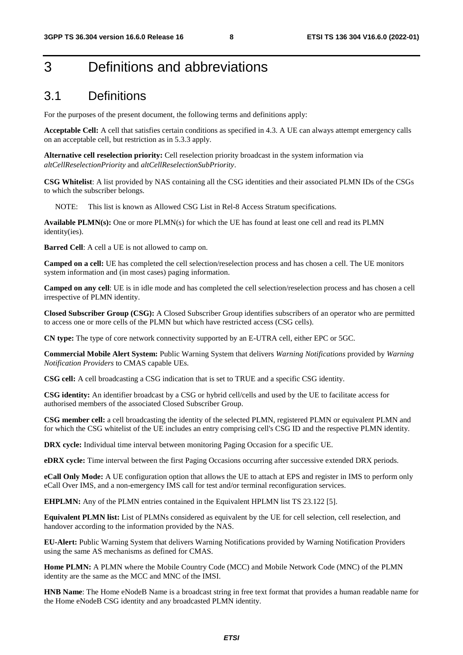## 3 Definitions and abbreviations

## 3.1 Definitions

For the purposes of the present document, the following terms and definitions apply:

**Acceptable Cell:** A cell that satisfies certain conditions as specified in 4.3. A UE can always attempt emergency calls on an acceptable cell, but restriction as in 5.3.3 apply.

**Alternative cell reselection priority:** Cell reselection priority broadcast in the system information via *altCellReselectionPriority* and *altCellReselectionSubPriority*.

**CSG Whitelist**: A list provided by NAS containing all the CSG identities and their associated PLMN IDs of the CSGs to which the subscriber belongs.

NOTE: This list is known as Allowed CSG List in Rel-8 Access Stratum specifications.

**Available PLMN(s):** One or more PLMN(s) for which the UE has found at least one cell and read its PLMN identity(ies).

**Barred Cell**: A cell a UE is not allowed to camp on.

**Camped on a cell:** UE has completed the cell selection/reselection process and has chosen a cell. The UE monitors system information and (in most cases) paging information.

**Camped on any cell**: UE is in idle mode and has completed the cell selection/reselection process and has chosen a cell irrespective of PLMN identity.

**Closed Subscriber Group (CSG):** A Closed Subscriber Group identifies subscribers of an operator who are permitted to access one or more cells of the PLMN but which have restricted access (CSG cells).

**CN type:** The type of core network connectivity supported by an E-UTRA cell, either EPC or 5GC.

**Commercial Mobile Alert System:** Public Warning System that delivers *Warning Notifications* provided by *Warning Notification Providers* to CMAS capable UEs.

**CSG cell:** A cell broadcasting a CSG indication that is set to TRUE and a specific CSG identity.

**CSG identity:** An identifier broadcast by a CSG or hybrid cell/cells and used by the UE to facilitate access for authorised members of the associated Closed Subscriber Group.

**CSG member cell:** a cell broadcasting the identity of the selected PLMN, registered PLMN or equivalent PLMN and for which the CSG whitelist of the UE includes an entry comprising cell's CSG ID and the respective PLMN identity.

**DRX cycle:** Individual time interval between monitoring Paging Occasion for a specific UE.

**eDRX cycle:** Time interval between the first Paging Occasions occurring after successive extended DRX periods.

**eCall Only Mode:** A UE configuration option that allows the UE to attach at EPS and register in IMS to perform only eCall Over IMS, and a non-emergency IMS call for test and/or terminal reconfiguration services.

**EHPLMN:** Any of the PLMN entries contained in the Equivalent HPLMN list TS 23.122 [5].

**Equivalent PLMN list:** List of PLMNs considered as equivalent by the UE for cell selection, cell reselection, and handover according to the information provided by the NAS.

**EU-Alert:** Public Warning System that delivers Warning Notifications provided by Warning Notification Providers using the same AS mechanisms as defined for CMAS.

**Home PLMN:** A PLMN where the Mobile Country Code (MCC) and Mobile Network Code (MNC) of the PLMN identity are the same as the MCC and MNC of the IMSI.

**HNB Name**: The Home eNodeB Name is a broadcast string in free text format that provides a human readable name for the Home eNodeB CSG identity and any broadcasted PLMN identity.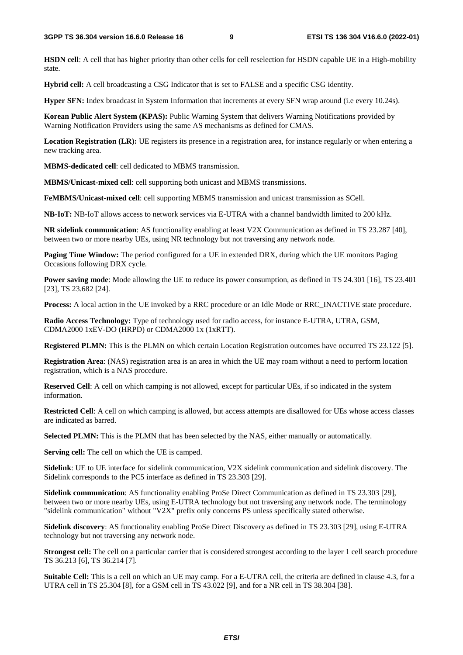**HSDN cell**: A cell that has higher priority than other cells for cell reselection for HSDN capable UE in a High-mobility state.

**Hybrid cell:** A cell broadcasting a CSG Indicator that is set to FALSE and a specific CSG identity.

**Hyper SFN:** Index broadcast in System Information that increments at every SFN wrap around (i.e every 10.24s).

**Korean Public Alert System (KPAS):** Public Warning System that delivers Warning Notifications provided by Warning Notification Providers using the same AS mechanisms as defined for CMAS.

**Location Registration (LR):** UE registers its presence in a registration area, for instance regularly or when entering a new tracking area.

**MBMS-dedicated cell**: cell dedicated to MBMS transmission.

**MBMS/Unicast-mixed cell**: cell supporting both unicast and MBMS transmissions.

**FeMBMS/Unicast-mixed cell**: cell supporting MBMS transmission and unicast transmission as SCell.

**NB-IoT:** NB-IoT allows access to network services via E-UTRA with a channel bandwidth limited to 200 kHz.

**NR sidelink communication**: AS functionality enabling at least V2X Communication as defined in TS 23.287 [40], between two or more nearby UEs, using NR technology but not traversing any network node.

**Paging Time Window:** The period configured for a UE in extended DRX, during which the UE monitors Paging Occasions following DRX cycle.

**Power saving mode**: Mode allowing the UE to reduce its power consumption, as defined in TS 24.301 [16], TS 23.401 [23], TS 23.682 [24].

**Process:** A local action in the UE invoked by a RRC procedure or an Idle Mode or RRC\_INACTIVE state procedure.

**Radio Access Technology:** Type of technology used for radio access, for instance E-UTRA, UTRA, GSM, CDMA2000 1xEV-DO (HRPD) or CDMA2000 1x (1xRTT).

**Registered PLMN:** This is the PLMN on which certain Location Registration outcomes have occurred TS 23.122 [5].

**Registration Area**: (NAS) registration area is an area in which the UE may roam without a need to perform location registration, which is a NAS procedure.

**Reserved Cell**: A cell on which camping is not allowed, except for particular UEs, if so indicated in the system information.

**Restricted Cell**: A cell on which camping is allowed, but access attempts are disallowed for UEs whose access classes are indicated as barred.

**Selected PLMN:** This is the PLMN that has been selected by the NAS, either manually or automatically.

**Serving cell:** The cell on which the UE is camped.

**Sidelink**: UE to UE interface for sidelink communication, V2X sidelink communication and sidelink discovery. The Sidelink corresponds to the PC5 interface as defined in TS 23.303 [29].

**Sidelink communication**: AS functionality enabling ProSe Direct Communication as defined in TS 23.303 [29], between two or more nearby UEs, using E-UTRA technology but not traversing any network node. The terminology "sidelink communication" without "V2X" prefix only concerns PS unless specifically stated otherwise.

**Sidelink discovery**: AS functionality enabling ProSe Direct Discovery as defined in TS 23.303 [29], using E-UTRA technology but not traversing any network node.

**Strongest cell:** The cell on a particular carrier that is considered strongest according to the layer 1 cell search procedure TS 36.213 [6], TS 36.214 [7].

**Suitable Cell:** This is a cell on which an UE may camp. For a E-UTRA cell, the criteria are defined in clause 4.3, for a UTRA cell in TS 25.304 [8], for a GSM cell in TS 43.022 [9], and for a NR cell in TS 38.304 [38].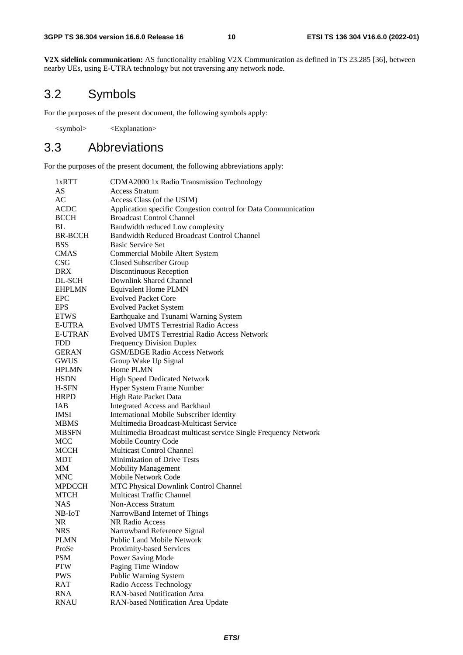**V2X sidelink communication:** AS functionality enabling V2X Communication as defined in TS 23.285 [36], between nearby UEs, using E-UTRA technology but not traversing any network node.

## 3.2 Symbols

For the purposes of the present document, the following symbols apply:

<symbol> <Explanation>

## 3.3 Abbreviations

For the purposes of the present document, the following abbreviations apply:

| 1xRTT          | CDMA2000 1x Radio Transmission Technology                       |
|----------------|-----------------------------------------------------------------|
| AS             | <b>Access Stratum</b>                                           |
| AC             | Access Class (of the USIM)                                      |
| <b>ACDC</b>    | Application specific Congestion control for Data Communication  |
| <b>BCCH</b>    | <b>Broadcast Control Channel</b>                                |
| BL             | Bandwidth reduced Low complexity                                |
| <b>BR-BCCH</b> | Bandwidth Reduced Broadcast Control Channel                     |
| <b>BSS</b>     | <b>Basic Service Set</b>                                        |
| <b>CMAS</b>    | Commercial Mobile Altert System                                 |
| <b>CSG</b>     | <b>Closed Subscriber Group</b>                                  |
| <b>DRX</b>     | Discontinuous Reception                                         |
| DL-SCH         | Downlink Shared Channel                                         |
| <b>EHPLMN</b>  | <b>Equivalent Home PLMN</b>                                     |
| <b>EPC</b>     | <b>Evolved Packet Core</b>                                      |
| <b>EPS</b>     | <b>Evolved Packet System</b>                                    |
| <b>ETWS</b>    | Earthquake and Tsunami Warning System                           |
| E-UTRA         | <b>Evolved UMTS Terrestrial Radio Access</b>                    |
| <b>E-UTRAN</b> | <b>Evolved UMTS Terrestrial Radio Access Network</b>            |
| <b>FDD</b>     | <b>Frequency Division Duplex</b>                                |
| <b>GERAN</b>   | <b>GSM/EDGE Radio Access Network</b>                            |
|                |                                                                 |
| <b>GWUS</b>    | Group Wake Up Signal                                            |
| <b>HPLMN</b>   | Home PLMN                                                       |
| <b>HSDN</b>    | <b>High Speed Dedicated Network</b>                             |
| H-SFN          | Hyper System Frame Number                                       |
| <b>HRPD</b>    | High Rate Packet Data                                           |
| <b>IAB</b>     | <b>Integrated Access and Backhaul</b>                           |
| <b>IMSI</b>    | <b>International Mobile Subscriber Identity</b>                 |
| <b>MBMS</b>    | Multimedia Broadcast-Multicast Service                          |
| <b>MBSFN</b>   | Multimedia Broadcast multicast service Single Frequency Network |
| <b>MCC</b>     | Mobile Country Code                                             |
| MCCH           | <b>Multicast Control Channel</b>                                |
| <b>MDT</b>     | <b>Minimization of Drive Tests</b>                              |
| МM             | <b>Mobility Management</b>                                      |
| <b>MNC</b>     | Mobile Network Code                                             |
| <b>MPDCCH</b>  | MTC Physical Downlink Control Channel                           |
| <b>MTCH</b>    | <b>Multicast Traffic Channel</b>                                |
| <b>NAS</b>     | <b>Non-Access Stratum</b>                                       |
| NB-IoT         | NarrowBand Internet of Things                                   |
| <b>NR</b>      | <b>NR Radio Access</b>                                          |
| <b>NRS</b>     | Narrowband Reference Signal                                     |
| <b>PLMN</b>    | <b>Public Land Mobile Network</b>                               |
| ProSe          | Proximity-based Services                                        |
| <b>PSM</b>     | <b>Power Saving Mode</b>                                        |
| <b>PTW</b>     | Paging Time Window                                              |
| <b>PWS</b>     | Public Warning System                                           |
| <b>RAT</b>     | Radio Access Technology                                         |
| <b>RNA</b>     | <b>RAN-based Notification Area</b>                              |
| <b>RNAU</b>    | RAN-based Notification Area Update                              |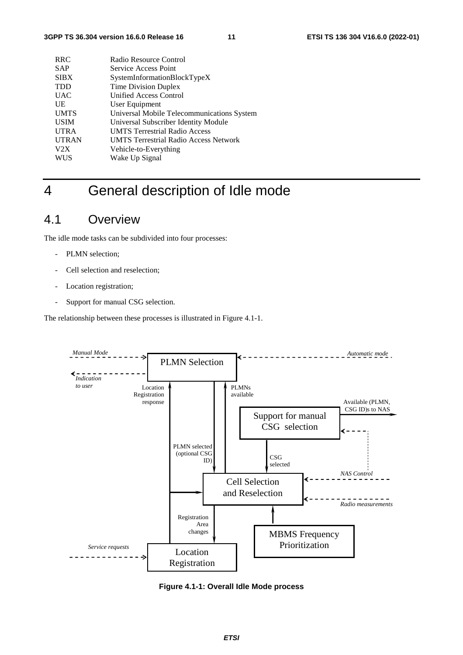| <b>RRC</b>   | Radio Resource Control                       |
|--------------|----------------------------------------------|
| <b>SAP</b>   | Service Access Point                         |
| <b>SIBX</b>  | SystemInformationBlockTypeX                  |
| <b>TDD</b>   | Time Division Duplex                         |
| <b>UAC</b>   | <b>Unified Access Control</b>                |
| UE           | User Equipment                               |
| <b>UMTS</b>  | Universal Mobile Telecommunications System   |
| <b>USIM</b>  | Universal Subscriber Identity Module         |
| <b>UTRA</b>  | <b>UMTS Terrestrial Radio Access</b>         |
| <b>UTRAN</b> | <b>UMTS Terrestrial Radio Access Network</b> |
| V2X          | Vehicle-to-Everything                        |
| <b>WUS</b>   | Wake Up Signal                               |
|              |                                              |

## 4 General description of Idle mode

## 4.1 Overview

The idle mode tasks can be subdivided into four processes:

- PLMN selection;
- Cell selection and reselection;
- Location registration;
- Support for manual CSG selection.

The relationship between these processes is illustrated in Figure 4.1-1.



**Figure 4.1-1: Overall Idle Mode process**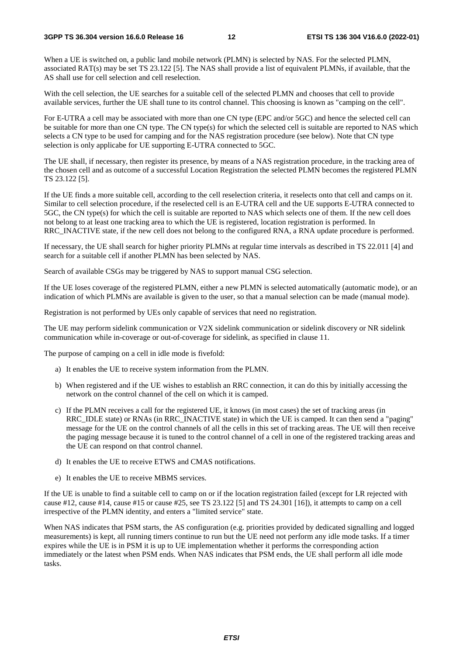When a UE is switched on, a public land mobile network (PLMN) is selected by NAS. For the selected PLMN, associated RAT(s) may be set TS 23.122 [5]. The NAS shall provide a list of equivalent PLMNs, if available, that the AS shall use for cell selection and cell reselection.

With the cell selection, the UE searches for a suitable cell of the selected PLMN and chooses that cell to provide available services, further the UE shall tune to its control channel. This choosing is known as "camping on the cell".

For E-UTRA a cell may be associated with more than one CN type (EPC and/or 5GC) and hence the selected cell can be suitable for more than one CN type. The CN type(s) for which the selected cell is suitable are reported to NAS which selects a CN type to be used for camping and for the NAS registration procedure (see below). Note that CN type selection is only applicabe for UE supporting E-UTRA connected to 5GC.

The UE shall, if necessary, then register its presence, by means of a NAS registration procedure, in the tracking area of the chosen cell and as outcome of a successful Location Registration the selected PLMN becomes the registered PLMN TS 23.122 [5].

If the UE finds a more suitable cell, according to the cell reselection criteria, it reselects onto that cell and camps on it. Similar to cell selection procedure, if the reselected cell is an E-UTRA cell and the UE supports E-UTRA connected to 5GC, the CN type(s) for which the cell is suitable are reported to NAS which selects one of them. If the new cell does not belong to at least one tracking area to which the UE is registered, location registration is performed. In RRC\_INACTIVE state, if the new cell does not belong to the configured RNA, a RNA update procedure is performed.

If necessary, the UE shall search for higher priority PLMNs at regular time intervals as described in TS 22.011 [4] and search for a suitable cell if another PLMN has been selected by NAS.

Search of available CSGs may be triggered by NAS to support manual CSG selection.

If the UE loses coverage of the registered PLMN, either a new PLMN is selected automatically (automatic mode), or an indication of which PLMNs are available is given to the user, so that a manual selection can be made (manual mode).

Registration is not performed by UEs only capable of services that need no registration.

The UE may perform sidelink communication or V2X sidelink communication or sidelink discovery or NR sidelink communication while in-coverage or out-of-coverage for sidelink, as specified in clause 11.

The purpose of camping on a cell in idle mode is fivefold:

- a) It enables the UE to receive system information from the PLMN.
- b) When registered and if the UE wishes to establish an RRC connection, it can do this by initially accessing the network on the control channel of the cell on which it is camped.
- c) If the PLMN receives a call for the registered UE, it knows (in most cases) the set of tracking areas (in RRC\_IDLE state) or RNAs (in RRC\_INACTIVE state) in which the UE is camped. It can then send a "paging" message for the UE on the control channels of all the cells in this set of tracking areas. The UE will then receive the paging message because it is tuned to the control channel of a cell in one of the registered tracking areas and the UE can respond on that control channel.
- d) It enables the UE to receive ETWS and CMAS notifications.
- e) It enables the UE to receive MBMS services.

If the UE is unable to find a suitable cell to camp on or if the location registration failed (except for LR rejected with cause #12, cause #14, cause #15 or cause #25, see TS 23.122 [5] and TS 24.301 [16]), it attempts to camp on a cell irrespective of the PLMN identity, and enters a "limited service" state.

When NAS indicates that PSM starts, the AS configuration (e.g. priorities provided by dedicated signalling and logged measurements) is kept, all running timers continue to run but the UE need not perform any idle mode tasks. If a timer expires while the UE is in PSM it is up to UE implementation whether it performs the corresponding action immediately or the latest when PSM ends. When NAS indicates that PSM ends, the UE shall perform all idle mode tasks.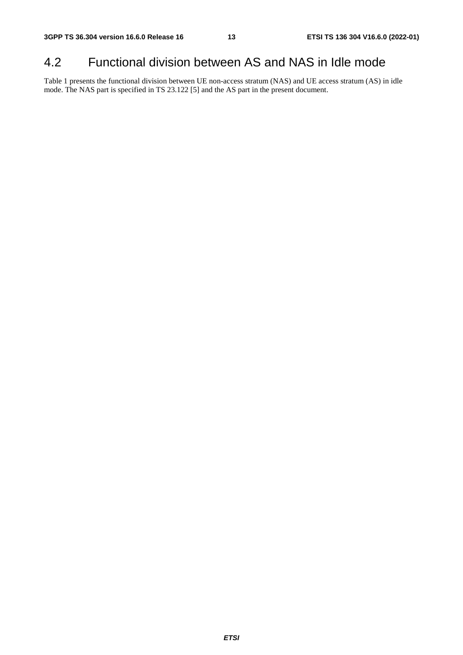## 4.2 Functional division between AS and NAS in Idle mode

Table 1 presents the functional division between UE non-access stratum (NAS) and UE access stratum (AS) in idle mode. The NAS part is specified in TS 23.122 [5] and the AS part in the present document.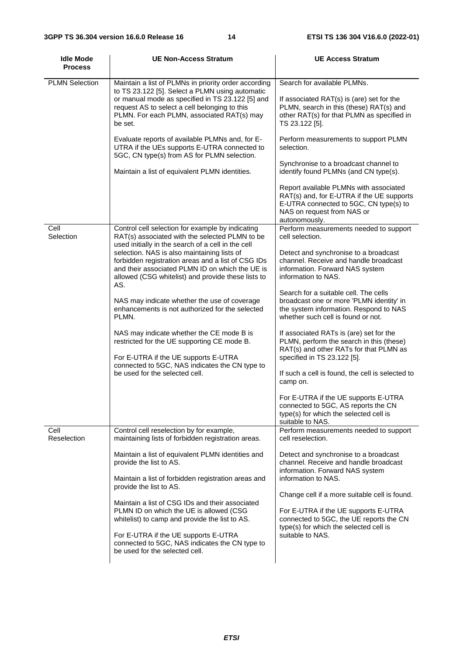| <b>Idle Mode</b><br><b>Process</b> | <b>UE Non-Access Stratum</b>                                                                                                                                                                                                                                                                                                                                                                                                                                                                                                                                                                                                                                                                                      | <b>UE Access Stratum</b>                                                                                                                                                                                                                                                                                                                                                                                                                                                                                                                                                                                                                                                                                                                                |
|------------------------------------|-------------------------------------------------------------------------------------------------------------------------------------------------------------------------------------------------------------------------------------------------------------------------------------------------------------------------------------------------------------------------------------------------------------------------------------------------------------------------------------------------------------------------------------------------------------------------------------------------------------------------------------------------------------------------------------------------------------------|---------------------------------------------------------------------------------------------------------------------------------------------------------------------------------------------------------------------------------------------------------------------------------------------------------------------------------------------------------------------------------------------------------------------------------------------------------------------------------------------------------------------------------------------------------------------------------------------------------------------------------------------------------------------------------------------------------------------------------------------------------|
| <b>PLMN Selection</b>              | Maintain a list of PLMNs in priority order according<br>to TS 23.122 [5]. Select a PLMN using automatic<br>or manual mode as specified in TS 23.122 [5] and<br>request AS to select a cell belonging to this<br>PLMN. For each PLMN, associated RAT(s) may<br>be set.<br>Evaluate reports of available PLMNs and, for E-<br>UTRA if the UEs supports E-UTRA connected to<br>5GC, CN type(s) from AS for PLMN selection.<br>Maintain a list of equivalent PLMN identities.                                                                                                                                                                                                                                         | Search for available PLMNs.<br>If associated RAT(s) is (are) set for the<br>PLMN, search in this (these) RAT(s) and<br>other RAT(s) for that PLMN as specified in<br>TS 23.122 [5].<br>Perform measurements to support PLMN<br>selection.<br>Synchronise to a broadcast channel to<br>identify found PLMNs (and CN type(s).<br>Report available PLMNs with associated<br>RAT(s) and, for E-UTRA if the UE supports<br>E-UTRA connected to 5GC, CN type(s) to<br>NAS on request from NAS or<br>autonomously.                                                                                                                                                                                                                                             |
| Cell<br>Selection                  | Control cell selection for example by indicating<br>RAT(s) associated with the selected PLMN to be<br>used initially in the search of a cell in the cell<br>selection. NAS is also maintaining lists of<br>forbidden registration areas and a list of CSG IDs<br>and their associated PLMN ID on which the UE is<br>allowed (CSG whitelist) and provide these lists to<br>AS.<br>NAS may indicate whether the use of coverage<br>enhancements is not authorized for the selected<br>PLMN.<br>NAS may indicate whether the CE mode B is<br>restricted for the UE supporting CE mode B.<br>For E-UTRA if the UE supports E-UTRA<br>connected to 5GC, NAS indicates the CN type to<br>be used for the selected cell. | Perform measurements needed to support<br>cell selection.<br>Detect and synchronise to a broadcast<br>channel. Receive and handle broadcast<br>information. Forward NAS system<br>information to NAS.<br>Search for a suitable cell. The cells<br>broadcast one or more 'PLMN identity' in<br>the system information. Respond to NAS<br>whether such cell is found or not.<br>If associated RATs is (are) set for the<br>PLMN, perform the search in this (these)<br>RAT(s) and other RATs for that PLMN as<br>specified in TS 23.122 [5].<br>If such a cell is found, the cell is selected to<br>camp on.<br>For E-UTRA if the UE supports E-UTRA<br>connected to 5GC, AS reports the CN<br>type(s) for which the selected cell is<br>suitable to NAS. |
| Cell<br>Reselection                | Control cell reselection by for example,<br>maintaining lists of forbidden registration areas.<br>Maintain a list of equivalent PLMN identities and<br>provide the list to AS.<br>Maintain a list of forbidden registration areas and<br>provide the list to AS.<br>Maintain a list of CSG IDs and their associated<br>PLMN ID on which the UE is allowed (CSG<br>whitelist) to camp and provide the list to AS.<br>For E-UTRA if the UE supports E-UTRA<br>connected to 5GC, NAS indicates the CN type to<br>be used for the selected cell.                                                                                                                                                                      | Perform measurements needed to support<br>cell reselection.<br>Detect and synchronise to a broadcast<br>channel. Receive and handle broadcast<br>information. Forward NAS system<br>information to NAS.<br>Change cell if a more suitable cell is found.<br>For E-UTRA if the UE supports E-UTRA<br>connected to 5GC, the UE reports the CN<br>type(s) for which the selected cell is<br>suitable to NAS.                                                                                                                                                                                                                                                                                                                                               |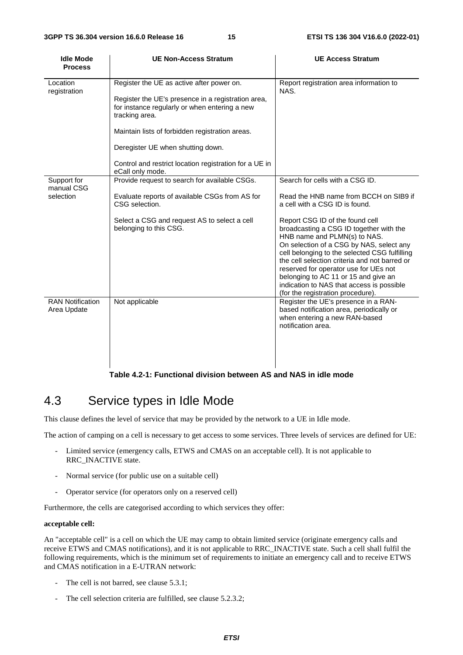| <b>Idle Mode</b><br><b>Process</b>     | <b>UE Non-Access Stratum</b>                                                                                                                                                                                                                                                                                         | <b>UE Access Stratum</b>                                                                                                                                                                                                                                                                                                                                                                                                                                                                                                                   |
|----------------------------------------|----------------------------------------------------------------------------------------------------------------------------------------------------------------------------------------------------------------------------------------------------------------------------------------------------------------------|--------------------------------------------------------------------------------------------------------------------------------------------------------------------------------------------------------------------------------------------------------------------------------------------------------------------------------------------------------------------------------------------------------------------------------------------------------------------------------------------------------------------------------------------|
| Location<br>registration               | Register the UE as active after power on.<br>Register the UE's presence in a registration area,<br>for instance regularly or when entering a new<br>tracking area.<br>Maintain lists of forbidden registration areas.<br>Deregister UE when shutting down.<br>Control and restrict location registration for a UE in | Report registration area information to<br>NAS.                                                                                                                                                                                                                                                                                                                                                                                                                                                                                            |
| Support for<br>manual CSG<br>selection | eCall only mode.<br>Provide request to search for available CSGs.<br>Evaluate reports of available CSGs from AS for<br>CSG selection.<br>Select a CSG and request AS to select a cell<br>belonging to this CSG.                                                                                                      | Search for cells with a CSG ID.<br>Read the HNB name from BCCH on SIB9 if<br>a cell with a CSG ID is found.<br>Report CSG ID of the found cell<br>broadcasting a CSG ID together with the<br>HNB name and PLMN(s) to NAS.<br>On selection of a CSG by NAS, select any<br>cell belonging to the selected CSG fulfilling<br>the cell selection criteria and not barred or<br>reserved for operator use for UEs not<br>belonging to AC 11 or 15 and give an<br>indication to NAS that access is possible<br>(for the registration procedure). |
| <b>RAN Notification</b><br>Area Update | Not applicable                                                                                                                                                                                                                                                                                                       | Register the UE's presence in a RAN-<br>based notification area, periodically or<br>when entering a new RAN-based<br>notification area.                                                                                                                                                                                                                                                                                                                                                                                                    |

#### **Table 4.2-1: Functional division between AS and NAS in idle mode**

## 4.3 Service types in Idle Mode

This clause defines the level of service that may be provided by the network to a UE in Idle mode.

The action of camping on a cell is necessary to get access to some services. Three levels of services are defined for UE:

- Limited service (emergency calls, ETWS and CMAS on an acceptable cell). It is not applicable to RRC\_INACTIVE state.
- Normal service (for public use on a suitable cell)
- Operator service (for operators only on a reserved cell)

Furthermore, the cells are categorised according to which services they offer:

#### **acceptable cell:**

An "acceptable cell" is a cell on which the UE may camp to obtain limited service (originate emergency calls and receive ETWS and CMAS notifications), and it is not applicable to RRC\_INACTIVE state. Such a cell shall fulfil the following requirements, which is the minimum set of requirements to initiate an emergency call and to receive ETWS and CMAS notification in a E-UTRAN network:

- The cell is not barred, see clause 5.3.1;
- The cell selection criteria are fulfilled, see clause 5.2.3.2;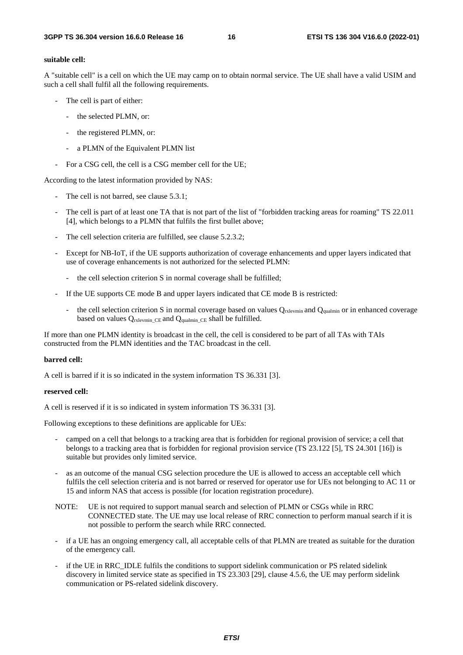#### **suitable cell:**

A "suitable cell" is a cell on which the UE may camp on to obtain normal service. The UE shall have a valid USIM and such a cell shall fulfil all the following requirements.

- The cell is part of either:
	- the selected PLMN, or:
	- the registered PLMN, or:
	- a PLMN of the Equivalent PLMN list
- For a CSG cell, the cell is a CSG member cell for the UE;

According to the latest information provided by NAS:

- The cell is not barred, see clause 5.3.1;
- The cell is part of at least one TA that is not part of the list of "forbidden tracking areas for roaming" TS 22.011 [4], which belongs to a PLMN that fulfils the first bullet above;
- The cell selection criteria are fulfilled, see clause 5.2.3.2;
- Except for NB-IoT, if the UE supports authorization of coverage enhancements and upper layers indicated that use of coverage enhancements is not authorized for the selected PLMN:
	- the cell selection criterion S in normal coverage shall be fulfilled;
- If the UE supports CE mode B and upper layers indicated that CE mode B is restricted:
	- the cell selection criterion S in normal coverage based on values  $Q_{\text{rxlevmin}}$  and  $Q_{\text{qualmin}}$  or in enhanced coverage based on values Qrxlevmin\_CE and Qqualmin\_CE shall be fulfilled.

If more than one PLMN identity is broadcast in the cell, the cell is considered to be part of all TAs with TAIs constructed from the PLMN identities and the TAC broadcast in the cell.

#### **barred cell:**

A cell is barred if it is so indicated in the system information TS 36.331 [3].

#### **reserved cell:**

A cell is reserved if it is so indicated in system information TS 36.331 [3].

Following exceptions to these definitions are applicable for UEs:

- camped on a cell that belongs to a tracking area that is forbidden for regional provision of service; a cell that belongs to a tracking area that is forbidden for regional provision service (TS 23.122 [5], TS 24.301 [16]) is suitable but provides only limited service.
- as an outcome of the manual CSG selection procedure the UE is allowed to access an acceptable cell which fulfils the cell selection criteria and is not barred or reserved for operator use for UEs not belonging to AC 11 or 15 and inform NAS that access is possible (for location registration procedure).
- NOTE: UE is not required to support manual search and selection of PLMN or CSGs while in RRC CONNECTED state. The UE may use local release of RRC connection to perform manual search if it is not possible to perform the search while RRC connected.
- if a UE has an ongoing emergency call, all acceptable cells of that PLMN are treated as suitable for the duration of the emergency call.
- if the UE in RRC\_IDLE fulfils the conditions to support sidelink communication or PS related sidelink discovery in limited service state as specified in TS 23.303 [29], clause 4.5.6, the UE may perform sidelink communication or PS-related sidelink discovery.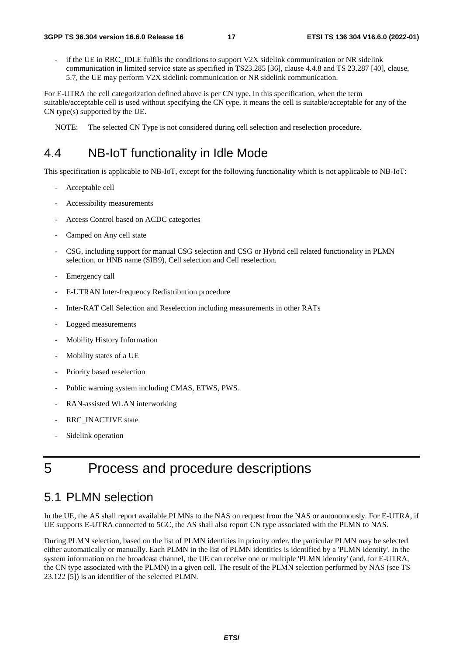if the UE in RRC\_IDLE fulfils the conditions to support V2X sidelink communication or NR sidelink communication in limited service state as specified in TS23.285 [36], clause 4.4.8 and TS 23.287 [40], clause, 5.7, the UE may perform V2X sidelink communication or NR sidelink communication.

For E-UTRA the cell categorization defined above is per CN type. In this specification, when the term suitable/acceptable cell is used without specifying the CN type, it means the cell is suitable/acceptable for any of the CN type(s) supported by the UE.

NOTE: The selected CN Type is not considered during cell selection and reselection procedure.

## 4.4 NB-IoT functionality in Idle Mode

This specification is applicable to NB-IoT, except for the following functionality which is not applicable to NB-IoT:

- Acceptable cell
- Accessibility measurements
- Access Control based on ACDC categories
- Camped on Any cell state
- CSG, including support for manual CSG selection and CSG or Hybrid cell related functionality in PLMN selection, or HNB name (SIB9), Cell selection and Cell reselection.
- Emergency call
- E-UTRAN Inter-frequency Redistribution procedure
- Inter-RAT Cell Selection and Reselection including measurements in other RATs
- Logged measurements
- Mobility History Information
- Mobility states of a UE
- Priority based reselection
- Public warning system including CMAS, ETWS, PWS.
- RAN-assisted WLAN interworking
- RRC\_INACTIVE state
- Sidelink operation

## 5 Process and procedure descriptions

## 5.1 PLMN selection

In the UE, the AS shall report available PLMNs to the NAS on request from the NAS or autonomously. For E-UTRA, if UE supports E-UTRA connected to 5GC, the AS shall also report CN type associated with the PLMN to NAS.

During PLMN selection, based on the list of PLMN identities in priority order, the particular PLMN may be selected either automatically or manually. Each PLMN in the list of PLMN identities is identified by a 'PLMN identity'. In the system information on the broadcast channel, the UE can receive one or multiple 'PLMN identity' (and, for E-UTRA, the CN type associated with the PLMN) in a given cell. The result of the PLMN selection performed by NAS (see TS 23.122 [5]) is an identifier of the selected PLMN.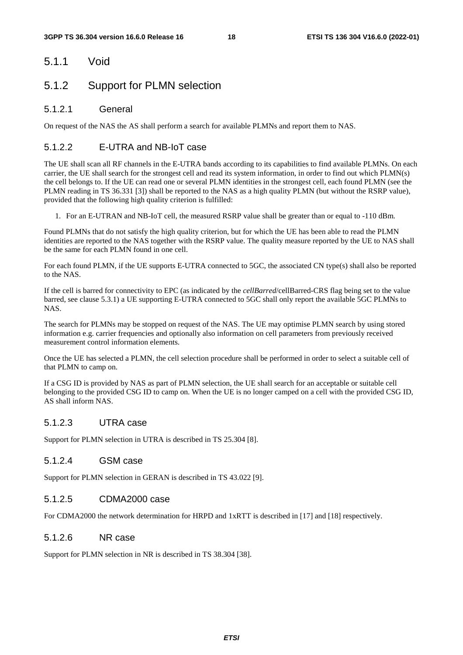## 5.1.1 Void

## 5.1.2 Support for PLMN selection

### 5.1.2.1 General

On request of the NAS the AS shall perform a search for available PLMNs and report them to NAS.

### 5.1.2.2 E-UTRA and NB-IoT case

The UE shall scan all RF channels in the E-UTRA bands according to its capabilities to find available PLMNs. On each carrier, the UE shall search for the strongest cell and read its system information, in order to find out which PLMN(s) the cell belongs to. If the UE can read one or several PLMN identities in the strongest cell, each found PLMN (see the PLMN reading in TS 36.331 [3]) shall be reported to the NAS as a high quality PLMN (but without the RSRP value), provided that the following high quality criterion is fulfilled:

1. For an E-UTRAN and NB-IoT cell, the measured RSRP value shall be greater than or equal to -110 dBm.

Found PLMNs that do not satisfy the high quality criterion, but for which the UE has been able to read the PLMN identities are reported to the NAS together with the RSRP value. The quality measure reported by the UE to NAS shall be the same for each PLMN found in one cell.

For each found PLMN, if the UE supports E-UTRA connected to 5GC, the associated CN type(s) shall also be reported to the NAS.

If the cell is barred for connectivity to EPC (as indicated by the *cellBarred*/cellBarred-CRS flag being set to the value barred, see clause 5.3.1) a UE supporting E-UTRA connected to 5GC shall only report the available 5GC PLMNs to NAS.

The search for PLMNs may be stopped on request of the NAS. The UE may optimise PLMN search by using stored information e.g. carrier frequencies and optionally also information on cell parameters from previously received measurement control information elements.

Once the UE has selected a PLMN, the cell selection procedure shall be performed in order to select a suitable cell of that PLMN to camp on.

If a CSG ID is provided by NAS as part of PLMN selection, the UE shall search for an acceptable or suitable cell belonging to the provided CSG ID to camp on. When the UE is no longer camped on a cell with the provided CSG ID, AS shall inform NAS.

### 5.1.2.3 UTRA case

Support for PLMN selection in UTRA is described in TS 25.304 [8].

### 5.1.2.4 GSM case

Support for PLMN selection in GERAN is described in TS 43.022 [9].

#### 5.1.2.5 CDMA2000 case

For CDMA2000 the network determination for HRPD and 1xRTT is described in [17] and [18] respectively.

### 5.1.2.6 NR case

Support for PLMN selection in NR is described in TS 38.304 [38].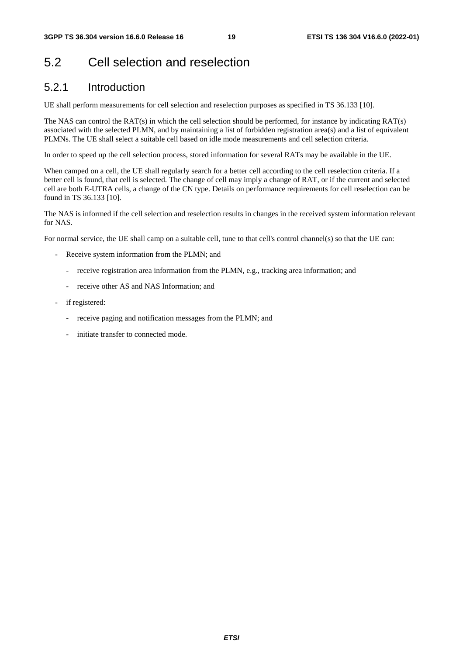## 5.2 Cell selection and reselection

## 5.2.1 Introduction

UE shall perform measurements for cell selection and reselection purposes as specified in TS 36.133 [10].

The NAS can control the RAT(s) in which the cell selection should be performed, for instance by indicating RAT(s) associated with the selected PLMN, and by maintaining a list of forbidden registration area(s) and a list of equivalent PLMNs. The UE shall select a suitable cell based on idle mode measurements and cell selection criteria.

In order to speed up the cell selection process, stored information for several RATs may be available in the UE.

When camped on a cell, the UE shall regularly search for a better cell according to the cell reselection criteria. If a better cell is found, that cell is selected. The change of cell may imply a change of RAT, or if the current and selected cell are both E-UTRA cells, a change of the CN type. Details on performance requirements for cell reselection can be found in TS 36.133 [10].

The NAS is informed if the cell selection and reselection results in changes in the received system information relevant for NAS.

For normal service, the UE shall camp on a suitable cell, tune to that cell's control channel(s) so that the UE can:

- Receive system information from the PLMN; and
	- receive registration area information from the PLMN, e.g., tracking area information; and
	- receive other AS and NAS Information; and
- if registered:
	- receive paging and notification messages from the PLMN; and
	- initiate transfer to connected mode.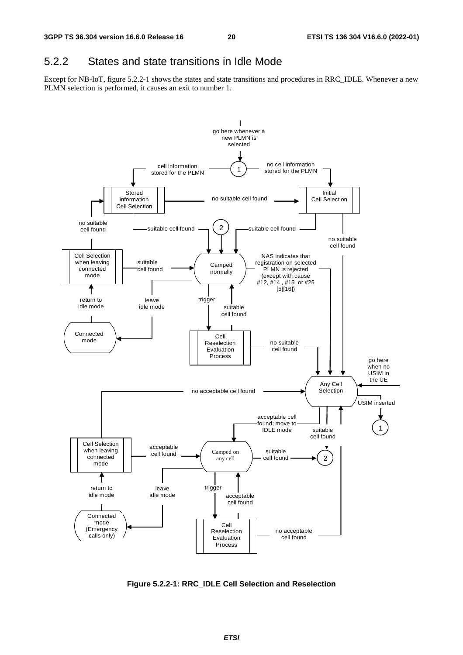## 5.2.2 States and state transitions in Idle Mode

Except for NB-IoT, figure 5.2.2-1 shows the states and state transitions and procedures in RRC\_IDLE. Whenever a new PLMN selection is performed, it causes an exit to number 1.



**Figure 5.2.2-1: RRC\_IDLE Cell Selection and Reselection**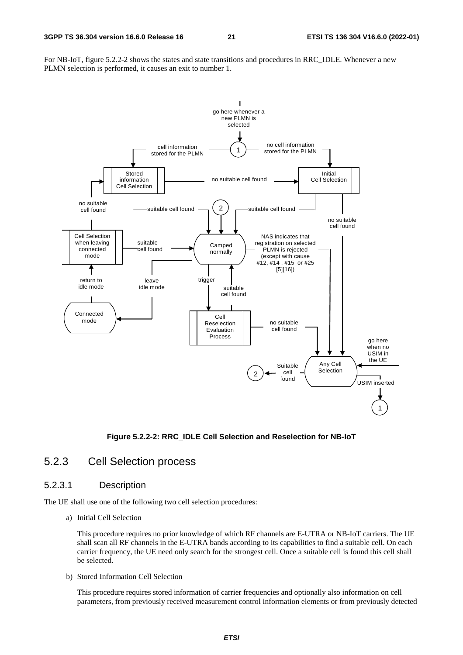For NB-IoT, figure 5.2.2-2 shows the states and state transitions and procedures in RRC\_IDLE. Whenever a new PLMN selection is performed, it causes an exit to number 1.



#### **Figure 5.2.2-2: RRC\_IDLE Cell Selection and Reselection for NB-IoT**

### 5.2.3 Cell Selection process

### 5.2.3.1 Description

The UE shall use one of the following two cell selection procedures:

a) Initial Cell Selection

 This procedure requires no prior knowledge of which RF channels are E-UTRA or NB-IoT carriers. The UE shall scan all RF channels in the E-UTRA bands according to its capabilities to find a suitable cell. On each carrier frequency, the UE need only search for the strongest cell. Once a suitable cell is found this cell shall be selected.

b) Stored Information Cell Selection

 This procedure requires stored information of carrier frequencies and optionally also information on cell parameters, from previously received measurement control information elements or from previously detected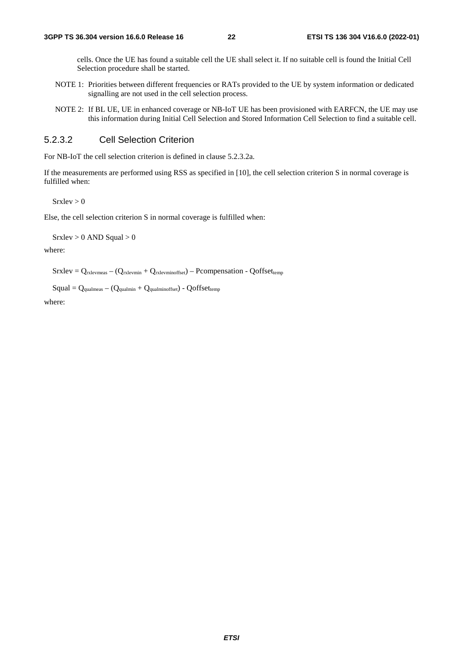cells. Once the UE has found a suitable cell the UE shall select it. If no suitable cell is found the Initial Cell Selection procedure shall be started.

- NOTE 1: Priorities between different frequencies or RATs provided to the UE by system information or dedicated signalling are not used in the cell selection process.
- NOTE 2: If BL UE, UE in enhanced coverage or NB-IoT UE has been provisioned with EARFCN, the UE may use this information during Initial Cell Selection and Stored Information Cell Selection to find a suitable cell.

#### 5.2.3.2 Cell Selection Criterion

For NB-IoT the cell selection criterion is defined in clause 5.2.3.2a.

If the measurements are performed using RSS as specified in [10], the cell selection criterion S in normal coverage is fulfilled when:

 $S$ rxlev  $> 0$ 

Else, the cell selection criterion S in normal coverage is fulfilled when:

 $S$ rxlev > 0 AND Squal > 0

where:

 $S$ rxlev =  $Q_{rxlevmeas} - (Q_{rxlevmin} + Q_{rxlevminoffset}) - P_{\text{compensation}} - Q_{\text{offsettemp}}$ 

 $Squal = Q<sub>qualmeas</sub> - (Q<sub>qualmin</sub> + Q<sub>qualminoffset</sub>) - Qoffset<sub>temp</sub>$ 

where: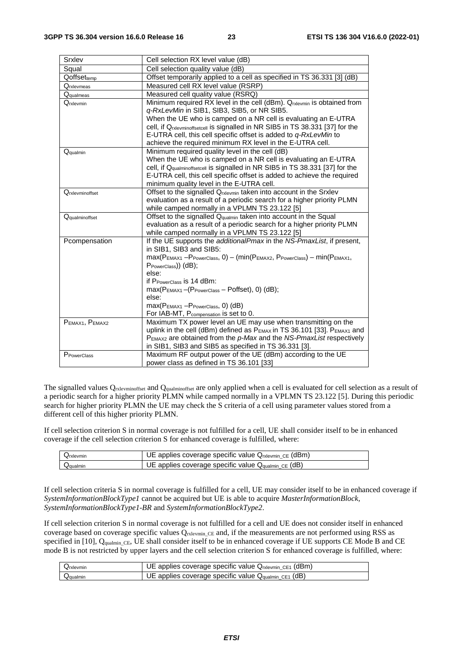| Srxlev                  | Cell selection RX level value (dB)                                                                                                                     |  |
|-------------------------|--------------------------------------------------------------------------------------------------------------------------------------------------------|--|
| Squal                   | Cell selection quality value (dB)                                                                                                                      |  |
| Qoffsettemp             | Offset temporarily applied to a cell as specified in TS 36.331 [3] (dB)                                                                                |  |
| Qrxlevmeas              | Measured cell RX level value (RSRP)                                                                                                                    |  |
| <b>Q</b> qualmeas       | Measured cell quality value (RSRQ)                                                                                                                     |  |
| Qrxlevmin               | Minimum required RX level in the cell (dBm). Qrxlevmin is obtained from                                                                                |  |
|                         | q-RxLevMin in SIB1, SIB3, SIB5, or NR SIB5.                                                                                                            |  |
|                         | When the UE who is camped on a NR cell is evaluating an E-UTRA                                                                                         |  |
|                         | cell, if Qrxlevminoffsetcell is signalled in NR SIB5 in TS 38.331 [37] for the                                                                         |  |
|                         | E-UTRA cell, this cell specific offset is added to q-RxLevMin to                                                                                       |  |
|                         | achieve the required minimum RX level in the E-UTRA cell.                                                                                              |  |
| Qqualmin                | Minimum required quality level in the cell (dB)                                                                                                        |  |
|                         | When the UE who is camped on a NR cell is evaluating an E-UTRA                                                                                         |  |
|                         | cell, if Q <sub>qualminoffsetcell</sub> is signalled in NR SIB5 in TS 38.331 [37] for the                                                              |  |
|                         | E-UTRA cell, this cell specific offset is added to achieve the required                                                                                |  |
|                         | minimum quality level in the E-UTRA cell.                                                                                                              |  |
| Qrxlevminoffset         | Offset to the signalled Qrxlevmin taken into account in the Srxlev                                                                                     |  |
|                         | evaluation as a result of a periodic search for a higher priority PLMN                                                                                 |  |
|                         | while camped normally in a VPLMN TS 23.122 [5]                                                                                                         |  |
| Qqualminoffset          | Offset to the signalled Q <sub>qualmin</sub> taken into account in the Squal<br>evaluation as a result of a periodic search for a higher priority PLMN |  |
|                         | while camped normally in a VPLMN TS 23.122 [5]                                                                                                         |  |
| Pcompensation           | If the UE supports the additionalPmax in the NS-PmaxList, if present,                                                                                  |  |
|                         | in SIB1, SIB3 and SIB5:                                                                                                                                |  |
|                         | $max(P_{EMAX1}-P_{PowerClass}, 0) - (min(P_{EMAX2}, P_{PowerClass}) - min(P_{EMAX1},$                                                                  |  |
|                         | PPowerClass)) (dB);                                                                                                                                    |  |
|                         | else:                                                                                                                                                  |  |
|                         | if P <sub>PowerClass</sub> is 14 dBm:                                                                                                                  |  |
|                         | max(PEMAX1-(PPowerClass-Poffset), 0) (dB);                                                                                                             |  |
|                         | else:                                                                                                                                                  |  |
|                         | $max(PEMAX1 - PPowerClass, 0)$ (dB)                                                                                                                    |  |
|                         | For IAB-MT, Pcompensation is set to 0.                                                                                                                 |  |
| PEMAX1, PEMAX2          | Maximum TX power level an UE may use when transmitting on the                                                                                          |  |
|                         | uplink in the cell (dBm) defined as P <sub>EMAX</sub> in TS 36.101 [33]. P <sub>EMAX1</sub> and                                                        |  |
|                         | P <sub>EMAX2</sub> are obtained from the p-Max and the NS-PmaxList respectively                                                                        |  |
|                         | in SIB1, SIB3 and SIB5 as specified in TS 36.331 [3].                                                                                                  |  |
| P <sub>PowerClass</sub> | Maximum RF output power of the UE (dBm) according to the UE                                                                                            |  |
|                         | power class as defined in TS 36.101 [33]                                                                                                               |  |

The signalled values Q<sub>rxlevminoffset</sub> and Q<sub>qualminoffset</sub> are only applied when a cell is evaluated for cell selection as a result of a periodic search for a higher priority PLMN while camped normally in a VPLMN TS 23.122 [5]. During this periodic search for higher priority PLMN the UE may check the S criteria of a cell using parameter values stored from a different cell of this higher priority PLMN.

If cell selection criterion S in normal coverage is not fulfilled for a cell, UE shall consider itself to be in enhanced coverage if the cell selection criterion S for enhanced coverage is fulfilled, where:

| $Q_{rxlevmin}$ | UE applies coverage specific value Qrxlevmin_CE (dBm)            |
|----------------|------------------------------------------------------------------|
| Qqualmin       | UE applies coverage specific value $Q_{\text{qualmin\_CE}}$ (dB) |

If cell selection criteria S in normal coverage is fulfilled for a cell, UE may consider itself to be in enhanced coverage if *SystemInformationBlockType1* cannot be acquired but UE is able to acquire *MasterInformationBlock, SystemInformationBlockType1-BR* and *SystemInformationBlockType2*.

If cell selection criterion S in normal coverage is not fulfilled for a cell and UE does not consider itself in enhanced coverage based on coverage specific values  $Q_{\text{rxlevmin}}$   $_{\text{CE}}$  and, if the measurements are not performed using RSS as specified in [10],  $Q_{\text{qualmin CE}}$ , UE shall consider itself to be in enhanced coverage if UE supports CE Mode B and CE mode B is not restricted by upper layers and the cell selection criterion S for enhanced coverage is fulfilled, where:

| Qrxlevmin                       | UE applies coverage specific value $Q_{rx\text{levmin}}$ ce <sub>1</sub> (dBm) |
|---------------------------------|--------------------------------------------------------------------------------|
| $\mathbf{Q}_{\mathsf{qualmin}}$ | UE applies coverage specific value $Q_{\text{qualmin\_CE1}}$ (dB)              |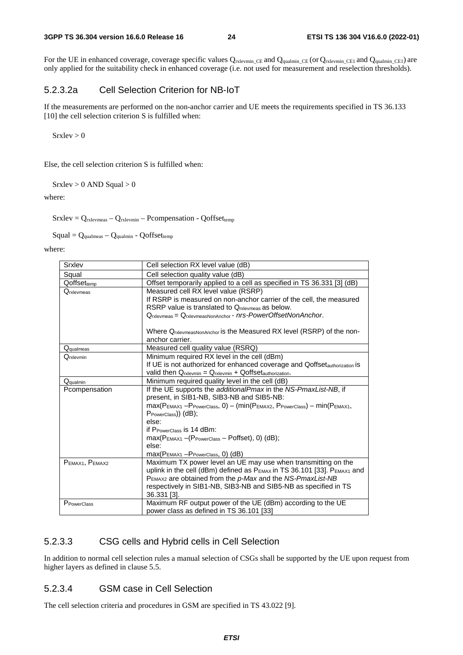For the UE in enhanced coverage, coverage specific values  $Q_{rxlevmin\_CE}$  and  $Q_{qualmin\_CE1}$  and  $Q_{qualmin\_CE1}$  are only applied for the suitability check in enhanced coverage (i.e. not used for measurement and reselection thresholds).

### 5.2.3.2a Cell Selection Criterion for NB-IoT

If the measurements are performed on the non-anchor carrier and UE meets the requirements specified in TS 36.133 [10] the cell selection criterion S is fulfilled when:

 $S$ rxlev  $> 0$ 

Else, the cell selection criterion S is fulfilled when:

 $S$ rxlev > 0 AND Squal > 0

where:

 $S$ rxlev =  $Q_{rxlevmeas} - Q_{rxlevmin} - P_{compensation} - Q_{offset_{temp}}$ 

 $Squal = Q_{\text{qualmeas}} - Q_{\text{qualmin}} - Qoffset_{\text{temp}}$ 

where:

| Srxlev               | Cell selection RX level value (dB)                                                              |
|----------------------|-------------------------------------------------------------------------------------------------|
| Squal                | Cell selection quality value (dB)                                                               |
| $Q$ offset $_{temp}$ | Offset temporarily applied to a cell as specified in TS 36.331 [3] (dB)                         |
| Qrxlevmeas           | Measured cell RX level value (RSRP)                                                             |
|                      | If RSRP is measured on non-anchor carrier of the cell, the measured                             |
|                      | RSRP value is translated to Orgevineas as below.                                                |
|                      | Qrxlevmeas = QrxlevmeasNonAnchor - nrs-PowerOffsetNonAnchor.                                    |
|                      |                                                                                                 |
|                      | Where Q <sub>rxlevmeasNonAnchor</sub> is the Measured RX level (RSRP) of the non-               |
|                      | anchor carrier.                                                                                 |
| Qqualmeas            | Measured cell quality value (RSRQ)                                                              |
| Qrxlevmin            | Minimum required RX level in the cell (dBm)                                                     |
|                      | If UE is not authorized for enhanced coverage and Qoffset <sub>authorization</sub> is           |
|                      | valid then $Q_{rxlevmin} = Q_{rxlevmin} + Qoffset_{authorization}$ .                            |
| Qqualmin             | Minimum required quality level in the cell (dB)                                                 |
| Pcompensation        | If the UE supports the additionalPmax in the NS-PmaxList-NB, if                                 |
|                      | present, in SIB1-NB, SIB3-NB and SIB5-NB:                                                       |
|                      | $max(P_{EMAX1}-P_{PowerClass}, 0) - (min(P_{EMAX2}, P_{PowerClass}) - min(P_{EMAX1},$           |
|                      | PPowerClass)) (dB);                                                                             |
|                      | else:                                                                                           |
|                      | if P <sub>PowerClass</sub> is 14 dBm:                                                           |
|                      | max(PEMAX1-(PPowerClass-Poffset), 0) (dB);                                                      |
|                      | else:                                                                                           |
|                      | $max(PEMAX1 - PPowerClass, 0)$ (dB)                                                             |
| PEMAX1, PEMAX2       | Maximum TX power level an UE may use when transmitting on the                                   |
|                      | uplink in the cell (dBm) defined as P <sub>EMAX</sub> in TS 36.101 [33]. P <sub>EMAX1</sub> and |
|                      | PEMAX2 are obtained from the p-Max and the NS-PmaxList-NB                                       |
|                      | respectively in SIB1-NB, SIB3-NB and SIB5-NB as specified in TS                                 |
|                      | 36.331 [3].                                                                                     |
| PPowerClass          | Maximum RF output power of the UE (dBm) according to the UE                                     |
|                      | power class as defined in TS 36.101 [33]                                                        |

### 5.2.3.3 CSG cells and Hybrid cells in Cell Selection

In addition to normal cell selection rules a manual selection of CSGs shall be supported by the UE upon request from higher layers as defined in clause 5.5.

### 5.2.3.4 GSM case in Cell Selection

The cell selection criteria and procedures in GSM are specified in TS 43.022 [9].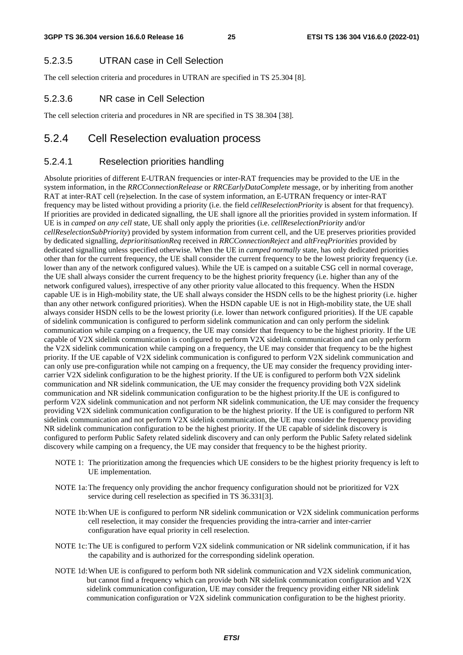#### 5.2.3.5 UTRAN case in Cell Selection

The cell selection criteria and procedures in UTRAN are specified in TS 25.304 [8].

### 5.2.3.6 NR case in Cell Selection

The cell selection criteria and procedures in NR are specified in TS 38.304 [38].

### 5.2.4 Cell Reselection evaluation process

### 5.2.4.1 Reselection priorities handling

Absolute priorities of different E-UTRAN frequencies or inter-RAT frequencies may be provided to the UE in the system information, in the *RRCConnectionRelease* or *RRCEarlyDataComplete* message, or by inheriting from another RAT at inter-RAT cell (re)selection. In the case of system information, an E-UTRAN frequency or inter-RAT frequency may be listed without providing a priority (i.e. the field *cellReselectionPriority* is absent for that frequency). If priorities are provided in dedicated signalling, the UE shall ignore all the priorities provided in system information. If UE is in *camped on any cell* state, UE shall only apply the priorities (i.e. *cellReselectionPriority* and/or *cellReselectionSubPriority*) provided by system information from current cell, and the UE preserves priorities provided by dedicated signalling, *deprioritisationReq* received in *RRCConnectionReject* and *altFreqPriorities* provided by dedicated signalling unless specified otherwise. When the UE in *camped normally* state, has only dedicated priorities other than for the current frequency, the UE shall consider the current frequency to be the lowest priority frequency (i.e. lower than any of the network configured values). While the UE is camped on a suitable CSG cell in normal coverage, the UE shall always consider the current frequency to be the highest priority frequency (i.e. higher than any of the network configured values), irrespective of any other priority value allocated to this frequency. When the HSDN capable UE is in High-mobility state, the UE shall always consider the HSDN cells to be the highest priority (i.e. higher than any other network configured priorities). When the HSDN capable UE is not in High-mobility state, the UE shall always consider HSDN cells to be the lowest priority (i.e. lower than network configured priorities). If the UE capable of sidelink communication is configured to perform sidelink communication and can only perform the sidelink communication while camping on a frequency, the UE may consider that frequency to be the highest priority. If the UE capable of V2X sidelink communication is configured to perform V2X sidelink communication and can only perform the V2X sidelink communication while camping on a frequency, the UE may consider that frequency to be the highest priority. If the UE capable of V2X sidelink communication is configured to perform V2X sidelink communication and can only use pre-configuration while not camping on a frequency, the UE may consider the frequency providing intercarrier V2X sidelink configuration to be the highest priority. If the UE is configured to perform both V2X sidelink communication and NR sidelink communication, the UE may consider the frequency providing both V2X sidelink communication and NR sidelink communication configuration to be the highest priority.If the UE is configured to perform V2X sidelink communication and not perform NR sidelink communication, the UE may consider the frequency providing V2X sidelink communication configuration to be the highest priority. If the UE is configured to perform NR sidelink communication and not perform V2X sidelink communication, the UE may consider the frequency providing NR sidelink communication configuration to be the highest priority. If the UE capable of sidelink discovery is configured to perform Public Safety related sidelink discovery and can only perform the Public Safety related sidelink discovery while camping on a frequency, the UE may consider that frequency to be the highest priority.

- NOTE 1: The prioritization among the frequencies which UE considers to be the highest priority frequency is left to UE implementation.
- NOTE 1a: The frequency only providing the anchor frequency configuration should not be prioritized for V2X service during cell reselection as specified in TS 36.331[3].
- NOTE 1b: When UE is configured to perform NR sidelink communication or V2X sidelink communication performs cell reselection, it may consider the frequencies providing the intra-carrier and inter-carrier configuration have equal priority in cell reselection.
- NOTE 1c: The UE is configured to perform V2X sidelink communication or NR sidelink communication, if it has the capability and is authorized for the corresponding sidelink operation.
- NOTE 1d: When UE is configured to perform both NR sidelink communication and V2X sidelink communication, but cannot find a frequency which can provide both NR sidelink communication configuration and V2X sidelink communication configuration, UE may consider the frequency providing either NR sidelink communication configuration or V2X sidelink communication configuration to be the highest priority.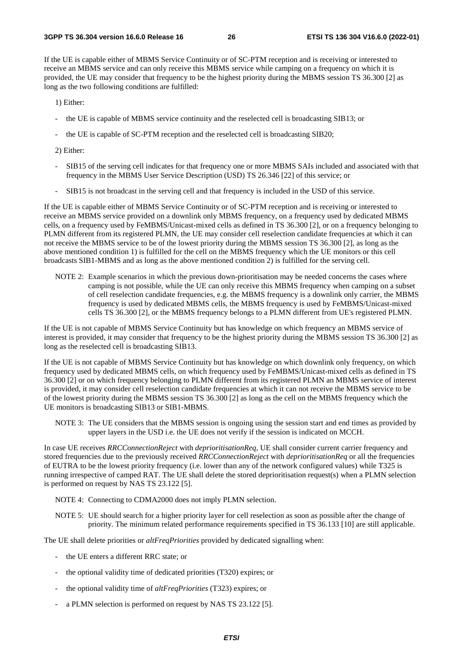If the UE is capable either of MBMS Service Continuity or of SC-PTM reception and is receiving or interested to receive an MBMS service and can only receive this MBMS service while camping on a frequency on which it is provided, the UE may consider that frequency to be the highest priority during the MBMS session TS 36.300 [2] as long as the two following conditions are fulfilled:

1) Either:

- the UE is capable of MBMS service continuity and the reselected cell is broadcasting SIB13; or
- the UE is capable of SC-PTM reception and the reselected cell is broadcasting SIB20;
- 2) Either:
- SIB15 of the serving cell indicates for that frequency one or more MBMS SAIs included and associated with that frequency in the MBMS User Service Description (USD) TS 26.346 [22] of this service; or
- SIB15 is not broadcast in the serving cell and that frequency is included in the USD of this service.

If the UE is capable either of MBMS Service Continuity or of SC-PTM reception and is receiving or interested to receive an MBMS service provided on a downlink only MBMS frequency, on a frequency used by dedicated MBMS cells, on a frequency used by FeMBMS/Unicast-mixed cells as defined in TS 36.300 [2], or on a frequency belonging to PLMN different from its registered PLMN, the UE may consider cell reselection candidate frequencies at which it can not receive the MBMS service to be of the lowest priority during the MBMS session TS 36.300 [2], as long as the above mentioned condition 1) is fulfilled for the cell on the MBMS frequency which the UE monitors or this cell broadcasts SIB1-MBMS and as long as the above mentioned condition 2) is fulfilled for the serving cell.

NOTE 2: Example scenarios in which the previous down-prioritisation may be needed concerns the cases where camping is not possible, while the UE can only receive this MBMS frequency when camping on a subset of cell reselection candidate frequencies, e.g. the MBMS frequency is a downlink only carrier, the MBMS frequency is used by dedicated MBMS cells, the MBMS frequency is used by FeMBMS/Unicast-mixed cells TS 36.300 [2], or the MBMS frequency belongs to a PLMN different from UE's registered PLMN.

If the UE is not capable of MBMS Service Continuity but has knowledge on which frequency an MBMS service of interest is provided, it may consider that frequency to be the highest priority during the MBMS session TS 36.300 [2] as long as the reselected cell is broadcasting SIB13.

If the UE is not capable of MBMS Service Continuity but has knowledge on which downlink only frequency, on which frequency used by dedicated MBMS cells, on which frequency used by FeMBMS/Unicast-mixed cells as defined in TS 36.300 [2] or on which frequency belonging to PLMN different from its registered PLMN an MBMS service of interest is provided, it may consider cell reselection candidate frequencies at which it can not receive the MBMS service to be of the lowest priority during the MBMS session TS 36.300 [2] as long as the cell on the MBMS frequency which the UE monitors is broadcasting SIB13 or SIB1-MBMS.

NOTE 3: The UE considers that the MBMS session is ongoing using the session start and end times as provided by upper layers in the USD i.e. the UE does not verify if the session is indicated on MCCH.

In case UE receives *RRCConnectionReject* with *deprioritisationReq*, UE shall consider current carrier frequency and stored frequencies due to the previously received *RRCConnectionReject* with *deprioritisationReq* or all the frequencies of EUTRA to be the lowest priority frequency (i.e. lower than any of the network configured values) while T325 is running irrespective of camped RAT. The UE shall delete the stored deprioritisation request(s) when a PLMN selection is performed on request by NAS TS 23.122 [5].

- NOTE 4: Connecting to CDMA2000 does not imply PLMN selection.
- NOTE 5: UE should search for a higher priority layer for cell reselection as soon as possible after the change of priority. The minimum related performance requirements specified in TS 36.133 [10] are still applicable.

The UE shall delete priorities or *altFreqPriorities* provided by dedicated signalling when:

- the UE enters a different RRC state; or
- the optional validity time of dedicated priorities (T320) expires; or
- the optional validity time of *altFreqPriorities* (T323) expires; or
- a PLMN selection is performed on request by NAS TS 23.122 [5].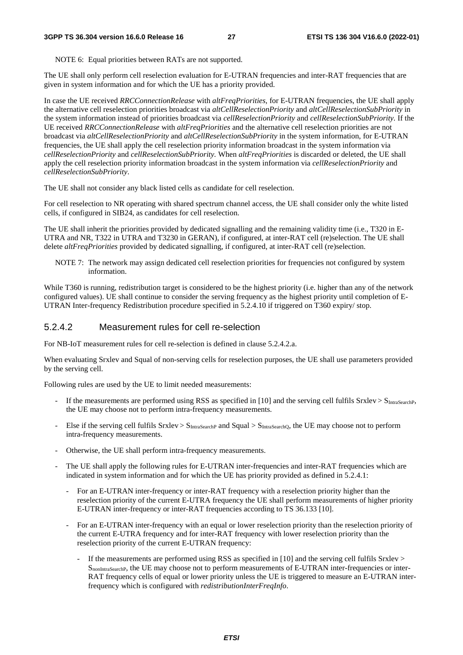NOTE 6: Equal priorities between RATs are not supported.

The UE shall only perform cell reselection evaluation for E-UTRAN frequencies and inter-RAT frequencies that are given in system information and for which the UE has a priority provided.

In case the UE received *RRCConnectionRelease* with *altFreqPriorities*, for E-UTRAN frequencies, the UE shall apply the alternative cell reselection priorities broadcast via *altCellReselectionPriority* and *altCellReselectionSubPriority* in the system information instead of priorities broadcast via *cellReselectionPriority* and *cellReselectionSubPriority.* If the UE received *RRCConnectionRelease* with *altFreqPriorities* and the alternative cell reselection priorities are not broadcast via *altCellReselectionPriority* and *altCellReselectionSubPriority* in the system information, for E-UTRAN frequencies, the UE shall apply the cell reselection priority information broadcast in the system information via *cellReselectionPriority* and *cellReselectionSubPriority.* When *altFreqPriorities* is discarded or deleted, the UE shall apply the cell reselection priority information broadcast in the system information via *cellReselectionPriority* and *cellReselectionSubPriority*.

The UE shall not consider any black listed cells as candidate for cell reselection.

For cell reselection to NR operating with shared spectrum channel access, the UE shall consider only the white listed cells, if configured in SIB24, as candidates for cell reselection.

The UE shall inherit the priorities provided by dedicated signalling and the remaining validity time (i.e., T320 in E-UTRA and NR, T322 in UTRA and T3230 in GERAN), if configured, at inter-RAT cell (re)selection. The UE shall delete *altFreqPriorities* provided by dedicated signalling, if configured, at inter-RAT cell (re)selection.

NOTE 7: The network may assign dedicated cell reselection priorities for frequencies not configured by system information.

While T360 is running, redistribution target is considered to be the highest priority (i.e. higher than any of the network configured values). UE shall continue to consider the serving frequency as the highest priority until completion of E-UTRAN Inter-frequency Redistribution procedure specified in 5.2.4.10 if triggered on T360 expiry/ stop.

#### 5.2.4.2 Measurement rules for cell re-selection

For NB-IoT measurement rules for cell re-selection is defined in clause 5.2.4.2.a.

When evaluating Srxlev and Squal of non-serving cells for reselection purposes, the UE shall use parameters provided by the serving cell.

Following rules are used by the UE to limit needed measurements:

- If the measurements are performed using RSS as specified in [10] and the serving cell fulfils  $S_r$ xlev  $> S_{lntraSearchP}$ , the UE may choose not to perform intra-frequency measurements.
- Else if the serving cell fulfils  $S$ rxlev  $> S$ <sub>IntraSearchP</sub> and Squal  $> S$ <sub>IntraSearchQ</sub>, the UE may choose not to perform intra-frequency measurements.
- Otherwise, the UE shall perform intra-frequency measurements.
- The UE shall apply the following rules for E-UTRAN inter-frequencies and inter-RAT frequencies which are indicated in system information and for which the UE has priority provided as defined in 5.2.4.1:
	- For an E-UTRAN inter-frequency or inter-RAT frequency with a reselection priority higher than the reselection priority of the current E-UTRA frequency the UE shall perform measurements of higher priority E-UTRAN inter-frequency or inter-RAT frequencies according to TS 36.133 [10].
	- For an E-UTRAN inter-frequency with an equal or lower reselection priority than the reselection priority of the current E-UTRA frequency and for inter-RAT frequency with lower reselection priority than the reselection priority of the current E-UTRAN frequency:
		- If the measurements are performed using RSS as specified in [10] and the serving cell fulfils Srxlev > SnonIntraSearchP, the UE may choose not to perform measurements of E-UTRAN inter-frequencies or inter-RAT frequency cells of equal or lower priority unless the UE is triggered to measure an E-UTRAN interfrequency which is configured with *redistributionInterFreqInfo*.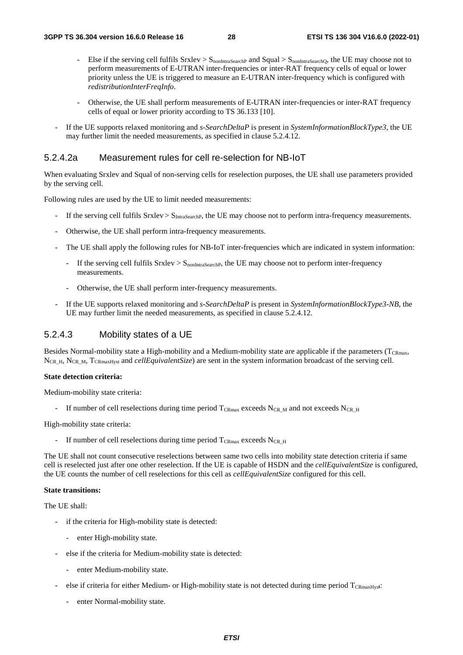- Else if the serving cell fulfils  $Srxlev > S_{nonIntraSearchP}$  and  $Squal > S_{nonIntraSearchQ}$ , the UE may choose not to perform measurements of E-UTRAN inter-frequencies or inter-RAT frequency cells of equal or lower priority unless the UE is triggered to measure an E-UTRAN inter-frequency which is configured with *redistributionInterFreqInfo*.
- Otherwise, the UE shall perform measurements of E-UTRAN inter-frequencies or inter-RAT frequency cells of equal or lower priority according to TS 36.133 [10].
- If the UE supports relaxed monitoring and *s-SearchDeltaP* is present in *SystemInformationBlockType3*, the UE may further limit the needed measurements, as specified in clause 5.2.4.12.

### 5.2.4.2a Measurement rules for cell re-selection for NB-IoT

When evaluating Srxlev and Squal of non-serving cells for reselection purposes, the UE shall use parameters provided by the serving cell.

Following rules are used by the UE to limit needed measurements:

- If the serving cell fulfils Srxlev > S<sub>IntraSearchP</sub>, the UE may choose not to perform intra-frequency measurements.
- Otherwise, the UE shall perform intra-frequency measurements.
- The UE shall apply the following rules for NB-IoT inter-frequencies which are indicated in system information:
	- If the serving cell fulfils  $Srxlev > S<sub>nonIntraSearch</sub>$ , the UE may choose not to perform inter-frequency measurements.
	- Otherwise, the UE shall perform inter-frequency measurements.
- If the UE supports relaxed monitoring and *s-SearchDeltaP* is present in *SystemInformationBlockType3-NB*, the UE may further limit the needed measurements, as specified in clause 5.2.4.12.

#### 5.2.4.3 Mobility states of a UE

Besides Normal-mobility state a High-mobility and a Medium-mobility state are applicable if the parameters ( $T_{CRmax}$ , N<sub>CR\_H</sub>, N<sub>CR\_M</sub>, T<sub>CRmaxHyst</sub> and *cellEquivalentSize*) are sent in the system information broadcast of the serving cell.

#### **State detection criteria:**

Medium-mobility state criteria:

If number of cell reselections during time period  $T_{CRmax}$  exceeds N<sub>CR\_M</sub> and not exceeds N<sub>CR\_H</sub>

High-mobility state criteria:

If number of cell reselections during time period  $T_{CRmax}$  exceeds N<sub>CR\_H</sub>

The UE shall not count consecutive reselections between same two cells into mobility state detection criteria if same cell is reselected just after one other reselection. If the UE is capable of HSDN and the *cellEquivalentSize* is configured, the UE counts the number of cell reselections for this cell as *cellEquivalentSize* configured for this cell.

#### **State transitions:**

The UE shall:

- if the criteria for High-mobility state is detected:
	- enter High-mobility state.
- else if the criteria for Medium-mobility state is detected:
	- enter Medium-mobility state.
- else if criteria for either Medium- or High-mobility state is not detected during time period TCRmaxHys**t**:
	- enter Normal-mobility state.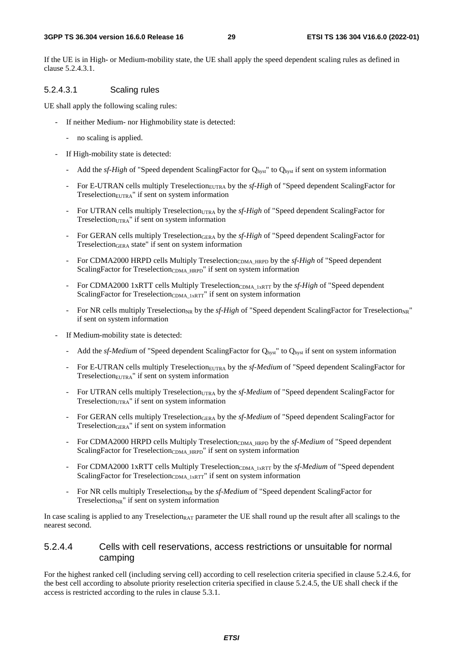#### **3GPP TS 36.304 version 16.6.0 Release 16 29 ETSI TS 136 304 V16.6.0 (2022-01)**

If the UE is in High- or Medium-mobility state, the UE shall apply the speed dependent scaling rules as defined in clause 5.2.4.3.1.

### 5.2.4.3.1 Scaling rules

UE shall apply the following scaling rules:

- If neither Medium- nor Highmobility state is detected:
	- no scaling is applied.
- If High-mobility state is detected:
	- Add the *sf-High* of "Speed dependent ScalingFactor for Q<sub>hyst</sub>" to Q<sub>hyst</sub> if sent on system information
	- For E-UTRAN cells multiply Treselection<sub>EUTRA</sub> by the *sf-High* of "Speed dependent ScalingFactor for  $Treselection<sub>EUTRA</sub>$ " if sent on system information
	- For UTRAN cells multiply Treselection<sub>UTRA</sub> by the *sf-High* of "Speed dependent ScalingFactor for Treselection $_{UTRA}$ " if sent on system information
	- For GERAN cells multiply TreselectionGERA by the *sf-High* of "Speed dependent ScalingFactor for TreselectionGERA state" if sent on system information
	- For CDMA2000 HRPD cells Multiply Treselection<sub>CDMA\_HRPD</sub> by the *sf-High* of "Speed dependent" ScalingFactor for Treselection<sub>CDMA\_HRPD</sub>" if sent on system information
	- For CDMA2000 1xRTT cells Multiply Treselection<sub>CDMA\_1xRTT</sub> by the *sf-High* of "Speed dependent" ScalingFactor for Treselection<sub>CDMA\_1xRTT</sub>" if sent on system information
	- For NR cells multiply Treselection<sub>NR</sub> by the *sf-High* of "Speed dependent ScalingFactor for Treselection<sub>NR</sub>" if sent on system information
- If Medium-mobility state is detected:
	- Add the *sf-Medium* of "Speed dependent ScalingFactor for Q<sub>hyst</sub>" to Q<sub>hyst</sub> if sent on system information
	- For E-UTRAN cells multiply Treselection<sub>EUTRA</sub> by the *sf-Medium* of "Speed dependent ScalingFactor for Treselection<sub>EUTRA</sub>" if sent on system information
	- For UTRAN cells multiply Treselection<sub>UTRA</sub> by the *sf-Medium* of "Speed dependent ScalingFactor for Treselection $_{UTRA}$ " if sent on system information
	- For GERAN cells multiply TreselectionGERA by the *sf-Medium* of "Speed dependent ScalingFactor for TreselectionGERA" if sent on system information
	- For CDMA2000 HRPD cells Multiply Treselection<sub>CDMA\_HRPD</sub> by the *sf-Medium* of "Speed dependent ScalingFactor for Treselection<sub>CDMA\_HRPD</sub>" if sent on system information
	- For CDMA2000 1xRTT cells Multiply TreselectionCDMA\_1xRTT by the *sf-Medium* of "Speed dependent ScalingFactor for Treselection<sub>CDMA\_1xRTT</sub>" if sent on system information
	- For NR cells multiply Treselection<sub>NR</sub> by the *sf-Medium* of "Speed dependent ScalingFactor for Treselection $_{NR}$ " if sent on system information

In case scaling is applied to any Treselection<sub>RAT</sub> parameter the UE shall round up the result after all scalings to the nearest second.

### 5.2.4.4 Cells with cell reservations, access restrictions or unsuitable for normal camping

For the highest ranked cell (including serving cell) according to cell reselection criteria specified in clause 5.2.4.6, for the best cell according to absolute priority reselection criteria specified in clause 5.2.4.5, the UE shall check if the access is restricted according to the rules in clause 5.3.1.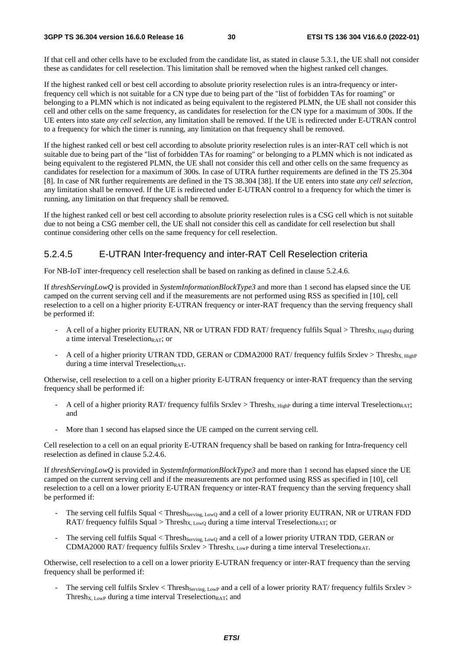#### **3GPP TS 36.304 version 16.6.0 Release 16 30 ETSI TS 136 304 V16.6.0 (2022-01)**

If that cell and other cells have to be excluded from the candidate list, as stated in clause 5.3.1, the UE shall not consider these as candidates for cell reselection. This limitation shall be removed when the highest ranked cell changes.

If the highest ranked cell or best cell according to absolute priority reselection rules is an intra-frequency or interfrequency cell which is not suitable for a CN type due to being part of the "list of forbidden TAs for roaming" or belonging to a PLMN which is not indicated as being equivalent to the registered PLMN, the UE shall not consider this cell and other cells on the same frequency, as candidates for reselection for the CN type for a maximum of 300s. If the UE enters into state *any cell selection*, any limitation shall be removed. If the UE is redirected under E-UTRAN control to a frequency for which the timer is running, any limitation on that frequency shall be removed.

If the highest ranked cell or best cell according to absolute priority reselection rules is an inter-RAT cell which is not suitable due to being part of the "list of forbidden TAs for roaming" or belonging to a PLMN which is not indicated as being equivalent to the registered PLMN, the UE shall not consider this cell and other cells on the same frequency as candidates for reselection for a maximum of 300s. In case of UTRA further requirements are defined in the TS 25.304 [8]. In case of NR further requirements are defined in the TS 38.304 [38]. If the UE enters into state *any cell selection*, any limitation shall be removed. If the UE is redirected under E-UTRAN control to a frequency for which the timer is running, any limitation on that frequency shall be removed.

If the highest ranked cell or best cell according to absolute priority reselection rules is a CSG cell which is not suitable due to not being a CSG member cell, the UE shall not consider this cell as candidate for cell reselection but shall continue considering other cells on the same frequency for cell reselection.

## 5.2.4.5 E-UTRAN Inter-frequency and inter-RAT Cell Reselection criteria

For NB-IoT inter-frequency cell reselection shall be based on ranking as defined in clause 5.2.4.6.

If *threshServingLowQ* is provided in *SystemInformationBlockType3* and more than 1 second has elapsed since the UE camped on the current serving cell and if the measurements are not performed using RSS as specified in [10], cell reselection to a cell on a higher priority E-UTRAN frequency or inter-RAT frequency than the serving frequency shall be performed if:

- A cell of a higher priority EUTRAN, NR or UTRAN FDD RAT/ frequency fulfils Squal > Thresh<sub>X, High</sub> during a time interval Treselection<sub>RAT</sub>; or
- A cell of a higher priority UTRAN TDD, GERAN or CDMA2000 RAT/ frequency fulfils Srxlev > Thresh<sub>X, HighP</sub> during a time interval Treselection $RAT$ .

Otherwise, cell reselection to a cell on a higher priority E-UTRAN frequency or inter-RAT frequency than the serving frequency shall be performed if:

- A cell of a higher priority RAT/ frequency fulfils Srxlev > Thresh<sub>X, HighP</sub> during a time interval Treselection<sub>RAT</sub>; and
- More than 1 second has elapsed since the UE camped on the current serving cell.

Cell reselection to a cell on an equal priority E-UTRAN frequency shall be based on ranking for Intra-frequency cell reselection as defined in clause 5.2.4.6.

If *threshServingLowQ* is provided in *SystemInformationBlockType3* and more than 1 second has elapsed since the UE camped on the current serving cell and if the measurements are not performed using RSS as specified in [10], cell reselection to a cell on a lower priority E-UTRAN frequency or inter-RAT frequency than the serving frequency shall be performed if:

- The serving cell fulfils Squal < Thresh<sub>Serving, LowQ</sub> and a cell of a lower priority EUTRAN, NR or UTRAN FDD RAT/ frequency fulfils Squal > Thresh<sub>X, Low</sub>Q during a time interval Treselection<sub>RAT</sub>; or
- The serving cell fulfils Squal < Thresh<sub>Serving, LowQ</sub> and a cell of a lower priority UTRAN TDD, GERAN or CDMA2000 RAT/ frequency fulfils Srxlev > Thresh<sub>X, LowP</sub> during a time interval Treselection<sub>RAT</sub>.

Otherwise, cell reselection to a cell on a lower priority E-UTRAN frequency or inter-RAT frequency than the serving frequency shall be performed if:

The serving cell fulfils Srxlev < Thresh<sub>Serving, LowP</sub> and a cell of a lower priority RAT/ frequency fulfils Srxlev > Thresh<sub>X, LowP</sub> during a time interval Treselection<sub>RAT</sub>; and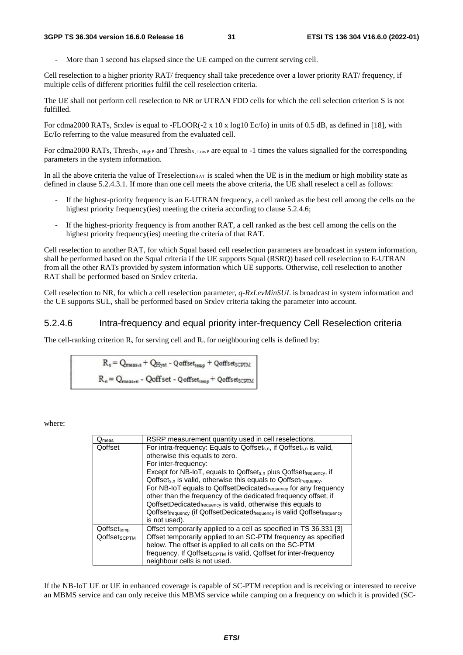More than 1 second has elapsed since the UE camped on the current serving cell.

Cell reselection to a higher priority RAT/ frequency shall take precedence over a lower priority RAT/ frequency, if multiple cells of different priorities fulfil the cell reselection criteria.

The UE shall not perform cell reselection to NR or UTRAN FDD cells for which the cell selection criterion S is not fulfilled.

For cdma2000 RATs, Srxlev is equal to -FLOOR(-2 x 10 x log10 Ec/Io) in units of 0.5 dB, as defined in [18], with Ec/Io referring to the value measured from the evaluated cell.

For cdma2000 RATs, Thresh<sub>X, HighP</sub> and Thresh<sub>X, LowP</sub> are equal to -1 times the values signalled for the corresponding parameters in the system information.

In all the above criteria the value of Treselection<sub>RAT</sub> is scaled when the UE is in the medium or high mobility state as defined in clause 5.2.4.3.1. If more than one cell meets the above criteria, the UE shall reselect a cell as follows:

- If the highest-priority frequency is an E-UTRAN frequency, a cell ranked as the best cell among the cells on the highest priority frequency(ies) meeting the criteria according to clause 5.2.4.6;
- If the highest-priority frequency is from another RAT, a cell ranked as the best cell among the cells on the highest priority frequency(ies) meeting the criteria of that RAT.

Cell reselection to another RAT, for which Squal based cell reselection parameters are broadcast in system information, shall be performed based on the Squal criteria if the UE supports Squal (RSRQ) based cell reselection to E-UTRAN from all the other RATs provided by system information which UE supports. Otherwise, cell reselection to another RAT shall be performed based on Srxlev criteria.

Cell reselection to NR, for which a cell reselection parameter, *q-RxLevMinSUL* is broadcast in system information and the UE supports SUL, shall be performed based on Srxlev criteria taking the parameter into account.

#### 5.2.4.6 Intra-frequency and equal priority inter-frequency Cell Reselection criteria

The cell-ranking criterion  $R_s$  for serving cell and  $R_n$  for neighbouring cells is defined by:

$$
R_s = Q_{meas_{10}} + Q_{Hyst} - Q_{offset_{temp}} + Q_{offset_{SCPIM}}
$$
  

$$
R_n = Q_{meas_{10}} - Q_{offset} - Q_{offset_{temp}} + Q_{offset_{SCPIM}}
$$

where:

| $Q_{meas}$          | RSRP measurement quantity used in cell reselections.                                                         |  |
|---------------------|--------------------------------------------------------------------------------------------------------------|--|
| Qoffset             | For intra-frequency: Equals to Qoffset <sub>s,n</sub> , if Qoffset <sub>s,n</sub> is valid,                  |  |
|                     | otherwise this equals to zero.                                                                               |  |
|                     | For inter-frequency:                                                                                         |  |
|                     | Except for NB-IoT, equals to Qoffset <sub>s.n</sub> plus Qoffset <sub>frequency</sub> , if                   |  |
|                     | $Q$ offset <sub>s.n</sub> is valid, otherwise this equals to $Q$ offset $f_{\text{frequency}}$ .             |  |
|                     | For NB-IoT equals to QoffsetDedicatedfrequency for any frequency                                             |  |
|                     | other than the frequency of the dedicated frequency offset, if                                               |  |
|                     | QoffsetDedicated <sub>frequency</sub> is valid, otherwise this equals to                                     |  |
|                     | Qoffset <sub>frequency</sub> (if QoffsetDedicated <sub>frequency</sub> is valid Qoffset <sub>frequency</sub> |  |
|                     | is not used).                                                                                                |  |
| Qoffsettemp         | Offset temporarily applied to a cell as specified in TS 36.331 [3]                                           |  |
| <b>QoffsetscPTM</b> | Offset temporarily applied to an SC-PTM frequency as specified                                               |  |
|                     | below. The offset is applied to all cells on the SC-PTM                                                      |  |
|                     | frequency. If Qoffset <sub>SCPTM</sub> is valid, Qoffset for inter-frequency                                 |  |
|                     | neighbour cells is not used.                                                                                 |  |

If the NB-IoT UE or UE in enhanced coverage is capable of SC-PTM reception and is receiving or interested to receive an MBMS service and can only receive this MBMS service while camping on a frequency on which it is provided (SC-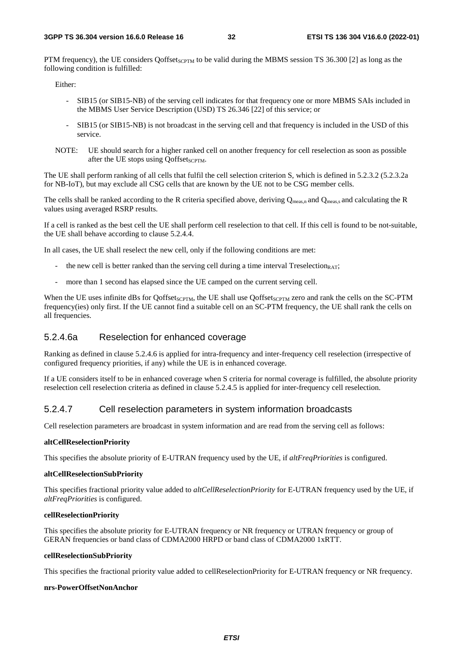PTM frequency), the UE considers Qoffset<sub>SCPTM</sub> to be valid during the MBMS session TS 36.300 [2] as long as the following condition is fulfilled:

Either:

- SIB15 (or SIB15-NB) of the serving cell indicates for that frequency one or more MBMS SAIs included in the MBMS User Service Description (USD) TS 26.346 [22] of this service; or
- SIB15 (or SIB15-NB) is not broadcast in the serving cell and that frequency is included in the USD of this service.
- NOTE: UE should search for a higher ranked cell on another frequency for cell reselection as soon as possible after the UE stops using OoffsetsCPTM.

The UE shall perform ranking of all cells that fulfil the cell selection criterion S, which is defined in 5.2.3.2 (5.2.3.2a for NB-IoT), but may exclude all CSG cells that are known by the UE not to be CSG member cells.

The cells shall be ranked according to the R criteria specified above, deriving  $Q_{meas,n}$  and  $Q_{meas,s}$  and calculating the R values using averaged RSRP results.

If a cell is ranked as the best cell the UE shall perform cell reselection to that cell. If this cell is found to be not-suitable, the UE shall behave according to clause 5.2.4.4.

In all cases, the UE shall reselect the new cell, only if the following conditions are met:

- the new cell is better ranked than the serving cell during a time interval Treselection<sub>RAT</sub>;
- more than 1 second has elapsed since the UE camped on the current serving cell.

When the UE uses infinite dBs for Qoffset<sub>SCPTM</sub>, the UE shall use Qoffset<sub>SCPTM</sub> zero and rank the cells on the SC-PTM frequency(ies) only first. If the UE cannot find a suitable cell on an SC-PTM frequency, the UE shall rank the cells on all frequencies.

### 5.2.4.6a Reselection for enhanced coverage

Ranking as defined in clause 5.2.4.6 is applied for intra-frequency and inter-frequency cell reselection (irrespective of configured frequency priorities, if any) while the UE is in enhanced coverage.

If a UE considers itself to be in enhanced coverage when S criteria for normal coverage is fulfilled, the absolute priority reselection cell reselection criteria as defined in clause 5.2.4.5 is applied for inter-frequency cell reselection.

#### 5.2.4.7 Cell reselection parameters in system information broadcasts

Cell reselection parameters are broadcast in system information and are read from the serving cell as follows:

#### **altCellReselectionPriority**

This specifies the absolute priority of E-UTRAN frequency used by the UE, if *altFreqPriorities* is configured.

#### **altCellReselectionSubPriority**

This specifies fractional priority value added to *altCellReselectionPriority* for E-UTRAN frequency used by the UE, if *altFreqPriorities* is configured.

#### **cellReselectionPriority**

This specifies the absolute priority for E-UTRAN frequency or NR frequency or UTRAN frequency or group of GERAN frequencies or band class of CDMA2000 HRPD or band class of CDMA2000 1xRTT.

#### **cellReselectionSubPriority**

This specifies the fractional priority value added to cellReselectionPriority for E-UTRAN frequency or NR frequency.

#### **nrs-PowerOffsetNonAnchor**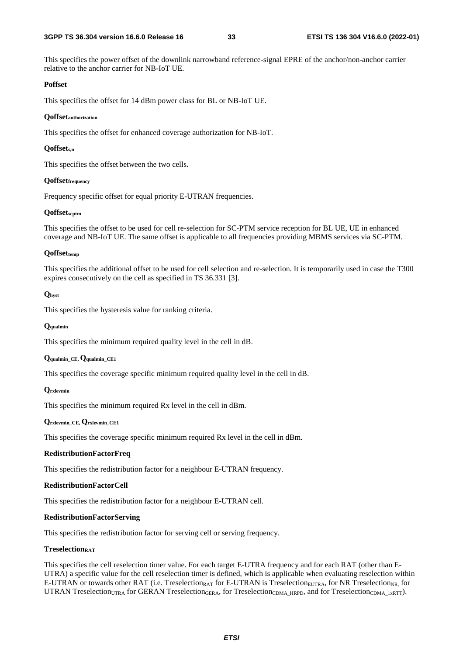This specifies the power offset of the downlink narrowband reference-signal EPRE of the anchor/non-anchor carrier relative to the anchor carrier for NB-IoT UE.

#### **Poffset**

This specifies the offset for 14 dBm power class for BL or NB-IoT UE.

#### **Qoffsetauthorization**

This specifies the offset for enhanced coverage authorization for NB-IoT.

#### **Qoffsets,n**

This specifies the offset between the two cells.

#### **Qoffsetfrequency**

Frequency specific offset for equal priority E-UTRAN frequencies.

#### **Qoffsetscptm**

This specifies the offset to be used for cell re-selection for SC-PTM service reception for BL UE, UE in enhanced coverage and NB-IoT UE. The same offset is applicable to all frequencies providing MBMS services via SC-PTM.

#### **Qoffsettemp**

This specifies the additional offset to be used for cell selection and re-selection. It is temporarily used in case the T300 expires consecutively on the cell as specified in TS 36.331 [3].

#### **Qhyst**

This specifies the hysteresis value for ranking criteria.

#### **Qqualmin**

This specifies the minimum required quality level in the cell in dB.

#### **Qqualmin\_CE, Qqualmin\_CE1**

This specifies the coverage specific minimum required quality level in the cell in dB.

#### **Qrxlevmin**

This specifies the minimum required Rx level in the cell in dBm.

#### **Qrxlevmin\_CE, Qrxlevmin\_CE1**

This specifies the coverage specific minimum required Rx level in the cell in dBm.

#### **RedistributionFactorFreq**

This specifies the redistribution factor for a neighbour E-UTRAN frequency.

#### **RedistributionFactorCell**

This specifies the redistribution factor for a neighbour E-UTRAN cell.

#### **RedistributionFactorServing**

This specifies the redistribution factor for serving cell or serving frequency.

#### **TreselectionRAT**

This specifies the cell reselection timer value. For each target E-UTRA frequency and for each RAT (other than E-UTRA) a specific value for the cell reselection timer is defined, which is applicable when evaluating reselection within E-UTRAN or towards other RAT (i.e. Treselection<sub>RAT</sub> for E-UTRAN is Treselection<sub>EUTRA</sub>, for NR Treselection<sub>NR</sub>, for UTRAN Treselection<sub>UTRA</sub> for GERAN Treselection<sub>GERA</sub>, for Treselection<sub>CDMA</sub> HRPD, and for Treselection<sub>CDMA</sub> <sub>1xRTT</sub>).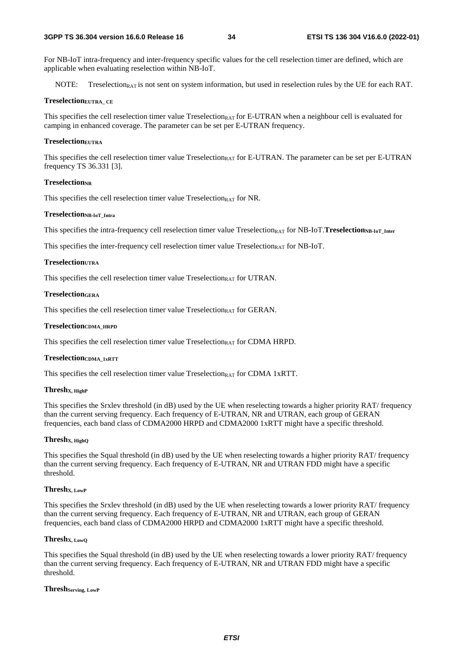For NB-IoT intra-frequency and inter-frequency specific values for the cell reselection timer are defined, which are applicable when evaluating reselection within NB-IoT.

NOTE: Treselection<sub>RAT</sub> is not sent on system information, but used in reselection rules by the UE for each RAT.

#### **TreselectionEUTRA\_ CE**

This specifies the cell reselection timer value Treselection<sub>RAT</sub> for E-UTRAN when a neighbour cell is evaluated for camping in enhanced coverage. The parameter can be set per E-UTRAN frequency.

#### **TreselectionEUTRA**

This specifies the cell reselection timer value Treselection<sub>RAT</sub> for E-UTRAN. The parameter can be set per E-UTRAN frequency TS 36.331 [3].

#### **TreselectionNR**

This specifies the cell reselection timer value  $T$ reselection<sub>RAT</sub> for NR.

#### **TreselectionNB-IoT\_Intra**

This specifies the intra-frequency cell reselection timer value Treselection<sub>RAT</sub> for NB-IoT.**Treselection<sub>NB-IoT</sub>** Inter

This specifies the inter-frequency cell reselection timer value  $T$ reselection<sub>RAT</sub> for NB-IoT.

#### **TreselectionUTRA**

This specifies the cell reselection timer value  $T$ reselection $RAT$  for UTRAN.

#### **TreselectionGERA**

This specifies the cell reselection timer value Treselection<sub>RAT</sub> for GERAN.

#### **TreselectionCDMA\_HRPD**

This specifies the cell reselection timer value  $T$ reselection $_{RAT}$  for CDMA HRPD.

#### **TreselectionCDMA\_1xRTT**

This specifies the cell reselection timer value Treselection<sub>RAT</sub> for CDMA 1xRTT.

#### **ThreshX, HighP**

This specifies the Srxlev threshold (in dB) used by the UE when reselecting towards a higher priority RAT/ frequency than the current serving frequency. Each frequency of E-UTRAN, NR and UTRAN, each group of GERAN frequencies, each band class of CDMA2000 HRPD and CDMA2000 1xRTT might have a specific threshold.

#### **ThreshX, HighQ**

This specifies the Squal threshold (in dB) used by the UE when reselecting towards a higher priority RAT/ frequency than the current serving frequency. Each frequency of E-UTRAN, NR and UTRAN FDD might have a specific threshold.

#### **ThreshX, LowP**

This specifies the Srxlev threshold (in dB) used by the UE when reselecting towards a lower priority RAT/ frequency than the current serving frequency. Each frequency of E-UTRAN, NR and UTRAN, each group of GERAN frequencies, each band class of CDMA2000 HRPD and CDMA2000 1xRTT might have a specific threshold.

#### **ThreshX, LowQ**

This specifies the Squal threshold (in dB) used by the UE when reselecting towards a lower priority RAT/ frequency than the current serving frequency. Each frequency of E-UTRAN, NR and UTRAN FDD might have a specific threshold.

#### **ThreshServing, LowP**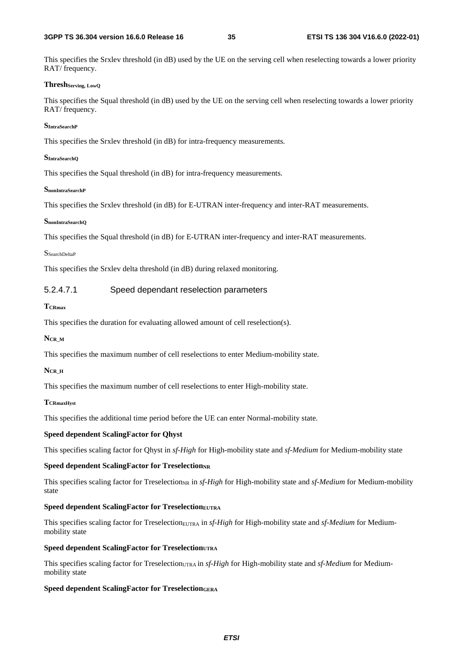#### **3GPP TS 36.304 version 16.6.0 Release 16 35 ETSI TS 136 304 V16.6.0 (2022-01)**

This specifies the Srxlev threshold (in dB) used by the UE on the serving cell when reselecting towards a lower priority RAT/ frequency.

#### **ThreshServing, LowQ**

This specifies the Squal threshold (in dB) used by the UE on the serving cell when reselecting towards a lower priority RAT/ frequency.

#### **SIntraSearchP**

This specifies the Srxlev threshold (in dB) for intra-frequency measurements.

#### **SIntraSearchQ**

This specifies the Squal threshold (in dB) for intra-frequency measurements.

#### **SnonIntraSearchP**

This specifies the Srxlev threshold (in dB) for E-UTRAN inter-frequency and inter-RAT measurements.

#### **SnonIntraSearchQ**

This specifies the Squal threshold (in dB) for E-UTRAN inter-frequency and inter-RAT measurements.

#### SSearchDeltaP

This specifies the Srxlev delta threshold (in dB) during relaxed monitoring.

#### 5.2.4.7.1 Speed dependant reselection parameters

#### **TCRmax**

This specifies the duration for evaluating allowed amount of cell reselection(s).

#### **NCR\_M**

This specifies the maximum number of cell reselections to enter Medium-mobility state.

#### **NCR\_H**

This specifies the maximum number of cell reselections to enter High-mobility state.

#### **TCRmaxHyst**

This specifies the additional time period before the UE can enter Normal-mobility state.

#### **Speed dependent ScalingFactor for Qhyst**

This specifies scaling factor for Qhyst in *sf-High* for High-mobility state and *sf-Medium* for Medium-mobility state

#### **Speed dependent ScalingFactor for TreselectionNR**

This specifies scaling factor for Treselection<sub>NR</sub> in *sf-High* for High-mobility state and *sf-Medium* for Medium-mobility state

#### **Speed dependent ScalingFactor for TreselectionEUTRA**

This specifies scaling factor for Treselection<sub>EUTRA</sub> in *sf-High* for High-mobility state and *sf-Medium* for Mediummobility state

#### **Speed dependent ScalingFactor for TreselectionUTRA**

This specifies scaling factor for Treselection<sub>UTRA</sub> in *sf-High* for High-mobility state and *sf-Medium* for Mediummobility state

#### **Speed dependent ScalingFactor for TreselectionGERA**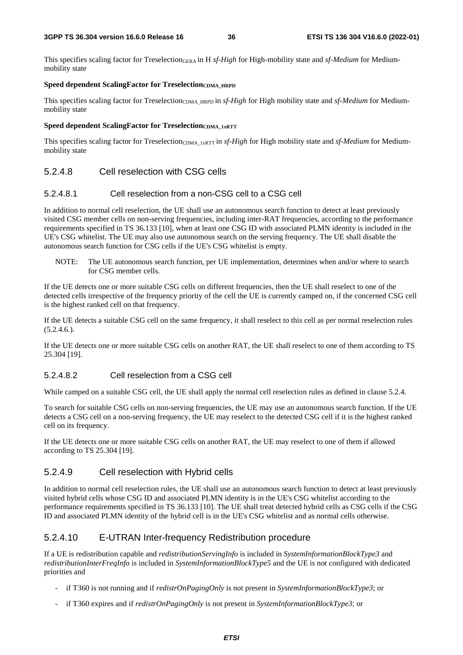This specifies scaling factor for TreselectionGERA in H *sf-High* for High-mobility state and *sf-Medium* for Mediummobility state

#### Speed dependent ScalingFactor for Treselection<sub>CDMA</sub> HRPD

This specifies scaling factor for Treselection<sub>CDMA\_HRPD</sub> in *sf-High* for High mobility state and *sf-Medium* for Mediummobility state

#### **Speed dependent ScalingFactor for TreselectionCDMA\_1xRTT**

This specifies scaling factor for Treselection<sub>CDMA\_1xRT</sub> in *sf-High* for High mobility state and *sf-Medium* for Mediummobility state

### 5.2.4.8 Cell reselection with CSG cells

#### 5.2.4.8.1 Cell reselection from a non-CSG cell to a CSG cell

In addition to normal cell reselection, the UE shall use an autonomous search function to detect at least previously visited CSG member cells on non-serving frequencies, including inter-RAT frequencies, according to the performance requirements specified in TS 36.133 [10], when at least one CSG ID with associated PLMN identity is included in the UE's CSG whitelist. The UE may also use autonomous search on the serving frequency. The UE shall disable the autonomous search function for CSG cells if the UE's CSG whitelist is empty.

NOTE: The UE autonomous search function, per UE implementation, determines when and/or where to search for CSG member cells.

If the UE detects one or more suitable CSG cells on different frequencies, then the UE shall reselect to one of the detected cells irrespective of the frequency priority of the cell the UE is currently camped on, if the concerned CSG cell is the highest ranked cell on that frequency.

If the UE detects a suitable CSG cell on the same frequency, it shall reselect to this cell as per normal reselection rules  $(5.2.4.6.)$ .

If the UE detects one or more suitable CSG cells on another RAT, the UE shall reselect to one of them according to TS 25.304 [19].

#### 5.2.4.8.2 Cell reselection from a CSG cell

While camped on a suitable CSG cell, the UE shall apply the normal cell reselection rules as defined in clause 5.2.4.

To search for suitable CSG cells on non-serving frequencies, the UE may use an autonomous search function. If the UE detects a CSG cell on a non-serving frequency, the UE may reselect to the detected CSG cell if it is the highest ranked cell on its frequency.

If the UE detects one or more suitable CSG cells on another RAT, the UE may reselect to one of them if allowed according to TS 25.304 [19].

### 5.2.4.9 Cell reselection with Hybrid cells

In addition to normal cell reselection rules, the UE shall use an autonomous search function to detect at least previously visited hybrid cells whose CSG ID and associated PLMN identity is in the UE's CSG whitelist according to the performance requirements specified in TS 36.133 [10]. The UE shall treat detected hybrid cells as CSG cells if the CSG ID and associated PLMN identity of the hybrid cell is in the UE's CSG whitelist and as normal cells otherwise.

### 5.2.4.10 E-UTRAN Inter-frequency Redistribution procedure

If a UE is redistribution capable and *redistributionServingInfo* is included in *SystemInformationBlockType3* and *redistributionInterFreqInfo* is included in *SystemInformationBlockType5* and the UE is not configured with dedicated priorities and

- if T360 is not running and if *redistrOnPagingOnly* is not present in *SystemInformationBlockType3*; or
- if T360 expires and if *redistrOnPagingOnly* is not present in *SystemInformationBlockType3*; or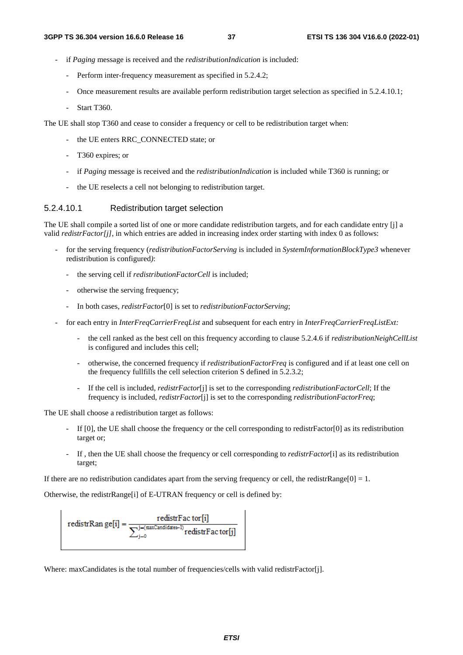- if *Paging* message is received and the *redistributionIndication* is included:
	- Perform inter-frequency measurement as specified in 5.2.4.2;
	- Once measurement results are available perform redistribution target selection as specified in 5.2.4.10.1;
	- Start T360.

The UE shall stop T360 and cease to consider a frequency or cell to be redistribution target when:

- the UE enters RRC\_CONNECTED state; or
- T360 expires; or
- if *Paging* message is received and the *redistributionIndication* is included while T360 is running; or
- the UE reselects a cell not belonging to redistribution target.

#### 5.2.4.10.1 Redistribution target selection

The UE shall compile a sorted list of one or more candidate redistribution targets, and for each candidate entry [j] a valid *redistrFactor[j]*, in which entries are added in increasing index order starting with index 0 as follows:

- for the serving frequency (*redistributionFactorServing* is included in *SystemInformationBlockType3* whenever redistribution is configured*)*:
	- the serving cell if *redistributionFactorCell* is included;
	- otherwise the serving frequency;
	- In both cases, *redistrFactor*[0] is set to *redistributionFactorServing*;
- for each entry in *InterFreqCarrierFreqList* and subsequent for each entry in *InterFreqCarrierFreqListExt:*
	- the cell ranked as the best cell on this frequency according to clause 5.2.4.6 if *redistributionNeighCellList* is configured and includes this cell;
	- otherwise, the concerned frequency if *redistributionFactorFreq* is configured and if at least one cell on the frequency fullfills the cell selection criterion S defined in 5.2.3.2;
	- If the cell is included, *redistrFactor*[j] is set to the corresponding *redistributionFactorCell*; If the frequency is included, *redistrFactor*[j] is set to the corresponding *redistributionFactorFreq*;

The UE shall choose a redistribution target as follows:

- If [0], the UE shall choose the frequency or the cell corresponding to redistrFactor[0] as its redistribution target or;
- If , then the UE shall choose the frequency or cell corresponding to *redistrFactor*[i] as its redistribution target;

If there are no redistribution candidates apart from the serving frequency or cell, the redistrRange[0] = 1.

Otherwise, the redistrRange[i] of E-UTRAN frequency or cell is defined by:

$$
redistrRan ge[i] = \frac{redistrFac\, \text{tor}[i]}{\sum_{j=0}^{j-(max\text{Candidates}-1)} redistrFac\, \text{tor}[j]}
$$

Where: maxCandidates is the total number of frequencies/cells with valid redistrFactor[j].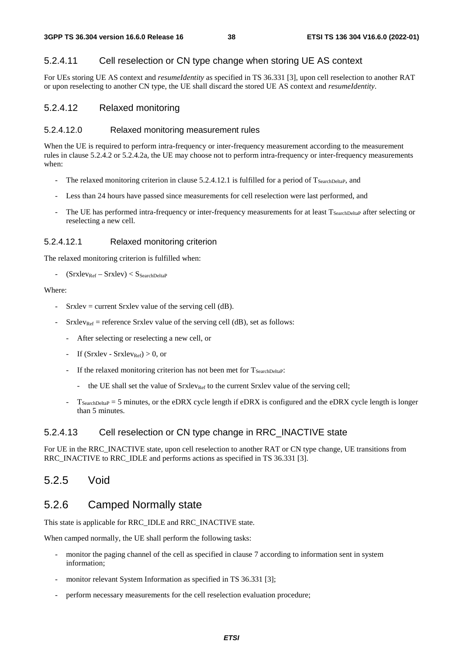### 5.2.4.11 Cell reselection or CN type change when storing UE AS context

For UEs storing UE AS context and *resumeIdentity* as specified in TS 36.331 [3], upon cell reselection to another RAT or upon reselecting to another CN type, the UE shall discard the stored UE AS context and *resumeIdentity*.

#### 5.2.4.12 Relaxed monitoring

#### 5.2.4.12.0 Relaxed monitoring measurement rules

When the UE is required to perform intra-frequency or inter-frequency measurement according to the measurement rules in clause 5.2.4.2 or 5.2.4.2a, the UE may choose not to perform intra-frequency or inter-frequency measurements when:

- The relaxed monitoring criterion in clause 5.2.4.12.1 is fulfilled for a period of  $T_{\text{SearchDelta}}$ , and
- Less than 24 hours have passed since measurements for cell reselection were last performed, and
- The UE has performed intra-frequency or inter-frequency measurements for at least T<sub>SearchDeltaP</sub> after selecting or reselecting a new cell.

#### 5.2.4.12.1 Relaxed monitoring criterion

The relaxed monitoring criterion is fulfilled when:

 $(Srxlev_{Ref} - Srxlev) < S<sub>SearchDeltaP</sub>$ 

#### Where:

- Srxlev = current Srxlev value of the serving cell  $(d)$ .
- $S$ rxlev<sub>Ref</sub> = reference Srxlev value of the serving cell (dB), set as follows:
	- After selecting or reselecting a new cell, or
	- If  $(Srxlev Srxlev_{Ref}) > 0$ , or
	- If the relaxed monitoring criterion has not been met for  $T_{\text{SearchDelta}}$ :
		- the UE shall set the value of  $S_{\text{rxley}_{\text{Ref}}}$  to the current  $S_{\text{rxley}}$  value of the serving cell;
	- $T_{SearchDeltaP} = 5$  minutes, or the eDRX cycle length if eDRX is configured and the eDRX cycle length is longer than 5 minutes.

#### 5.2.4.13 Cell reselection or CN type change in RRC\_INACTIVE state

For UE in the RRC\_INACTIVE state, upon cell reselection to another RAT or CN type change, UE transitions from RRC\_INACTIVE to RRC\_IDLE and performs actions as specified in TS 36.331 [3].

### 5.2.5 Void

### 5.2.6 Camped Normally state

This state is applicable for RRC\_IDLE and RRC\_INACTIVE state.

When camped normally, the UE shall perform the following tasks:

- monitor the paging channel of the cell as specified in clause 7 according to information sent in system information;
- monitor relevant System Information as specified in TS 36.331 [3];
- perform necessary measurements for the cell reselection evaluation procedure;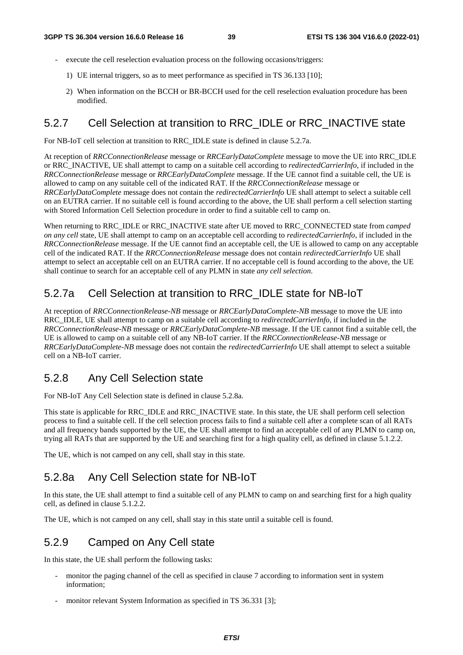- execute the cell reselection evaluation process on the following occasions/triggers:
	- 1) UE internal triggers, so as to meet performance as specified in TS 36.133 [10];
	- 2) When information on the BCCH or BR-BCCH used for the cell reselection evaluation procedure has been modified.

## 5.2.7 Cell Selection at transition to RRC\_IDLE or RRC\_INACTIVE state

For NB-IoT cell selection at transition to RRC\_IDLE state is defined in clause 5.2.7a.

At reception of *RRCConnectionRelease* message or *RRCEarlyDataComplete* message to move the UE into RRC\_IDLE or RRC\_INACTIVE, UE shall attempt to camp on a suitable cell according to *redirectedCarrierInfo*, if included in the *RRCConnectionRelease* message or *RRCEarlyDataComplete* message. If the UE cannot find a suitable cell, the UE is allowed to camp on any suitable cell of the indicated RAT. If the *RRCConnectionRelease* message or *RRCEarlyDataComplete* message does not contain the *redirectedCarrierInfo* UE shall attempt to select a suitable cell on an EUTRA carrier. If no suitable cell is found according to the above, the UE shall perform a cell selection starting with Stored Information Cell Selection procedure in order to find a suitable cell to camp on.

When returning to RRC\_IDLE or RRC\_INACTIVE state after UE moved to RRC\_CONNECTED state from *camped on any cell* state, UE shall attempt to camp on an acceptable cell according to *redirectedCarrierInfo*, if included in the *RRCConnectionRelease* message. If the UE cannot find an acceptable cell, the UE is allowed to camp on any acceptable cell of the indicated RAT. If the *RRCConnectionRelease* message does not contain *redirectedCarrierInfo* UE shall attempt to select an acceptable cell on an EUTRA carrier. If no acceptable cell is found according to the above, the UE shall continue to search for an acceptable cell of any PLMN in state *any cell selection*.

## 5.2.7a Cell Selection at transition to RRC\_IDLE state for NB-IoT

At reception of *RRCConnectionRelease-NB* message or *RRCEarlyDataComplete-NB* message to move the UE into RRC\_IDLE, UE shall attempt to camp on a suitable cell according to *redirectedCarrierInfo*, if included in the *RRCConnectionRelease-NB* message or *RRCEarlyDataComplete-NB* message. If the UE cannot find a suitable cell, the UE is allowed to camp on a suitable cell of any NB-IoT carrier. If the *RRCConnectionRelease-NB* message or *RRCEarlyDataComplete-NB* message does not contain the *redirectedCarrierInfo* UE shall attempt to select a suitable cell on a NB-IoT carrier.

### 5.2.8 Any Cell Selection state

For NB-IoT Any Cell Selection state is defined in clause 5.2.8a.

This state is applicable for RRC\_IDLE and RRC\_INACTIVE state. In this state, the UE shall perform cell selection process to find a suitable cell. If the cell selection process fails to find a suitable cell after a complete scan of all RATs and all frequency bands supported by the UE, the UE shall attempt to find an acceptable cell of any PLMN to camp on, trying all RATs that are supported by the UE and searching first for a high quality cell, as defined in clause 5.1.2.2.

The UE, which is not camped on any cell, shall stay in this state.

### 5.2.8a Any Cell Selection state for NB-IoT

In this state, the UE shall attempt to find a suitable cell of any PLMN to camp on and searching first for a high quality cell, as defined in clause 5.1.2.2.

The UE, which is not camped on any cell, shall stay in this state until a suitable cell is found.

## 5.2.9 Camped on Any Cell state

In this state, the UE shall perform the following tasks:

- monitor the paging channel of the cell as specified in clause 7 according to information sent in system information;
- monitor relevant System Information as specified in TS 36.331 [3];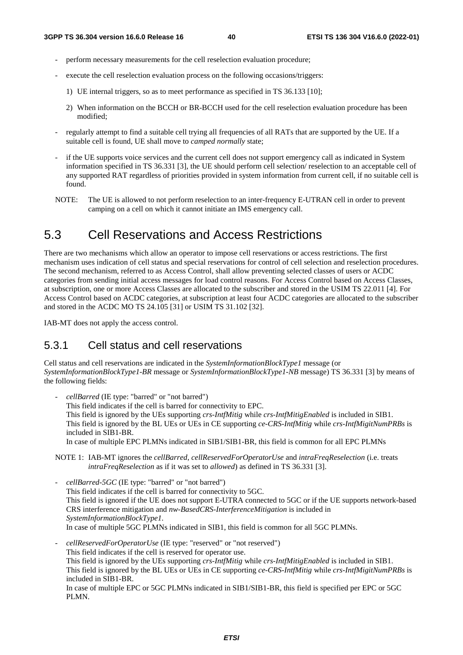- perform necessary measurements for the cell reselection evaluation procedure;
- execute the cell reselection evaluation process on the following occasions/triggers:
	- 1) UE internal triggers, so as to meet performance as specified in TS 36.133 [10];
	- 2) When information on the BCCH or BR-BCCH used for the cell reselection evaluation procedure has been modified;
- regularly attempt to find a suitable cell trying all frequencies of all RATs that are supported by the UE. If a suitable cell is found, UE shall move to *camped normally* state;
- if the UE supports voice services and the current cell does not support emergency call as indicated in System information specified in TS 36.331 [3], the UE should perform cell selection/ reselection to an acceptable cell of any supported RAT regardless of priorities provided in system information from current cell, if no suitable cell is found.
- NOTE: The UE is allowed to not perform reselection to an inter-frequency E-UTRAN cell in order to prevent camping on a cell on which it cannot initiate an IMS emergency call.

## 5.3 Cell Reservations and Access Restrictions

There are two mechanisms which allow an operator to impose cell reservations or access restrictions. The first mechanism uses indication of cell status and special reservations for control of cell selection and reselection procedures. The second mechanism, referred to as Access Control, shall allow preventing selected classes of users or ACDC categories from sending initial access messages for load control reasons. For Access Control based on Access Classes, at subscription, one or more Access Classes are allocated to the subscriber and stored in the USIM TS 22.011 [4]. For Access Control based on ACDC categories, at subscription at least four ACDC categories are allocated to the subscriber and stored in the ACDC MO TS 24.105 [31] or USIM TS 31.102 [32].

IAB-MT does not apply the access control.

## 5.3.1 Cell status and cell reservations

Cell status and cell reservations are indicated in the *SystemInformationBlockType1* message (or *SystemInformationBlockType1-BR* message or *SystemInformationBlockType1-NB* message) TS 36.331 [3] by means of the following fields:

- *cellBarred* (IE type: "barred" or "not barred") This field indicates if the cell is barred for connectivity to EPC. This field is ignored by the UEs supporting *crs-IntfMitig* while *crs-IntfMitigEnabled* is included in SIB1. This field is ignored by the BL UEs or UEs in CE supporting *ce-CRS-IntfMitig* while *crs-IntfMigitNumPRBs* is included in SIB1-BR. In case of multiple EPC PLMNs indicated in SIB1/SIB1-BR, this field is common for all EPC PLMNs

NOTE 1: IAB-MT ignores the *cellBarred*, *cellReservedForOperatorUse* and *intraFreqReselection* (i.e. treats *intraFreqReselection* as if it was set to *allowed*) as defined in TS 36.331 [3].

- *cellBarred-5GC* (IE type: "barred" or "not barred") This field indicates if the cell is barred for connectivity to 5GC. This field is ignored if the UE does not support E-UTRA connected to 5GC or if the UE supports network-based CRS interference mitigation and *nw-BasedCRS-InterferenceMitigation* is included in *SystemInformationBlockType1*. In case of multiple 5GC PLMNs indicated in SIB1, this field is common for all 5GC PLMNs.
- *cellReservedForOperatorUse* (IE type: "reserved" or "not reserved") This field indicates if the cell is reserved for operator use. This field is ignored by the UEs supporting *crs-IntfMitig* while *crs-IntfMitigEnabled* is included in SIB1. This field is ignored by the BL UEs or UEs in CE supporting *ce-CRS-IntfMitig* while *crs-IntfMigitNumPRBs* is included in SIB1-BR. In case of multiple EPC or 5GC PLMNs indicated in SIB1/SIB1-BR, this field is specified per EPC or 5GC PLMN.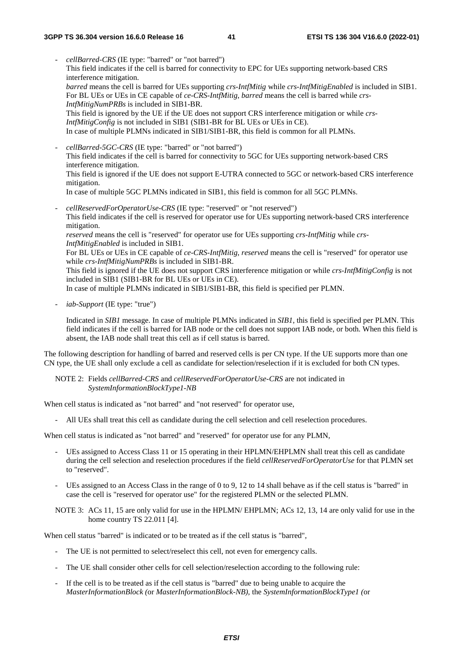- *cellBarred-CRS* (IE type: "barred" or "not barred") This field indicates if the cell is barred for connectivity to EPC for UEs supporting network-based CRS interference mitigation. *barred* means the cell is barred for UEs supporting *crs-IntfMitig* while *crs-IntfMitigEnabled* is included in SIB1. For BL UEs or UEs in CE capable of *ce-CRS-IntfMitig*, *barred* means the cell is barred while *crs-IntfMitigNumPRBs* is included in SIB1-BR. This field is ignored by the UE if the UE does not support CRS interference mitigation or while *crs-IntfMitigConfig* is not included in SIB1 (SIB1-BR for BL UEs or UEs in CE). In case of multiple PLMNs indicated in SIB1/SIB1-BR, this field is common for all PLMNs. - *cellBarred-5GC-CRS* (IE type: "barred" or "not barred") This field indicates if the cell is barred for connectivity to 5GC for UEs supporting network-based CRS interference mitigation. This field is ignored if the UE does not support E-UTRA connected to 5GC or network-based CRS interference mitigation. In case of multiple 5GC PLMNs indicated in SIB1, this field is common for all 5GC PLMNs. - *cellReservedForOperatorUse-CRS* (IE type: "reserved" or "not reserved") This field indicates if the cell is reserved for operator use for UEs supporting network-based CRS interference
	- mitigation. *reserved* means the cell is "reserved" for operator use for UEs supporting *crs-IntfMitig* while *crs-IntfMitigEnabled* is included in SIB1.

For BL UEs or UEs in CE capable of *ce-CRS-IntfMitig*, *reserved* means the cell is "reserved" for operator use while *crs-IntfMitigNumPRBs* is included in SIB1-BR.

This field is ignored if the UE does not support CRS interference mitigation or while *crs-IntfMitigConfig* is not included in SIB1 (SIB1-BR for BL UEs or UEs in CE).

In case of multiple PLMNs indicated in SIB1/SIB1-BR, this field is specified per PLMN.

- *iab-Support* (IE type: "true")

Indicated in *SIB1* message. In case of multiple PLMNs indicated in *SIB1*, this field is specified per PLMN. This field indicates if the cell is barred for IAB node or the cell does not support IAB node, or both. When this field is absent, the IAB node shall treat this cell as if cell status is barred.

The following description for handling of barred and reserved cells is per CN type. If the UE supports more than one CN type, the UE shall only exclude a cell as candidate for selection/reselection if it is excluded for both CN types.

NOTE 2: Fields *cellBarred-CRS* and *cellReservedForOperatorUse-CRS* are not indicated in *SystemInformationBlockType1-NB*

When cell status is indicated as "not barred" and "not reserved" for operator use,

- All UEs shall treat this cell as candidate during the cell selection and cell reselection procedures.

When cell status is indicated as "not barred" and "reserved" for operator use for any PLMN,

- UEs assigned to Access Class 11 or 15 operating in their HPLMN/EHPLMN shall treat this cell as candidate during the cell selection and reselection procedures if the field *cellReservedForOperatorUse* for that PLMN set to "reserved".
- UEs assigned to an Access Class in the range of 0 to 9, 12 to 14 shall behave as if the cell status is "barred" in case the cell is "reserved for operator use" for the registered PLMN or the selected PLMN.

NOTE 3: ACs 11, 15 are only valid for use in the HPLMN/ EHPLMN; ACs 12, 13, 14 are only valid for use in the home country TS 22.011 [4].

When cell status "barred" is indicated or to be treated as if the cell status is "barred",

- The UE is not permitted to select/reselect this cell, not even for emergency calls.
- The UE shall consider other cells for cell selection/reselection according to the following rule:
- If the cell is to be treated as if the cell status is "barred" due to being unable to acquire the *MasterInformationBlock (*or *MasterInformationBlock-NB),* the *SystemInformationBlockType1 (*or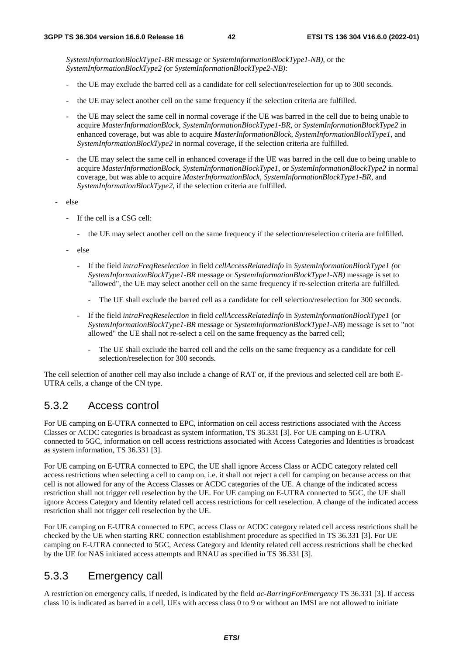*SystemInformationBlockType1-BR* message or *SystemInformationBlockType1-NB),* or the *SystemInformationBlockType2 (*or *SystemInformationBlockType2-NB)*:

- the UE may exclude the barred cell as a candidate for cell selection/reselection for up to 300 seconds.
- the UE may select another cell on the same frequency if the selection criteria are fulfilled.
- the UE may select the same cell in normal coverage if the UE was barred in the cell due to being unable to acquire *MasterInformationBlock*, *SystemInformationBlockType1-BR*, or *SystemInformationBlockType2* in enhanced coverage, but was able to acquire *MasterInformationBlock*, *SystemInformationBlockType1*, and *SystemInformationBlockType2* in normal coverage, if the selection criteria are fulfilled.
- the UE may select the same cell in enhanced coverage if the UE was barred in the cell due to being unable to acquire *MasterInformationBlock*, *SystemInformationBlockType1*, or *SystemInformationBlockType2* in normal coverage, but was able to acquire *MasterInformationBlock*, *SystemInformationBlockType1-BR*, and *SystemInformationBlockType2*, if the selection criteria are fulfilled.
- else
	- If the cell is a CSG cell:
		- the UE may select another cell on the same frequency if the selection/reselection criteria are fulfilled.
	- else
		- If the field *intraFreqReselection* in field *cellAccessRelatedInfo* in *SystemInformationBlockType1 (*or *SystemInformationBlockType1-BR* message or *SystemInformationBlockType1-NB)* message is set to "allowed", the UE may select another cell on the same frequency if re-selection criteria are fulfilled.
			- The UE shall exclude the barred cell as a candidate for cell selection/reselection for 300 seconds.
		- If the field *intraFreqReselection* in field *cellAccessRelatedInfo* in *SystemInformationBlockType1* (or *SystemInformationBlockType1-BR* message or *SystemInformationBlockType1-NB*) message is set to "not allowed" the UE shall not re-select a cell on the same frequency as the barred cell;
			- The UE shall exclude the barred cell and the cells on the same frequency as a candidate for cell selection/reselection for 300 seconds.

The cell selection of another cell may also include a change of RAT or, if the previous and selected cell are both E-UTRA cells, a change of the CN type.

### 5.3.2 Access control

For UE camping on E-UTRA connected to EPC, information on cell access restrictions associated with the Access Classes or ACDC categories is broadcast as system information, TS 36.331 [3]. For UE camping on E-UTRA connected to 5GC, information on cell access restrictions associated with Access Categories and Identities is broadcast as system information, TS 36.331 [3].

For UE camping on E-UTRA connected to EPC, the UE shall ignore Access Class or ACDC category related cell access restrictions when selecting a cell to camp on, i.e. it shall not reject a cell for camping on because access on that cell is not allowed for any of the Access Classes or ACDC categories of the UE. A change of the indicated access restriction shall not trigger cell reselection by the UE. For UE camping on E-UTRA connected to 5GC, the UE shall ignore Access Category and Identity related cell access restrictions for cell reselection. A change of the indicated access restriction shall not trigger cell reselection by the UE.

For UE camping on E-UTRA connected to EPC, access Class or ACDC category related cell access restrictions shall be checked by the UE when starting RRC connection establishment procedure as specified in TS 36.331 [3]. For UE camping on E-UTRA connected to 5GC, Access Category and Identity related cell access restrictions shall be checked by the UE for NAS initiated access attempts and RNAU as specified in TS 36.331 [3].

### 5.3.3 Emergency call

A restriction on emergency calls, if needed, is indicated by the field *ac-BarringForEmergency* TS 36.331 [3]. If access class 10 is indicated as barred in a cell, UEs with access class 0 to 9 or without an IMSI are not allowed to initiate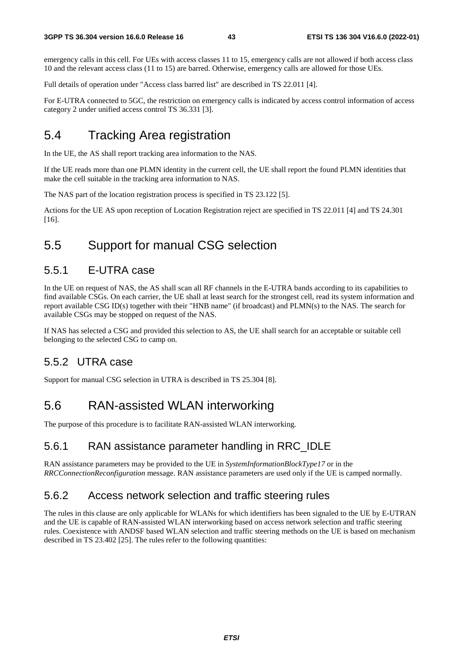emergency calls in this cell. For UEs with access classes 11 to 15, emergency calls are not allowed if both access class 10 and the relevant access class (11 to 15) are barred. Otherwise, emergency calls are allowed for those UEs.

Full details of operation under "Access class barred list" are described in TS 22.011 [4].

For E-UTRA connected to 5GC, the restriction on emergency calls is indicated by access control information of access category 2 under unified access control TS 36.331 [3].

## 5.4 Tracking Area registration

In the UE, the AS shall report tracking area information to the NAS.

If the UE reads more than one PLMN identity in the current cell, the UE shall report the found PLMN identities that make the cell suitable in the tracking area information to NAS.

The NAS part of the location registration process is specified in TS 23.122 [5].

Actions for the UE AS upon reception of Location Registration reject are specified in TS 22.011 [4] and TS 24.301 [16].

## 5.5 Support for manual CSG selection

### 5.5.1 E-UTRA case

In the UE on request of NAS, the AS shall scan all RF channels in the E-UTRA bands according to its capabilities to find available CSGs. On each carrier, the UE shall at least search for the strongest cell, read its system information and report available CSG ID(s) together with their "HNB name" (if broadcast) and PLMN(s) to the NAS. The search for available CSGs may be stopped on request of the NAS.

If NAS has selected a CSG and provided this selection to AS, the UE shall search for an acceptable or suitable cell belonging to the selected CSG to camp on.

## 5.5.2 UTRA case

Support for manual CSG selection in UTRA is described in TS 25.304 [8].

## 5.6 RAN-assisted WLAN interworking

The purpose of this procedure is to facilitate RAN-assisted WLAN interworking.

## 5.6.1 RAN assistance parameter handling in RRC\_IDLE

RAN assistance parameters may be provided to the UE in *SystemInformationBlockType17* or in the *RRCConnectionReconfiguration* message. RAN assistance parameters are used only if the UE is camped normally.

## 5.6.2 Access network selection and traffic steering rules

The rules in this clause are only applicable for WLANs for which identifiers has been signaled to the UE by E-UTRAN and the UE is capable of RAN-assisted WLAN interworking based on access network selection and traffic steering rules. Coexistence with ANDSF based WLAN selection and traffic steering methods on the UE is based on mechanism described in TS 23.402 [25]. The rules refer to the following quantities: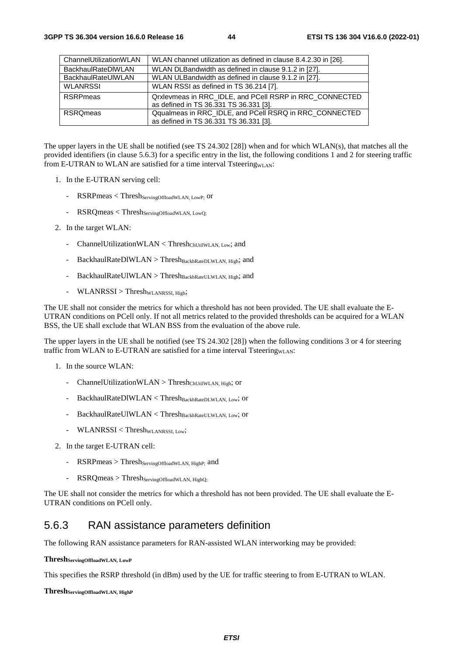| ChannelUtilizationWLAN    | WLAN channel utilization as defined in clause 8.4.2.30 in [26].                                   |
|---------------------------|---------------------------------------------------------------------------------------------------|
| <b>BackhaulRateDIWLAN</b> | WLAN DLBandwidth as defined in clause 9.1.2 in [27].                                              |
| <b>BackhaulRateUIWLAN</b> | WLAN ULBandwidth as defined in clause 9.1.2 in [27].                                              |
| <b>WLANRSSI</b>           | WLAN RSSI as defined in TS 36.214 [7].                                                            |
| <b>RSRP</b> meas          | Qrxlevmeas in RRC_IDLE, and PCell RSRP in RRC_CONNECTED<br>as defined in TS 36.331 TS 36.331 [3]. |
| <b>RSROmeas</b>           | Qqualmeas in RRC_IDLE, and PCell RSRQ in RRC_CONNECTED<br>as defined in TS 36.331 TS 36.331 [3].  |

The upper layers in the UE shall be notified (see TS 24.302 [28]) when and for which WLAN(s), that matches all the provided identifiers (in clause 5.6.3) for a specific entry in the list, the following conditions 1 and 2 for steering traffic from E-UTRAN to WLAN are satisfied for a time interval TsteeringwLAN:

- 1. In the E-UTRAN serving cell:
	- RSRPmeas < Thresh Serving Offload WLAN, LowP; Or
	- $RSRQmeas < Thresh_{ServingOffloadWLAN, LowQ; }$
- 2. In the target WLAN:
	- ChannelUtilizationWLAN < Thresh<sub>ChUtilWLAN</sub>, Low; and
	- BackhaulRateDlWLAN > Thresh $B_{\text{BackhRateDLWLAN}}$ , High; and
	- $BackhaulRateUIWLAN > Thresh_{BackhRateULWLAN, High; and$
	- $WLANRSSI > ThreshwLANRSSI, High;$

The UE shall not consider the metrics for which a threshold has not been provided. The UE shall evaluate the E-UTRAN conditions on PCell only. If not all metrics related to the provided thresholds can be acquired for a WLAN BSS, the UE shall exclude that WLAN BSS from the evaluation of the above rule.

The upper layers in the UE shall be notified (see TS 24.302 [28]) when the following conditions 3 or 4 for steering traffic from WLAN to E-UTRAN are satisfied for a time interval TsteeringwLAN:

- 1. In the source WLAN:
	- ChannelUtilizationWLAN > Thresh<sub>ChUtilWLAN</sub>, High; or
	- $BackhaulRateDIWLAN < Thresh<sub>BackhRateDI/WLAN</sub>;$  or
	- $\text{BackhaulRateUIWLAN} < \text{Thresh}_{\text{BackhRateULWLAN, Low}}$ ; or
	- $WLANRSSI < Thresh_{WLANRSSL, Low};$
- 2. In the target E-UTRAN cell:
	- $RSRPmeas > Thresh_{ServingOffloadWLAN, HighP;}$  and
	- $RSRQmeas > Thresh_{ServingOffloadWLAN, HighQ; }$

The UE shall not consider the metrics for which a threshold has not been provided. The UE shall evaluate the E-UTRAN conditions on PCell only.

### 5.6.3 RAN assistance parameters definition

The following RAN assistance parameters for RAN-assisted WLAN interworking may be provided:

#### **ThreshServingOffloadWLAN, LowP**

This specifies the RSRP threshold (in dBm) used by the UE for traffic steering to from E-UTRAN to WLAN.

#### $Thresh$ <sub>ServingOffloadWLAN, HighP</sub>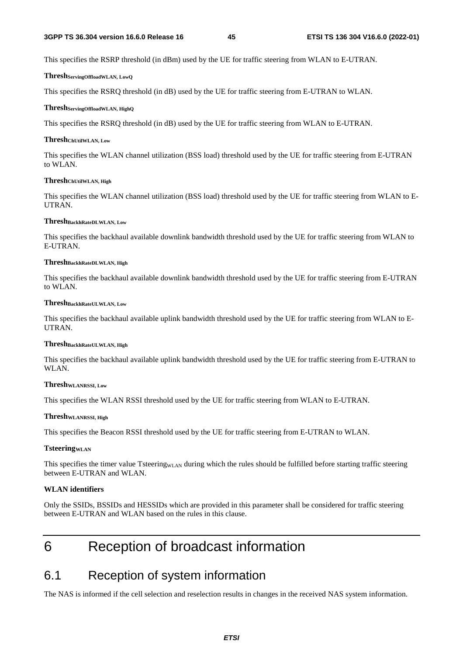This specifies the RSRP threshold (in dBm) used by the UE for traffic steering from WLAN to E-UTRAN.

#### **ThreshServingOffloadWLAN, LowQ**

This specifies the RSRQ threshold (in dB) used by the UE for traffic steering from E-UTRAN to WLAN.

#### **ThreshServingOffloadWLAN, HighQ**

This specifies the RSRQ threshold (in dB) used by the UE for traffic steering from WLAN to E-UTRAN.

#### **ThreshChUtilWLAN, Low**

This specifies the WLAN channel utilization (BSS load) threshold used by the UE for traffic steering from E-UTRAN to WLAN.

#### **ThreshChUtilWLAN, High**

This specifies the WLAN channel utilization (BSS load) threshold used by the UE for traffic steering from WLAN to E-UTRAN.

#### **ThreshBackhRateDLWLAN, Low**

This specifies the backhaul available downlink bandwidth threshold used by the UE for traffic steering from WLAN to E-UTRAN.

#### **ThreshBackhRateDLWLAN, High**

This specifies the backhaul available downlink bandwidth threshold used by the UE for traffic steering from E-UTRAN to WLAN.

#### **ThreshBackhRateULWLAN, Low**

This specifies the backhaul available uplink bandwidth threshold used by the UE for traffic steering from WLAN to E-UTRAN.

#### **ThreshBackhRateULWLAN, High**

This specifies the backhaul available uplink bandwidth threshold used by the UE for traffic steering from E-UTRAN to WLAN.

#### **ThreshWLANRSSI, Low**

This specifies the WLAN RSSI threshold used by the UE for traffic steering from WLAN to E-UTRAN.

#### **ThreshWLANRSSI, High**

This specifies the Beacon RSSI threshold used by the UE for traffic steering from E-UTRAN to WLAN.

#### **TsteeringwLAN**

This specifies the timer value Tsteering $_{\text{WLAN}}$  during which the rules should be fulfilled before starting traffic steering between E-UTRAN and WLAN.

#### **WLAN identifiers**

Only the SSIDs, BSSIDs and HESSIDs which are provided in this parameter shall be considered for traffic steering between E-UTRAN and WLAN based on the rules in this clause.

## 6 Reception of broadcast information

## 6.1 Reception of system information

The NAS is informed if the cell selection and reselection results in changes in the received NAS system information.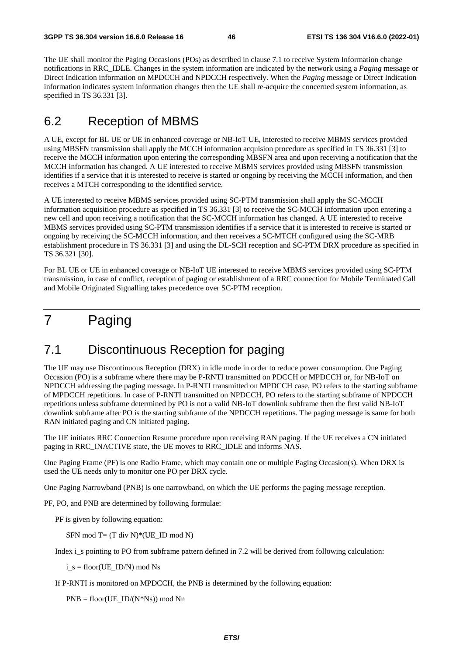The UE shall monitor the Paging Occasions (POs) as described in clause 7.1 to receive System Information change notifications in RRC\_IDLE. Changes in the system information are indicated by the network using a *Paging* message or Direct Indication information on MPDCCH and NPDCCH respectively. When the *Paging* message or Direct Indication information indicates system information changes then the UE shall re-acquire the concerned system information, as specified in TS 36.331 [3].

## 6.2 Reception of MBMS

A UE, except for BL UE or UE in enhanced coverage or NB-IoT UE, interested to receive MBMS services provided using MBSFN transmission shall apply the MCCH information acquision procedure as specified in TS 36.331 [3] to receive the MCCH information upon entering the corresponding MBSFN area and upon receiving a notification that the MCCH information has changed. A UE interested to receive MBMS services provided using MBSFN transmission identifies if a service that it is interested to receive is started or ongoing by receiving the MCCH information, and then receives a MTCH corresponding to the identified service.

A UE interested to receive MBMS services provided using SC-PTM transmission shall apply the SC-MCCH information acquisition procedure as specified in TS 36.331 [3] to receive the SC-MCCH information upon entering a new cell and upon receiving a notification that the SC-MCCH information has changed. A UE interested to receive MBMS services provided using SC-PTM transmission identifies if a service that it is interested to receive is started or ongoing by receiving the SC-MCCH information, and then receives a SC-MTCH configured using the SC-MRB establishment procedure in TS 36.331 [3] and using the DL-SCH reception and SC-PTM DRX procedure as specified in TS 36.321 [30].

For BL UE or UE in enhanced coverage or NB-IoT UE interested to receive MBMS services provided using SC-PTM transmission, in case of conflict, reception of paging or establishment of a RRC connection for Mobile Terminated Call and Mobile Originated Signalling takes precedence over SC-PTM reception.

## 7 Paging

## 7.1 Discontinuous Reception for paging

The UE may use Discontinuous Reception (DRX) in idle mode in order to reduce power consumption. One Paging Occasion (PO) is a subframe where there may be P-RNTI transmitted on PDCCH or MPDCCH or, for NB-IoT on NPDCCH addressing the paging message. In P-RNTI transmitted on MPDCCH case, PO refers to the starting subframe of MPDCCH repetitions. In case of P-RNTI transmitted on NPDCCH, PO refers to the starting subframe of NPDCCH repetitions unless subframe determined by PO is not a valid NB-IoT downlink subframe then the first valid NB-IoT downlink subframe after PO is the starting subframe of the NPDCCH repetitions. The paging message is same for both RAN initiated paging and CN initiated paging.

The UE initiates RRC Connection Resume procedure upon receiving RAN paging. If the UE receives a CN initiated paging in RRC\_INACTIVE state, the UE moves to RRC\_IDLE and informs NAS.

One Paging Frame (PF) is one Radio Frame, which may contain one or multiple Paging Occasion(s). When DRX is used the UE needs only to monitor one PO per DRX cycle.

One Paging Narrowband (PNB) is one narrowband, on which the UE performs the paging message reception.

PF, PO, and PNB are determined by following formulae:

PF is given by following equation:

SFN mod  $T = (T \div N)^*(UE \times ID \mod N)$ 

Index i\_s pointing to PO from subframe pattern defined in 7.2 will be derived from following calculation:

 $i_s$  = floor(UE\_ID/N) mod Ns

If P-RNTI is monitored on MPDCCH, the PNB is determined by the following equation:

PNB = floor(UE\_ID/(N\*Ns)) mod Nn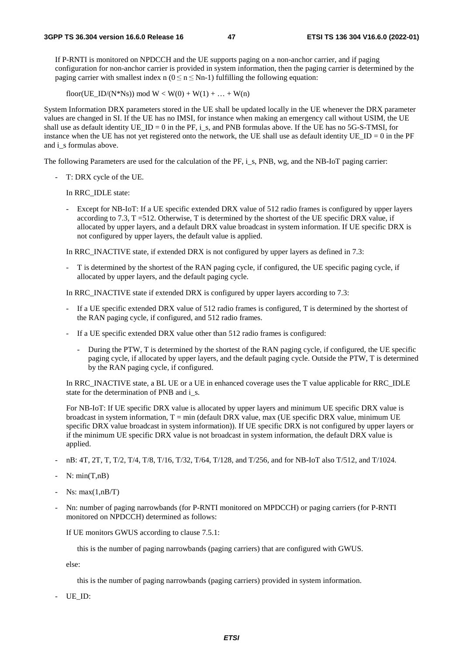If P-RNTI is monitored on NPDCCH and the UE supports paging on a non-anchor carrier, and if paging configuration for non-anchor carrier is provided in system information, then the paging carrier is determined by the paging carrier with smallest index n ( $0 \le n \le Nn-1$ ) fulfilling the following equation:

floor(UE\_ID/(N\*Ns)) mod  $W < W(0) + W(1) + ... + W(n)$ 

System Information DRX parameters stored in the UE shall be updated locally in the UE whenever the DRX parameter values are changed in SI. If the UE has no IMSI, for instance when making an emergency call without USIM, the UE shall use as default identity UE\_ID = 0 in the PF, i\_s, and PNB formulas above. If the UE has no 5G-S-TMSI, for instance when the UE has not yet registered onto the network, the UE shall use as default identity  $UE$ <sub>ID</sub> = 0 in the PF and i s formulas above.

The following Parameters are used for the calculation of the PF, i s, PNB, wg, and the NB-IoT paging carrier:

- T: DRX cycle of the UE.

In RRC\_IDLE state:

- Except for NB-IoT: If a UE specific extended DRX value of 512 radio frames is configured by upper layers according to 7.3, T =512. Otherwise, T is determined by the shortest of the UE specific DRX value, if allocated by upper layers, and a default DRX value broadcast in system information. If UE specific DRX is not configured by upper layers, the default value is applied.

In RRC\_INACTIVE state, if extended DRX is not configured by upper layers as defined in 7.3:

- T is determined by the shortest of the RAN paging cycle, if configured, the UE specific paging cycle, if allocated by upper layers, and the default paging cycle.

In RRC\_INACTIVE state if extended DRX is configured by upper layers according to 7.3:

- If a UE specific extended DRX value of 512 radio frames is configured, T is determined by the shortest of the RAN paging cycle, if configured, and 512 radio frames.
- If a UE specific extended DRX value other than 512 radio frames is configured:
	- During the PTW, T is determined by the shortest of the RAN paging cycle, if configured, the UE specific paging cycle, if allocated by upper layers, and the default paging cycle. Outside the PTW, T is determined by the RAN paging cycle, if configured.

 In RRC\_INACTIVE state, a BL UE or a UE in enhanced coverage uses the T value applicable for RRC\_IDLE state for the determination of PNB and i\_s.

 For NB-IoT: If UE specific DRX value is allocated by upper layers and minimum UE specific DRX value is broadcast in system information,  $T = min$  (default DRX value, max (UE specific DRX value, minimum UE) specific DRX value broadcast in system information)). If UE specific DRX is not configured by upper layers or if the minimum UE specific DRX value is not broadcast in system information, the default DRX value is applied.

- nB: 4T, 2T, T, T/2, T/4, T/8, T/16, T/32, T/64, T/128, and T/256, and for NB-IoT also T/512, and T/1024.
- $N: min(T, nB)$
- $Ns: max(1, nB/T)$
- Nn: number of paging narrowbands (for P-RNTI monitored on MPDCCH) or paging carriers (for P-RNTI monitored on NPDCCH) determined as follows:

If UE monitors GWUS according to clause 7.5.1:

this is the number of paging narrowbands (paging carriers) that are configured with GWUS.

else:

this is the number of paging narrowbands (paging carriers) provided in system information.

UE ID: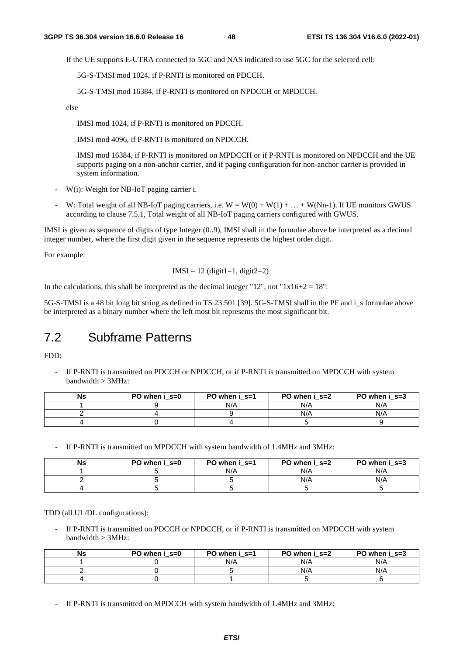If the UE supports E-UTRA connected to 5GC and NAS indicated to use 5GC for the selected cell:

5G-S-TMSI mod 1024, if P-RNTI is monitored on PDCCH.

5G-S-TMSI mod 16384, if P-RNTI is monitored on NPDCCH or MPDCCH.

else

IMSI mod 1024, if P-RNTI is monitored on PDCCH.

IMSI mod 4096, if P-RNTI is monitored on NPDCCH.

IMSI mod 16384, if P-RNTI is monitored on MPDCCH or if P-RNTI is monitored on NPDCCH and the UE supports paging on a non-anchor carrier, and if paging configuration for non-anchor carrier is provided in system information.

- W(i): Weight for NB-IoT paging carrier i.
- W: Total weight of all NB-IoT paging carriers, i.e.  $W = W(0) + W(1) + ... + W(Nn-1)$ . If UE monitors GWUS according to clause 7.5.1, Total weight of all NB-IoT paging carriers configured with GWUS.

IMSI is given as sequence of digits of type Integer (0..9), IMSI shall in the formulae above be interpreted as a decimal integer number, where the first digit given in the sequence represents the highest order digit.

For example:

$$
IMSI = 12 (digit1=1, digit2=2)
$$

In the calculations, this shall be interpreted as the decimal integer "12", not " $1x16+2 = 18$ ".

5G-S-TMSI is a 48 bit long bit string as defined in TS 23.501 [39]. 5G-S-TMSI shall in the PF and i\_s formulae above be interpreted as a binary number where the left most bit represents the most significant bit.

## 7.2 Subframe Patterns

FDD:

If P-RNTI is transmitted on PDCCH or NPDCCH, or if P-RNTI is transmitted on MPDCCH with system bandwidth > 3MHz:

| Ns | PO when i s=0 | PO when i s=1 | PO when i s=2 | PO when i s=3 |
|----|---------------|---------------|---------------|---------------|
|    |               | N/A           | N/A           | N/A           |
|    |               |               | N/A           | N/A           |
|    |               |               |               |               |

- If P-RNTI is transmitted on MPDCCH with system bandwidth of 1.4MHz and 3MHz:

| Ns | PO when i s=0 | PO when i s=1 | PO when $i$ s=2 | PO when i s=3 |
|----|---------------|---------------|-----------------|---------------|
|    |               | N/A           | N/A             | N/A           |
|    |               |               | N/A             | N/A           |
|    |               |               |                 |               |

TDD (all UL/DL configurations):

If P-RNTI is transmitted on PDCCH or NPDCCH, or if P-RNTI is transmitted on MPDCCH with system  $bandwidth > 3MHz$ :

| Ns | PO when i s=0 | PO when i s=1 | PO when i s=2 | PO when i s=3 |
|----|---------------|---------------|---------------|---------------|
|    |               | N/A           | N/A           | N/A           |
|    |               |               | N/A           | N/A           |
|    |               |               |               |               |

- If P-RNTI is transmitted on MPDCCH with system bandwidth of 1.4MHz and 3MHz: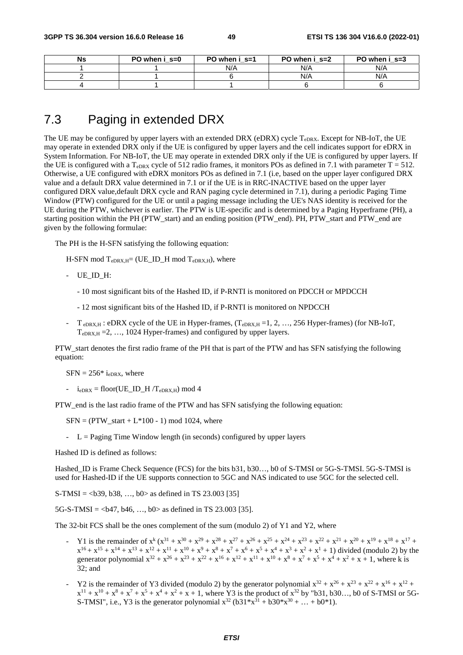| <b>Ns</b> | PO when i s=0 | PO when i s=1 | PO when $i$ s=2 | PO when i s=3 |
|-----------|---------------|---------------|-----------------|---------------|
|           |               | N/A           | N/A             | N/A           |
|           |               |               | N/A             | N/A           |
|           |               |               |                 |               |

## 7.3 Paging in extended DRX

The UE may be configured by upper layers with an extended DRX (eDRX) cycle  $T_{eDRX}$ . Except for NB-IoT, the UE may operate in extended DRX only if the UE is configured by upper layers and the cell indicates support for eDRX in System Information. For NB-IoT, the UE may operate in extended DRX only if the UE is configured by upper layers. If the UE is configured with a  $T_{eDRX}$  cycle of 512 radio frames, it monitors POs as defined in 7.1 with parameter  $T = 512$ . Otherwise, a UE configured with eDRX monitors POs as defined in 7.1 (i.e, based on the upper layer configured DRX value and a default DRX value determined in 7.1 or if the UE is in RRC-INACTIVE based on the upper layer configured DRX value,default DRX cycle and RAN paging cycle determined in 7.1), during a periodic Paging Time Window (PTW) configured for the UE or until a paging message including the UE's NAS identity is received for the UE during the PTW, whichever is earlier. The PTW is UE-specific and is determined by a Paging Hyperframe (PH), a starting position within the PH (PTW start) and an ending position (PTW end). PH, PTW start and PTW end are given by the following formulae:

The PH is the H-SFN satisfying the following equation:

 $H$ -SFN mod  $T_{eDRX,H}$ = (UE\_ID\_H mod  $T_{eDRX,H}$ ), where

- UE\_ID\_H:
	- 10 most significant bits of the Hashed ID, if P-RNTI is monitored on PDCCH or MPDCCH
	- 12 most significant bits of the Hashed ID, if P-RNTI is monitored on NPDCCH
- $T_{eDRX,H}$ : eDRX cycle of the UE in Hyper-frames,  $(T_{eDRX,H} = 1, 2, ..., 256$  Hyper-frames) (for NB-IoT,  $T_{eDRX,H} = 2, \ldots, 1024$  Hyper-frames) and configured by upper layers.

PTW\_start denotes the first radio frame of the PH that is part of the PTW and has SFN satisfying the following equation:

 $SFN = 256* i_{eDRX}$ , where

-  $i_{eDRX} =$  floor(UE\_ID\_H /T<sub>eDRX,H</sub>) mod 4

PTW\_end is the last radio frame of the PTW and has SFN satisfying the following equation:

 $SFN = (PTW_{start} + L*100 - 1) \text{ mod } 1024$ , where

-  $L =$  Paging Time Window length (in seconds) configured by upper layers

Hashed ID is defined as follows:

Hashed\_ID is Frame Check Sequence (FCS) for the bits b31, b30…, b0 of S-TMSI or 5G-S-TMSI. 5G-S-TMSI is used for Hashed-ID if the UE supports connection to 5GC and NAS indicated to use 5GC for the selected cell.

S-TMSI =  $\langle$ b39, b38, ..., b0> as defined in TS 23.003 [35]

 $5G-S-TMSI = **647**, **646**, ..., **60** > as defined in TS 23.003 [35].$ 

The 32-bit FCS shall be the ones complement of the sum (modulo 2) of Y1 and Y2, where

- Y1 is the remainder of  $x^k (x^{31} + x^{30} + x^{29} + x^{28} + x^{27} + x^{26} + x^{25} + x^{24} + x^{23} + x^{22} + x^{21} + x^{20} + x^{19} + x^{18} + x^{17} + x^{19} + x^{19} + x^{19} + x^{19} + x^{19} + x^{19} + x^{19} + x^{19} + x^{19} + x^{19} + x^{19} + x^{19} + x^{19} + x^{19} + x^{19} + x^{19} + x^{19} + x$  $x^{16} + x^{15} + x^{14} + x^{13} + x^{12} + x^{11} + x^{10} + x^9 + x^8 + x^7 + x^6 + x^5 + x^4 + x^3 + x^2 + x^1 + 1$  divided (modulo 2) by the generator polynomial  $x^{32} + x^{26} + x^{23} + x^{22} + x^{16} + x^{12} + x^{11} + x^{10} + x^8 + x^7 + x^5 + x^4 + x^2 + x + 1$ , where k is 32; and
- Y2 is the remainder of Y3 divided (modulo 2) by the generator polynomial  $x^{32} + x^{26} + x^{23} + x^{22} + x^{16} + x^{12} + x^{12} + x^{12} + x^{12} + x^{12} + x^{12} + x^{12} + x^{12} + x^{12} + x^{12} + x^{12} + x^{12} + x^{12} + x^{12} + x^{12} + x^{12} + x^{12} + x^{12} + x^{12} + x^{1$  $x^{11} + x^{10} + x^8 + x^7 + x^5 + x^4 + x^2 + x + 1$ , where Y3 is the product of  $x^{32}$  by "b31, b30..., b0 of S-TMSI or 5G-S-TMSI", i.e., Y3 is the generator polynomial  $x^{32}$  (b31\* $x^{31}$  + b30\* $x^{30}$  + ... + b0\*1).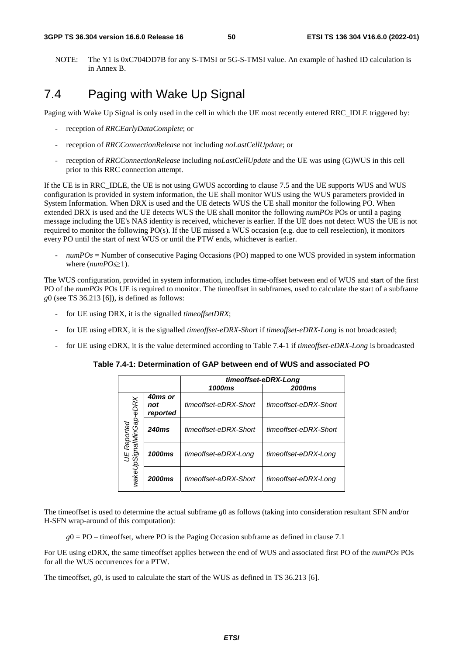NOTE: The Y1 is 0xC704DD7B for any S-TMSI or 5G-S-TMSI value. An example of hashed ID calculation is in Annex B.

## 7.4 Paging with Wake Up Signal

Paging with Wake Up Signal is only used in the cell in which the UE most recently entered RRC\_IDLE triggered by:

- reception of *RRCEarlyDataComplete*; or
- reception of *RRCConnectionRelease* not including *noLastCellUpdate*; or
- reception of *RRCConnectionRelease* including *noLastCellUpdate* and the UE was using (G)WUS in this cell prior to this RRC connection attempt.

If the UE is in RRC\_IDLE, the UE is not using GWUS according to clause 7.5 and the UE supports WUS and WUS configuration is provided in system information, the UE shall monitor WUS using the WUS parameters provided in System Information. When DRX is used and the UE detects WUS the UE shall monitor the following PO. When extended DRX is used and the UE detects WUS the UE shall monitor the following *numPOs* POs or until a paging message including the UE's NAS identity is received, whichever is earlier. If the UE does not detect WUS the UE is not required to monitor the following PO(s). If the UE missed a WUS occasion (e.g. due to cell reselection), it monitors every PO until the start of next WUS or until the PTW ends, whichever is earlier.

- *numPOs* = Number of consecutive Paging Occasions (PO) mapped to one WUS provided in system information where (*numPOs*≥1).

The WUS configuration, provided in system information, includes time-offset between end of WUS and start of the first PO of the *numPOs* POs UE is required to monitor. The timeoffset in subframes, used to calculate the start of a subframe *g*0 (see TS 36.213 [6]), is defined as follows:

- for UE using DRX, it is the signalled *timeoffsetDRX*;
- for UE using eDRX, it is the signalled *timeoffset-eDRX-Short* if *timeoffset-eDRX-Long* is not broadcasted;
- for UE using eDRX, it is the value determined according to Table 7.4-1 if *timeoffset-eDRX-Long* is broadcasted

**Table 7.4-1: Determination of GAP between end of WUS and associated PO** 

|                                             |                            |                       | timeoffset-eDRX-Long  |
|---------------------------------------------|----------------------------|-----------------------|-----------------------|
|                                             |                            | 1000ms                | <b>2000ms</b>         |
| DRX<br>ģί<br>SignalMinGap<br>Repo<br>wakeUp | 40ms or<br>not<br>reported | timeoffset-eDRX-Short | timeoffset-eDRX-Short |
|                                             | <b>240ms</b>               | timeoffset-eDRX-Short | timeoffset-eDRX-Short |
|                                             | 1000ms                     | timeoffset-eDRX-Long  | timeoffset-eDRX-Long  |
|                                             | <b>2000ms</b>              | timeoffset-eDRX-Short | timeoffset-eDRX-Long  |

The timeoffset is used to determine the actual subframe *g*0 as follows (taking into consideration resultant SFN and/or H-SFN wrap-around of this computation):

 $g0 = PO -$  timeoffset, where PO is the Paging Occasion subframe as defined in clause 7.1

For UE using eDRX, the same timeoffset applies between the end of WUS and associated first PO of the *numPOs* POs for all the WUS occurrences for a PTW.

The timeoffset, *g*0, is used to calculate the start of the WUS as defined in TS 36.213 [6].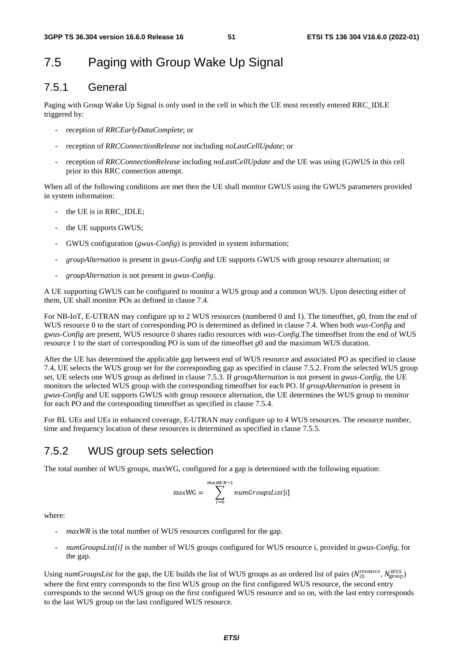## 7.5 Paging with Group Wake Up Signal

### 7.5.1 General

Paging with Group Wake Up Signal is only used in the cell in which the UE most recently entered RRC\_IDLE triggered by:

- reception of *RRCEarlyDataComplete*; or
- reception of *RRCConnectionRelease* not including *noLastCellUpdate*; or
- reception of *RRCConnectionRelease* including *noLastCellUpdate* and the UE was using (G)WUS in this cell prior to this RRC connection attempt.

When all of the following conditions are met then the UE shall monitor GWUS using the GWUS parameters provided in system information:

- the UE is in RRC\_IDLE:
- the UE supports GWUS;
- GWUS configuration (*gwus-Config*) is provided in system information;
- *groupAlternation* is present in g*wus-Config* and UE supports GWUS with group resource alternation; or
- *groupAlternation* is not present in *gwus-Config*.

A UE supporting GWUS can be configured to monitor a WUS group and a common WUS. Upon detecting either of them, UE shall monitor POs as defined in clause 7.4.

For NB-IoT, E-UTRAN may configure up to 2 WUS resources (numbered 0 and 1). The timeoffset, *g*0, from the end of WUS resource 0 to the start of corresponding PO is determined as defined in clause 7.4. When both *wus-Config* and g*wus-Config* are present, WUS resource 0 shares radio resources with *wus-Config*.The timeoffset from the end of WUS resource 1 to the start of corresponding PO is sum of the timeoffset *g*0 and the maximum WUS duration.

After the UE has determined the applicable gap between end of WUS resource and associated PO as specified in clause 7.4, UE selects the WUS group set for the corresponding gap as specified in clause 7.5.2. From the selected WUS group set, UE selects one WUS group as defined in clause 7.5.3. If *groupAlternation* is not present in *gwus-Config*, the UE monitors the selected WUS group with the corresponding timeoffset for each PO. If *groupAlternation* is present in *gwus-Config* and UE supports GWUS with group resource alternation, the UE determines the WUS group to monitor for each PO and the corresponding timeoffset as specified in clause 7.5.4.

For BL UEs and UEs in enhanced coverage, E-UTRAN may configure up to 4 WUS resources. The resource number, time and frequency location of these resources is determined as specified in clause 7.5.5.

### 7.5.2 WUS group sets selection

The total number of WUS groups, maxWG, configured for a gap is determined with the following equation:

$$
\text{maxWG} = \sum_{i=0}^{\text{maxWR}-1} \text{numGroupslist[i]}
$$

where:

- maxWR is the total number of WUS resources configured for the gap.
- *numGroupsList[i]* is the number of WUS groups configured for WUS resource i, provided in *gwus-Config,* for the gap.

Using *numGroupsList* for the gap, the UE builds the list of WUS groups as an ordered list of pairs ( $N_{\text{ID}}^{\text{resource}}$ ,  $N_{\text{group}}^{\text{WUS}}$ ) where the first entry corresponds to the first WUS group on the first configured WUS resource, the second entry corresponds to the second WUS group on the first configured WUS resource and so on, with the last entry corresponds to the last WUS group on the last configured WUS resource.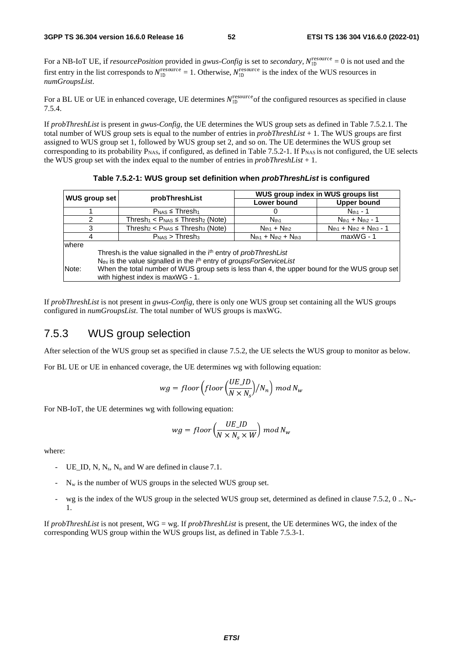For a NB-IoT UE, if *resourcePosition* provided in *gwus-Config* is set to *secondary*,  $N_{\text{ID}}^{\text{resource}} = 0$  is not used and the first entry in the list corresponds to  $N_{\text{ID}}^{\text{resource}} = 1$ . Otherwise,  $N_{\text{ID}}^{\text{resource}}$  is the index of the WUS resources in *numGroupsList*.

For a BL UE or UE in enhanced coverage, UE determines  $N_{\text{ID}}^{\text{resource}}$  of the configured resources as specified in clause 7.5.4.

If *probThreshList* is present in *gwus-Config*, the UE determines the WUS group sets as defined in Table 7.5.2.1. The total number of WUS group sets is equal to the number of entries in *probThreshList* + 1. The WUS groups are first assigned to WUS group set 1, followed by WUS group set 2, and so on. The UE determines the WUS group set corresponding to its probability  $P<sub>NAS</sub>$ , if configured, as defined in Table 7.5.2-1. If  $P<sub>NAS</sub>$  is not configured, the UE selects the WUS group set with the index equal to the number of entries in *probThreshList* + 1.

**Table 7.5.2-1: WUS group set definition when** *probThreshList* **is configured** 

|                                                                                                        |                                                                                                  | WUS group index in WUS groups list |                                   |  |  |  |  |  |  |  |
|--------------------------------------------------------------------------------------------------------|--------------------------------------------------------------------------------------------------|------------------------------------|-----------------------------------|--|--|--|--|--|--|--|
| WUS group set                                                                                          | probThreshList<br>Lower bound                                                                    |                                    | <b>Upper bound</b>                |  |  |  |  |  |  |  |
|                                                                                                        | $P_{\text{NAS}} \leq$ Thresh <sub>1</sub>                                                        |                                    | $N_{th1}$ - 1                     |  |  |  |  |  |  |  |
| 2                                                                                                      | Thresh <sub>1</sub> < $P_{\text{NAS}}$ $\leq$ Thresh <sub>2</sub> (Note)                         | N <sub>th1</sub>                   | $N_{th1} + N_{th2} - 1$           |  |  |  |  |  |  |  |
| Thresh <sub>2</sub> < $P_{\text{NAS}}$ $\leq$ Thresh <sub>3</sub> (Note)<br>3                          |                                                                                                  | $Nth1 + Nth2$                      | $N_{th1} + N_{th2} + N_{th3} - 1$ |  |  |  |  |  |  |  |
| 4                                                                                                      | $PNAS$ > Thresh <sub>3</sub>                                                                     | $N_{th1} + N_{th2} + N_{th3}$      | $maxWG - 1$                       |  |  |  |  |  |  |  |
| where                                                                                                  |                                                                                                  |                                    |                                   |  |  |  |  |  |  |  |
|                                                                                                        | Thresh <sub>i</sub> is the value signalled in the i <sup>th</sup> entry of <i>probThreshList</i> |                                    |                                   |  |  |  |  |  |  |  |
|                                                                                                        | N <sub>thi</sub> is the value signalled in the i <sup>th</sup> entry of groupsForServiceList     |                                    |                                   |  |  |  |  |  |  |  |
| When the total number of WUS group sets is less than 4, the upper bound for the WUS group set<br>Note: |                                                                                                  |                                    |                                   |  |  |  |  |  |  |  |
|                                                                                                        | with highest index is maxWG - 1.                                                                 |                                    |                                   |  |  |  |  |  |  |  |

If *probThreshList* is not present in *gwus-Config*, there is only one WUS group set containing all the WUS groups configured in *numGroupsList*. The total number of WUS groups is maxWG.

### 7.5.3 WUS group selection

After selection of the WUS group set as specified in clause 7.5.2, the UE selects the WUS group to monitor as below.

For BL UE or UE in enhanced coverage, the UE determines wg with following equation:

$$
wg = floor\left(floor\left(\frac{UE\_ID}{N \times N_s}\right)/N_n\right) \mod N_w
$$

For NB-IoT, the UE determines wg with following equation:

$$
wg = floor\left(\frac{UE\_ID}{N \times N_s \times W}\right) \mod N_w
$$

where:

- UE ID, N, N<sub>s</sub>, N<sub>n</sub> and W are defined in clause 7.1.
- $\sim$  N<sub>w</sub> is the number of WUS groups in the selected WUS group set.
- wg is the index of the WUS group in the selected WUS group set, determined as defined in clause  $7.5.2$ ,  $0 \dots N_w$ -1.

If *probThreshList* is not present, WG = wg. If *probThreshList* is present, the UE determines WG, the index of the corresponding WUS group within the WUS groups list, as defined in Table 7.5.3-1.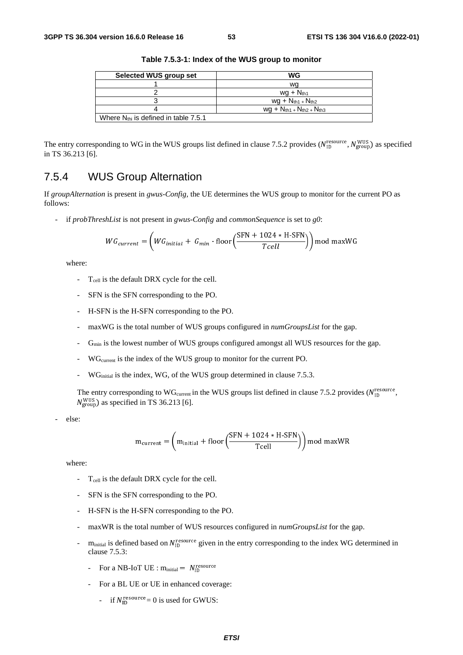| Selected WUS group set                           | WG                                 |
|--------------------------------------------------|------------------------------------|
|                                                  | wa                                 |
|                                                  | $wq + N_{th1}$                     |
|                                                  | $wg + N_{th1} + N_{th2}$           |
|                                                  | $wg + N_{th1} + N_{th2} + N_{th3}$ |
| Where $N_{\text{thi}}$ is defined in table 7.5.1 |                                    |

**Table 7.5.3-1: Index of the WUS group to monitor** 

The entry corresponding to WG in the WUS groups list defined in clause 7.5.2 provides ( $N_{\text{ID}}^{\text{resource}}$ ,  $N_{\text{group}}^{\text{WUS}}$ ) as specified in TS 36.213 [6].

### 7.5.4 WUS Group Alternation

If *groupAlternation* is present in *gwus-Config,* the UE determines the WUS group to monitor for the current PO as follows:

- if *probThreshList* is not present in *gwus-Config* and *commonSequence* is set to *g0*:

$$
WG_{current} = \left(WG_{initial} + G_{min} \cdot \text{floor}\left(\frac{\text{SFN} + 1024 * \text{H-SFN}}{Tcell}\right)\right) \text{mod maxWG}
$$

where:

- T<sub>cell</sub> is the default DRX cycle for the cell.
- SFN is the SFN corresponding to the PO.
- H-SFN is the H-SFN corresponding to the PO.
- maxWG is the total number of WUS groups configured in *numGroupsList* for the gap.
- $G_{\text{min}}$  is the lowest number of WUS groups configured amongst all WUS resources for the gap.
- WG<sub>current</sub> is the index of the WUS group to monitor for the current PO.
- WG<sub>initial</sub> is the index, WG, of the WUS group determined in clause 7.5.3.

The entry corresponding to WG<sub>current</sub> in the WUS groups list defined in clause 7.5.2 provides ( $N_{\text{ID}}^{\text{resource}}$ ,  $N_{\text{group}}^{\text{WUS}}$ ) as specified in TS 36.213 [6].

else:

$$
m_{\text{current}} = \left(m_{\text{initial}} + \text{floor}\left(\frac{\text{SFN} + 1024 * \text{H-SFN}}{\text{Teell}}\right)\right) \text{mod maxWR}
$$

where:

- T<sub>cell</sub> is the default DRX cycle for the cell.
- SFN is the SFN corresponding to the PO.
- H-SFN is the H-SFN corresponding to the PO.
- maxWR is the total number of WUS resources configured in  $numGroupsList$  for the gap.
- m<sub>initial</sub> is defined based on  $N_{\text{ID}}^{\text{resource}}$  given in the entry corresponding to the index WG determined in alones  $7.5.2$ . clause 7.5.3:
	- For a NB-IoT UE :  $m_{initial} = N_{ID}^{resource}$
	- For a BL UE or UE in enhanced coverage:
		- if  $N_{\text{ID}}^{\text{resource}} = 0$  is used for GWUS: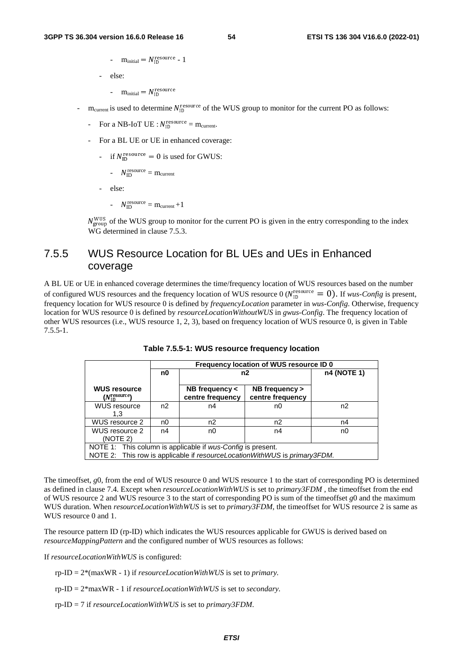-  $m_{initial} = N_{ID}^{resource} - 1$ 

- else:

- $m_{initial} = N_{ID}^{resource}$
- $m_{current}$  is used to determine  $N_{ID}^{resource}$  of the WUS group to monitor for the current PO as follows:
	- For a NB-IoT UE :  $N_{\text{ID}}^{\text{resource}} = m_{\text{current}}.$
	- For a BL UE or UE in enhanced coverage:
		- if  $N_{\text{ID}}^{\text{resource}} = 0$  is used for GWUS:
			- $N_{\text{ID}}^{\text{resource}} = m_{\text{current}}$
		- else:
			- $N_{\text{ID}}^{\text{resource}} = m_{\text{current}} + 1$

 $N_{\text{group}}^{\text{WUS}}$  of the WUS group to monitor for the current PO is given in the entry corresponding to the index WG determined in clause 7.5.3.

## 7.5.5 WUS Resource Location for BL UEs and UEs in Enhanced coverage

A BL UE or UE in enhanced coverage determines the time/frequency location of WUS resources based on the number of configured WUS resources and the frequency location of WUS resource  $0$  ( $N_{\text{ID}}^{\text{resource}} = 0$ ). If *wus-Config* is present, frequency location for WUS resource 0 is defined by *frequencyLocation* parameter in *wus-Config*. Otherwise, frequency location for WUS resource 0 is defined by *resourceLocationWithoutWUS* in *gwus-Config*. The frequency location of other WUS resources (i.e., WUS resource 1, 2, 3), based on frequency location of WUS resource 0, is given in Table 7.5.5-1.

|                                                                                                                                          |                | Frequency location of WUS resource ID 0 |                |    |  |  |  |  |  |
|------------------------------------------------------------------------------------------------------------------------------------------|----------------|-----------------------------------------|----------------|----|--|--|--|--|--|
|                                                                                                                                          | n0             | n2                                      | n4 (NOTE 1)    |    |  |  |  |  |  |
| <b>WUS resource</b><br>NB frequency $\lt$<br>$(N_{\rm 1D}^{\rm resource})$<br>centre frequency                                           |                | NB frequency ><br>centre frequency      |                |    |  |  |  |  |  |
| <b>WUS resource</b><br>1.3                                                                                                               | n <sub>2</sub> | n4                                      | n0             | n2 |  |  |  |  |  |
| WUS resource 2                                                                                                                           | n0             | n <sub>2</sub>                          | n <sub>2</sub> | n4 |  |  |  |  |  |
| WUS resource 2<br>n4<br>(NOTE 2)                                                                                                         |                | n0                                      | n4             | n0 |  |  |  |  |  |
| NOTE 1: This column is applicable if wus-Config is present.<br>NOTE 2: This row is applicable if resourceLocationWithWUS is primary3FDM. |                |                                         |                |    |  |  |  |  |  |

| Table 7.5.5-1: WUS resource frequency location |  |  |
|------------------------------------------------|--|--|
|------------------------------------------------|--|--|

The timeoffset, g0, from the end of WUS resource 0 and WUS resource 1 to the start of corresponding PO is determined as defined in clause 7.4. Except when *resourceLocationWithWUS* is set to *primary3FDM* , the timeoffset from the end of WUS resource 2 and WUS resource 3 to the start of corresponding PO is sum of the timeoffset *g*0 and the maximum WUS duration. When *resourceLocationWithWUS* is set to *primary3FDM*, the timeoffset for WUS resource 2 is same as WUS resource 0 and 1.

The resource pattern ID (rp-ID) which indicates the WUS resources applicable for GWUS is derived based on *resourceMappingPattern* and the configured number of WUS resources as follows:

If *resourceLocationWithWUS* is configured:

rp-ID = 2\*(maxWR - 1) if *resourceLocationWithWUS* is set to *primary.*

- rp-ID = 2\*maxWR 1 if *resourceLocationWithWUS* is set to *secondary.*
- rp-ID = 7 if *resourceLocationWithWUS* is set to *primary3FDM*.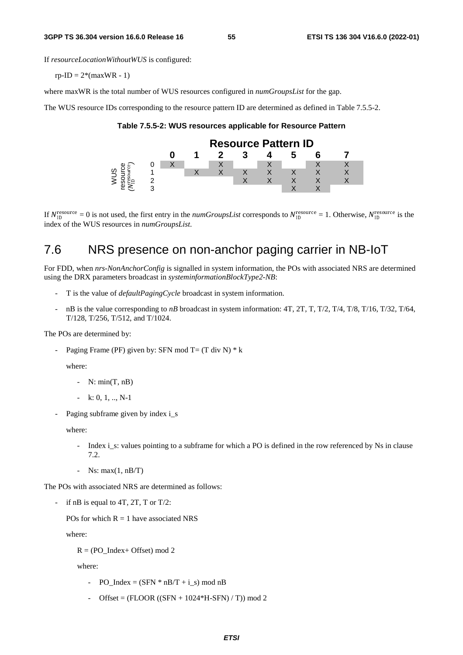If *resourceLocationWithoutWUS* is configured:

 $rp-ID = 2*(maxWR - 1)$ 

where maxWR is the total number of WUS resources configured in *numGroupsList* for the gap.

The WUS resource IDs corresponding to the resource pattern ID are determined as defined in Table 7.5.5-2.

**Table 7.5.5-2: WUS resources applicable for Resource Pattern** 



If  $N_{\text{ID}}^{\text{resource}} = 0$  is not used, the first entry in the *numGroupsList* corresponds to  $N_{\text{ID}}^{\text{resource}} = 1$ . Otherwise,  $N_{\text{ID}}^{\text{resource}}$  is the index of the WUS resources in *numGroupsList* index of the WUS resources in *numGroupsList*.

## 7.6 NRS presence on non-anchor paging carrier in NB-IoT

For FDD, when *nrs-NonAnchorConfig* is signalled in system information, the POs with associated NRS are determined using the DRX parameters broadcast in *systeminformationBlockType2-NB*:

- T is the value of *defaultPagingCycle* broadcast in system information.
- $n\text{B}$  is the value corresponding to  $n\text{B}$  broadcast in system information: 4T, 2T, T, T/2, T/4, T/8, T/16, T/32, T/64, T/128, T/256, T/512, and T/1024.

The POs are determined by:

Paging Frame (PF) given by: SFN mod T =  $(T \div N) * k$ 

where:

- $-$  N: min(T, nB)
- $-k: 0, 1, ... N-1$
- Paging subframe given by index i\_s

where:

- Index i\_s: values pointing to a subframe for which a PO is defined in the row referenced by Ns in clause 7.2.
- Ns:  $max(1, nB/T)$

The POs with associated NRS are determined as follows:

if nB is equal to  $4T$ ,  $2T$ ,  $T$  or  $T/2$ :

POs for which  $R = 1$  have associated NRS

where:

 $R = (PO<sub>Index+</sub> Offset)$  mod 2

where:

- PO\_Index =  $(SFN * nB/T + i_s)$  mod nB
- Offset =  $($ FLOOR $(($ SFN + 1024 $*$ H-SFN $)$  / T $)$ ) mod 2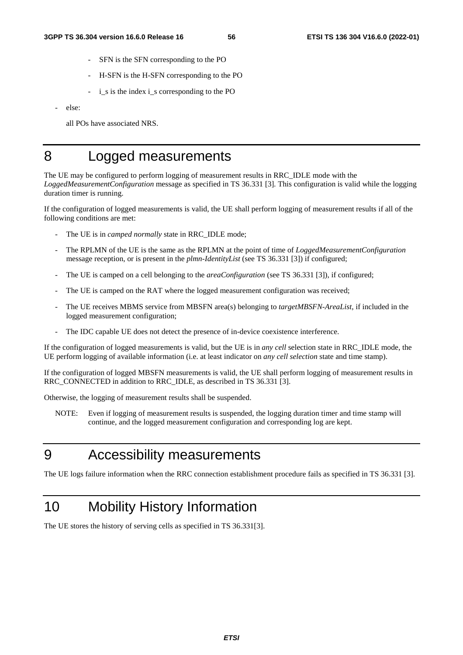- SFN is the SFN corresponding to the PO
- H-SFN is the H-SFN corresponding to the PO
- i\_s is the index i\_s corresponding to the PO
- else:

all POs have associated NRS.

## 8 Logged measurements

The UE may be configured to perform logging of measurement results in RRC\_IDLE mode with the *LoggedMeasurementConfiguration* message as specified in TS 36.331 [3]*.* This configuration is valid while the logging duration timer is running.

If the configuration of logged measurements is valid, the UE shall perform logging of measurement results if all of the following conditions are met:

- The UE is in *camped normally* state in RRC\_IDLE mode;
- The RPLMN of the UE is the same as the RPLMN at the point of time of *LoggedMeasurementConfiguration*  message reception, or is present in the *plmn-IdentityList* (see TS 36.331 [3]) if configured;
- The UE is camped on a cell belonging to the *areaConfiguration* (see TS 36.331 [3]), if configured;
- The UE is camped on the RAT where the logged measurement configuration was received;
- The UE receives MBMS service from MBSFN area(s) belonging to *targetMBSFN-AreaList*, if included in the logged measurement configuration;
- The IDC capable UE does not detect the presence of in-device coexistence interference.

If the configuration of logged measurements is valid, but the UE is in *any cell* selection state in RRC\_IDLE mode, the UE perform logging of available information (i.e. at least indicator on *any cell selection* state and time stamp).

If the configuration of logged MBSFN measurements is valid, the UE shall perform logging of measurement results in RRC\_CONNECTED in addition to RRC\_IDLE, as described in TS 36.331 [3].

Otherwise, the logging of measurement results shall be suspended.

NOTE: Even if logging of measurement results is suspended, the logging duration timer and time stamp will continue, and the logged measurement configuration and corresponding log are kept.

## 9 Accessibility measurements

The UE logs failure information when the RRC connection establishment procedure fails as specified in TS 36.331 [3].

## 10 Mobility History Information

The UE stores the history of serving cells as specified in TS 36.331[3].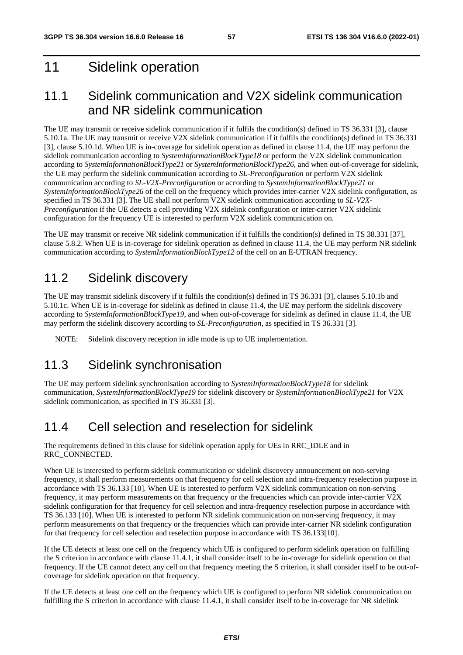## 11 Sidelink operation

## 11.1 Sidelink communication and V2X sidelink communication and NR sidelink communication

The UE may transmit or receive sidelink communication if it fulfils the condition(s) defined in TS 36.331 [3], clause 5.10.1a. The UE may transmit or receive V2X sidelink communication if it fulfils the condition(s) defined in TS 36.331 [3], clause 5.10.1d. When UE is in-coverage for sidelink operation as defined in clause 11.4, the UE may perform the sidelink communication according to *SystemInformationBlockType18* or perform the V2X sidelink communication according to *SystemInformationBlockType21* or *SystemInformationBlockType26,* and when out-of-coverage for sidelink, the UE may perform the sidelink communication according to *SL-Preconfiguration* or perform V2X sidelink communication according to *SL-V2X-Preconfiguration* or according to *SystemInformationBlockType21* or *SystemInformationBlockType26* of the cell on the frequency which provides inter-carrier V2X sidelink configuration, as specified in TS 36.331 [3]. The UE shall not perform V2X sidelink communication according to *SL-V2X-Preconfiguration* if the UE detects a cell providing V2X sidelink configuration or inter-carrier V2X sidelink configuration for the frequency UE is interested to perform V2X sidelink communication on.

The UE may transmit or receive NR sidelink communication if it fulfills the condition(s) defined in TS 38.331 [37], clause 5.8.2. When UE is in-coverage for sidelink operation as defined in clause 11.4, the UE may perform NR sidelink communication according to *SystemInformationBlockType12* of the cell on an E-UTRAN frequency.

## 11.2 Sidelink discovery

The UE may transmit sidelink discovery if it fulfils the condition(s) defined in TS 36.331 [3], clauses 5.10.1b and 5.10.1c. When UE is in-coverage for sidelink as defined in clause 11.4, the UE may perform the sidelink discovery according to *SystemInformationBlockType19*, and when out-of-coverage for sidelink as defined in clause 11.4, the UE may perform the sidelink discovery according to *SL-Preconfiguration*, as specified in TS 36.331 [3].

NOTE: Sidelink discovery reception in idle mode is up to UE implementation.

## 11.3 Sidelink synchronisation

The UE may perform sidelink synchronisation according to *SystemInformationBlockType18* for sidelink communication, *SystemInformationBlockType19* for sidelink discovery or *SystemInformationBlockType21* for V2X sidelink communication, as specified in TS 36.331 [3].

## 11.4 Cell selection and reselection for sidelink

The requirements defined in this clause for sidelink operation apply for UEs in RRC\_IDLE and in RRC\_CONNECTED.

When UE is interested to perform sidelink communication or sidelink discovery announcement on non-serving frequency, it shall perform measurements on that frequency for cell selection and intra-frequency reselection purpose in accordance with TS 36.133 [10]. When UE is interested to perform V2X sidelink communication on non-serving frequency, it may perform measurements on that frequency or the frequencies which can provide inter-carrier V2X sidelink configuration for that frequency for cell selection and intra-frequency reselection purpose in accordance with TS 36.133 [10]. When UE is interested to perform NR sidelink communication on non-serving frequency, it may perform measurements on that frequency or the frequencies which can provide inter-carrier NR sidelink configuration for that frequency for cell selection and reselection purpose in accordance with TS 36.133[10].

If the UE detects at least one cell on the frequency which UE is configured to perform sidelink operation on fulfilling the S criterion in accordance with clause 11.4.1, it shall consider itself to be in-coverage for sidelink operation on that frequency. If the UE cannot detect any cell on that frequency meeting the S criterion, it shall consider itself to be out-ofcoverage for sidelink operation on that frequency.

If the UE detects at least one cell on the frequency which UE is configured to perform NR sidelink communication on fulfilling the S criterion in accordance with clause 11.4.1, it shall consider itself to be in-coverage for NR sidelink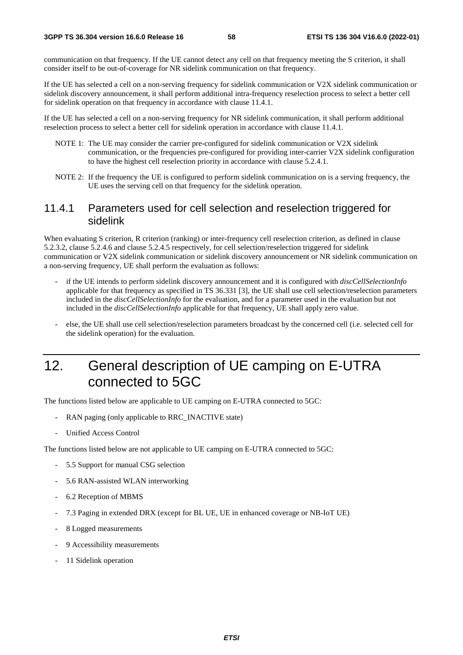communication on that frequency. If the UE cannot detect any cell on that frequency meeting the S criterion, it shall consider itself to be out-of-coverage for NR sidelink communication on that frequency.

If the UE has selected a cell on a non-serving frequency for sidelink communication or V2X sidelink communication or sidelink discovery announcement, it shall perform additional intra-frequency reselection process to select a better cell for sidelink operation on that frequency in accordance with clause 11.4.1.

If the UE has selected a cell on a non-serving frequency for NR sidelink communication, it shall perform additional reselection process to select a better cell for sidelink operation in accordance with clause 11.4.1.

- NOTE 1: The UE may consider the carrier pre-configured for sidelink communication or V2X sidelink communication, or the frequencies pre-configured for providing inter-carrier V2X sidelink configuration to have the highest cell reselection priority in accordance with clause 5.2.4.1.
- NOTE 2: If the frequency the UE is configured to perform sidelink communication on is a serving frequency, the UE uses the serving cell on that frequency for the sidelink operation.

### 11.4.1 Parameters used for cell selection and reselection triggered for sidelink

When evaluating S criterion, R criterion (ranking) or inter-frequency cell reselection criterion, as defined in clause 5.2.3.2, clause 5.2.4.6 and clause 5.2.4.5 respectively, for cell selection/reselection triggered for sidelink communication or V2X sidelink communication or sidelink discovery announcement or NR sidelink communication on a non-serving frequency, UE shall perform the evaluation as follows:

- if the UE intends to perform sidelink discovery announcement and it is configured with *discCellSelectionInfo* applicable for that frequency as specified in TS 36.331 [3], the UE shall use cell selection/reselection parameters included in the *discCellSelectionInfo* for the evaluation, and for a parameter used in the evaluation but not included in the *discCellSelectionInfo* applicable for that frequency, UE shall apply zero value.
- else, the UE shall use cell selection/reselection parameters broadcast by the concerned cell (i.e. selected cell for the sidelink operation) for the evaluation.

## 12. General description of UE camping on E-UTRA connected to 5GC

The functions listed below are applicable to UE camping on E-UTRA connected to 5GC:

- RAN paging (only applicable to RRC\_INACTIVE state)
- Unified Access Control

The functions listed below are not applicable to UE camping on E-UTRA connected to 5GC:

- 5.5 Support for manual CSG selection
- 5.6 RAN-assisted WLAN interworking
- 6.2 Reception of MBMS
- 7.3 Paging in extended DRX (except for BL UE, UE in enhanced coverage or NB-IoT UE)
- 8 Logged measurements
- 9 Accessibility measurements
- 11 Sidelink operation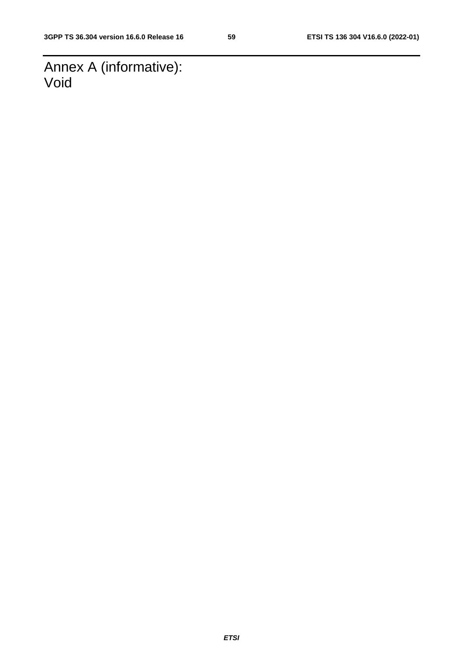Annex A (informative): Void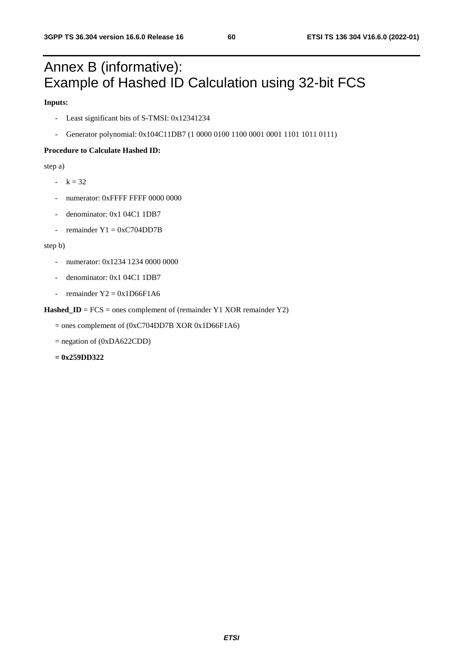## Annex B (informative): Example of Hashed ID Calculation using 32-bit FCS

#### **Inputs:**

- Least significant bits of S-TMSI: 0x12341234
- Generator polynomial: 0x104C11DB7 (1 0000 0100 1100 0001 0001 1101 1011 0111)

#### **Procedure to Calculate Hashed ID:**

step a)

- $-k = 32$
- numerator: 0xFFFF FFFF 0000 0000
- denominator: 0x1 04C1 1DB7
- remainder  $Y1 = 0xC704DD7B$

#### step b)

- numerator: 0x1234 1234 0000 0000
- denominator: 0x1 04C1 1DB7
- remainder  $Y2 = 0x1D66F1A6$

#### Hashed\_ID = FCS = ones complement of (remainder Y1 XOR remainder Y2)

= ones complement of (0xC704DD7B XOR 0x1D66F1A6)

 $=$  negation of (0xDA622CDD)

**= 0x259DD322**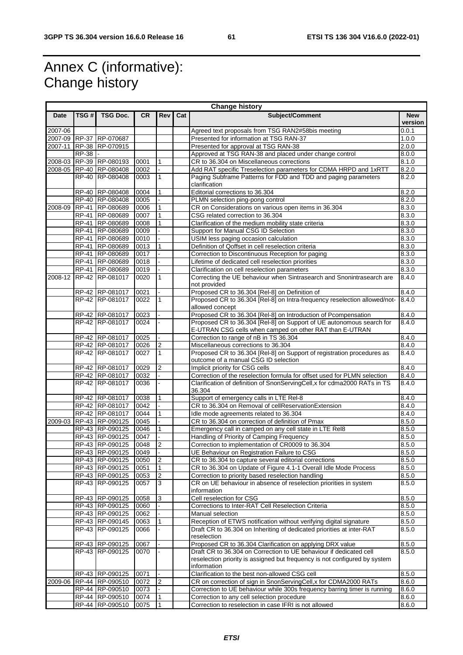## Annex C (informative): Change history

|             | <b>Change history</b> |                                    |              |                |     |                                                                                                                                             |                       |  |  |  |
|-------------|-----------------------|------------------------------------|--------------|----------------|-----|---------------------------------------------------------------------------------------------------------------------------------------------|-----------------------|--|--|--|
| Date        | TSG #                 | TSG Doc.                           | CR.          | <b>Rev</b>     | Cat | Subject/Comment                                                                                                                             | <b>New</b><br>version |  |  |  |
| $2007 - 06$ |                       |                                    |              |                |     | Agreed text proposals from TSG RAN2#58bis meeting                                                                                           | 0.0.1                 |  |  |  |
|             |                       | 2007-09 RP-37 RP-070687            |              |                |     | Presented for information at TSG RAN-37                                                                                                     | 1.0.0                 |  |  |  |
| 2007-11     |                       | RP-38 RP-070915                    |              |                |     | Presented for approval at TSG RAN-38                                                                                                        | 2.0.0                 |  |  |  |
|             | <b>RP-38</b>          |                                    |              |                |     | Approved at TSG RAN-38 and placed under change control                                                                                      | 8.0.0                 |  |  |  |
| 2008-03     |                       | RP-39 RP-080193                    | 0001         | 1              |     | CR to 36.304 on Miscellaneous corrections                                                                                                   | 8.1.0                 |  |  |  |
|             |                       | 2008-05 RP-40 RP-080408            | 0002         |                |     | Add RAT specific Treselection parameters for CDMA HRPD and 1xRTT                                                                            | 8.2.0                 |  |  |  |
|             |                       | RP-40 RP-080408                    | 0003         | 1              |     | Paging Subframe Patterns for FDD and TDD and paging parameters                                                                              | 8.2.0                 |  |  |  |
|             |                       |                                    |              |                |     | clarification                                                                                                                               |                       |  |  |  |
|             |                       | RP-40 RP-080408                    | 0004         |                |     | Editorial corrections to 36.304                                                                                                             | 8.2.0                 |  |  |  |
|             |                       | RP-40 RP-080408                    | 0005         |                |     | PLMN selection ping-pong control                                                                                                            | 8.2.0                 |  |  |  |
| 2008-09     |                       | RP-41 RP-080689                    | 0006         |                |     | CR on Considerations on various open items in 36.304                                                                                        | 8.3.0                 |  |  |  |
|             | <b>RP-41</b>          | RP-080689                          | 0007         |                |     | CSG related correction to 36.304                                                                                                            | 8.3.0                 |  |  |  |
|             |                       | RP-41 RP-080689                    | 0008         |                |     | Clarification of the medium mobility state criteria                                                                                         | 8.3.0                 |  |  |  |
|             |                       | RP-41 RP-080689                    | 0009         |                |     | Support for Manual CSG ID Selection                                                                                                         | 8.3.0                 |  |  |  |
|             | RP-41                 | RP-080689                          | 0010         |                |     | USIM less paging occasion calculation                                                                                                       | 8.3.0                 |  |  |  |
|             |                       | RP-41 RP-080689                    | 0013         |                |     | Definition of Qoffset in cell reselection criteria                                                                                          | 8.3.0                 |  |  |  |
|             | <b>RP-41</b>          | RP-080689                          | 0017         |                |     | Correction to Discontinuous Reception for paging                                                                                            | 8.3.0                 |  |  |  |
|             | RP-41                 | RP-080689                          | 0018         |                |     | Lifetime of dedicated cell reselection priorities                                                                                           | 8.3.0                 |  |  |  |
|             |                       | RP-41 RP-080689                    | 0019         |                |     | Clarification on cell reselection parameters                                                                                                | 8.3.0                 |  |  |  |
| 2008-12     |                       | RP-42 RP-081017                    | 0020         | 1              |     | Correcting the UE behaviour when Sintrasearch and Snonintrasearch are                                                                       | 8.4.0                 |  |  |  |
|             |                       |                                    |              |                |     | not provided                                                                                                                                |                       |  |  |  |
|             |                       | RP-42 RP-081017                    | 0021         |                |     | Proposed CR to 36.304 [Rel-8] on Definition of                                                                                              | 8.4.0                 |  |  |  |
|             |                       | RP-42 RP-081017                    | 0022         | 1              |     | Proposed CR to 36.304 [Rel-8] on Intra-frequency reselection allowed/not-<br>allowed concept                                                | 8.4.0                 |  |  |  |
|             |                       | RP-42 RP-081017                    | 0023         |                |     | Proposed CR to 36.304 [Rel-8] on Introduction of Pcompensation                                                                              | $\overline{8.4.0}$    |  |  |  |
|             |                       | RP-42 RP-081017                    | 0024         |                |     | Proposed CR to 36.304 [Rel-8] on Support of UE autonomous search for                                                                        | 8.4.0                 |  |  |  |
|             |                       |                                    |              |                |     | E-UTRAN CSG cells when camped on other RAT than E-UTRAN                                                                                     |                       |  |  |  |
|             |                       | RP-42 RP-081017                    | 0025         |                |     | Correction to range of nB in TS 36.304                                                                                                      | 8.4.0                 |  |  |  |
|             |                       | RP-42 RP-081017                    | 0026         | $\overline{2}$ |     | Miscellaneous corrections to 36.304                                                                                                         | 8.4.0                 |  |  |  |
|             |                       | RP-42 RP-081017                    | 0027         | 1              |     | Proposed CR to 36.304 [Rel-8] on Support of registration procedures as                                                                      | 8.4.0                 |  |  |  |
|             |                       |                                    |              |                |     | outcome of a manual CSG ID selection                                                                                                        |                       |  |  |  |
|             |                       | RP-42 RP-081017                    | 0029         | $\overline{2}$ |     | Implicit priority for CSG cells                                                                                                             | 8.4.0                 |  |  |  |
|             |                       | RP-42 RP-081017                    | 0032         |                |     | Correction of the reselection formula for offset used for PLMN selection                                                                    | 8.4.0                 |  |  |  |
|             |                       | RP-42 RP-081017                    | 0036         |                |     | Clarification of definition of SnonServingCell, x for cdma2000 RATs in TS                                                                   | 8.4.0                 |  |  |  |
|             |                       |                                    |              |                |     | 36.304                                                                                                                                      |                       |  |  |  |
|             |                       | RP-42 RP-081017                    | 0038         | 1              |     | Support of emergency calls in LTE Rel-8                                                                                                     | 8.4.0                 |  |  |  |
|             |                       | RP-42 RP-081017                    | 0042         |                |     | CR to 36.304 on Removal of cellReservationExtension                                                                                         | 8.4.0                 |  |  |  |
|             |                       | RP-42 RP-081017                    | 0044         | 1              |     | Idle mode agreements related to 36.304                                                                                                      | 8.4.0                 |  |  |  |
| 2009-03     |                       | RP-43 RP-090125                    | 0045         |                |     | CR to 36.304 on correction of definition of Pmax                                                                                            | 8.5.0                 |  |  |  |
|             |                       | RP-43 RP-090125                    | 0046         |                |     | Emergency call in camped on any cell state in LTE Rel8                                                                                      | 8.5.0                 |  |  |  |
|             |                       | RP-43 RP-090125                    | 0047         |                |     | Handling of Priority of Camping Frequency                                                                                                   | 8.5.0                 |  |  |  |
|             |                       | RP-43 RP-090125                    | 0048         | 2              |     | Correction to implementation of CR0009 to 36.304                                                                                            | 8.5.0                 |  |  |  |
|             |                       | RP-43 RP-090125                    | 0049         |                |     | UE Behaviour on Registration Failure to CSG                                                                                                 | 8.5.0                 |  |  |  |
|             |                       | RP-43 RP-090125                    | 0050         | $\overline{c}$ |     | CR to 36.304 to capture several editorial corrections                                                                                       | 8.5.0                 |  |  |  |
|             |                       | RP-43 RP-090125                    | 0051         | 1              |     | CR to 36.304 on Update of Figure 4.1-1 Overall Idle Mode Process                                                                            | 8.5.0                 |  |  |  |
|             |                       | RP-43 RP-090125                    | 0053         | $\overline{2}$ |     | Correction to priority based reselection handling                                                                                           | 8.5.0                 |  |  |  |
|             |                       | RP-43 RP-090125                    | 0057         | 3              |     | CR on UE behaviour in absence of reselection priorities in system                                                                           | 8.5.0                 |  |  |  |
|             |                       |                                    |              |                |     | information                                                                                                                                 |                       |  |  |  |
|             |                       | RP-43 RP-090125                    | 0058         | 3              |     | Cell reselection for CSG                                                                                                                    | 8.5.0                 |  |  |  |
|             |                       | RP-43 RP-090125                    | 0060         |                |     | Corrections to Inter-RAT Cell Reselection Criteria                                                                                          | 8.5.0                 |  |  |  |
|             |                       | RP-43 RP-090125                    | 0062         |                |     | Manual selection                                                                                                                            | 8.5.0                 |  |  |  |
|             |                       | RP-43 RP-090145<br>RP-43 RP-090125 | 0063<br>0066 | 1              |     | Reception of ETWS notification without verifying digital signature<br>Draft CR to 36.304 on Inheriting of dedicated priorities at inter-RAT | 8.5.0<br>8.5.0        |  |  |  |
|             |                       |                                    |              |                |     | reselection                                                                                                                                 |                       |  |  |  |
|             |                       | RP-43 RP-090125                    | 0067         |                |     | Proposed CR to 36.304 Clarification on applying DRX value                                                                                   | 8.5.0                 |  |  |  |
|             |                       | RP-43 RP-090125                    | 0070         |                |     | Draft CR to 36.304 on Correction to UE behaviour if dedicated cell                                                                          | 8.5.0                 |  |  |  |
|             |                       |                                    |              |                |     | reselection priority is assigned but frequency is not configured by system                                                                  |                       |  |  |  |
|             |                       |                                    |              |                |     | information                                                                                                                                 |                       |  |  |  |
|             |                       | RP-43 RP-090125                    | 0071         |                |     | Clarification to the best non-allowed CSG cell                                                                                              | 8.5.0                 |  |  |  |
| 2009-06     |                       | RP-44 RP-090510                    | 0072         | 2              |     | CR on correction of sign in SnonServingCell, x for CDMA2000 RATs                                                                            | 8.6.0                 |  |  |  |
|             |                       | RP-44 RP-090510                    | 0073         |                |     | Correction to UE behaviour while 300s frequency barring timer is running                                                                    | 8.6.0                 |  |  |  |
|             |                       | RP-44 RP-090510                    | 0074         | 1              |     | Correction to any cell selection procedure                                                                                                  | 8.6.0                 |  |  |  |
|             |                       | RP-44 RP-090510                    | 0075         | $\mathbf{1}$   |     | Correction to reselection in case IFRI is not allowed                                                                                       | 8.6.0                 |  |  |  |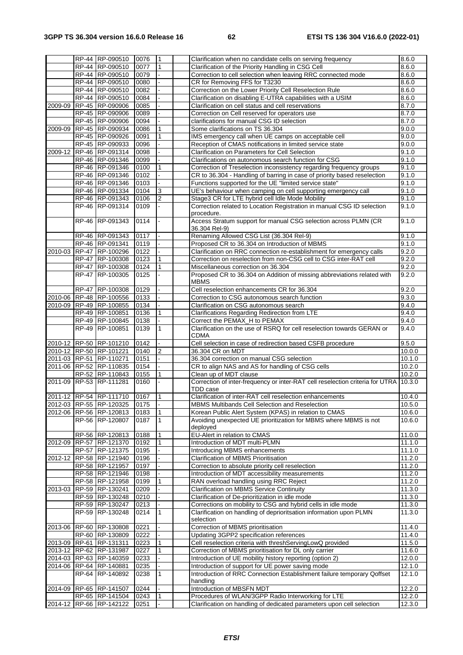|             | RP-44 RP-090510         | 0076 | ۱1             | Clarification when no candidate cells on serving frequency                                | 8.6.0               |
|-------------|-------------------------|------|----------------|-------------------------------------------------------------------------------------------|---------------------|
|             | RP-44 RP-090510         | 0077 | $\mathbf{1}$   | Clarification of the Priority Handling in CSG Cell                                        | 8.6.0               |
|             |                         |      |                |                                                                                           |                     |
|             | RP-44 RP-090510         | 0079 |                | Correction to cell selection when leaving RRC connected mode                              | 8.6.0               |
|             | RP-44 RP-090510         | 0080 |                | CR for Removing FFS for T3230                                                             | 8.6.0               |
|             | RP-44 RP-090510         | 0082 |                | Correction on the Lower Priority Cell Reselection Rule                                    | 8.6.0               |
|             | RP-44 RP-090510         | 0084 |                | Clarification on disabling E-UTRA capabilities with a USIM                                | 8.6.0               |
| 2009-09     | RP-45 RP-090906         | 0085 |                | Clarification on cell status and cell reservations                                        | 8.7.0               |
|             | RP-45 RP-090906         | 0089 |                | Correction on Cell reserved for operators use                                             | 8.7.0               |
|             | RP-45 RP-090906         | 0094 |                | clarifications for manual CSG ID selection                                                | 8.7.0               |
| 2009-09     | RP-45 RP-090934         | 0086 |                | Some clarifications on TS 36.304                                                          | 9.0.0               |
|             | RP-45 RP-090926         | 0091 |                | IMS emergency call when UE camps on acceptable cell                                       | 9.0.0               |
|             | RP-45 RP-090933         |      |                |                                                                                           |                     |
|             |                         | 0096 |                | Reception of CMAS notifications in limited service state                                  | 9.0.0               |
| 2009-12     | RP-46 RP-091314         | 0098 |                | Clarification on Parameters for Cell Selection                                            | 9.1.0               |
|             | RP-46 RP-091346         | 0099 |                | Clarifications on autonomous search function for CSG                                      | 9.1.0               |
|             | RP-46 RP-091346         | 0100 |                | Correction of Treselection inconsistency regarding frequency groups                       | 9.1.0               |
|             | RP-46 RP-091346         | 0102 |                | CR to 36.304 - Handling of barring in case of priority based reselection                  | 9.1.0               |
|             | RP-46 RP-091346         | 0103 |                | Functions supported for the UE "limited service state"                                    | 9.1.0               |
|             | RP-46 RP-091334         | 0104 | 3              | UE's behaviour when camping on cell supporting emergency call                             | 9.1.0               |
|             | RP-46 RP-091343         | 0106 | 2              | Stage3 CR for LTE hybrid cell Idle Mode Mobility                                          | 9.1.0               |
|             | RP-46 RP-091314         | 0109 |                | Correction related to Location Registration in manual CSG ID selection                    | 9.1.0               |
|             |                         |      |                | procedure.                                                                                |                     |
|             | RP-46 RP-091343         | 0114 |                | Access Stratum support for manual CSG selection across PLMN (CR                           | 9.1.0               |
|             | RP-46 RP-091343         | 0117 |                | 36.304 Rel-9)<br>Renaming Allowed CSG List (36.304 Rel-9)                                 |                     |
|             |                         |      |                |                                                                                           | 9.1.0               |
|             | RP-46 RP-091341         | 0119 |                | Proposed CR to 36.304 on Introduction of MBMS                                             | 9.1.0               |
| $2010 - 03$ | RP-47 RP-100296         | 0122 |                | Clarification on RRC connection re-establishment for emergency calls                      | 9.2.0               |
|             | RP-47 RP-100308         | 0123 |                | Correction on reselection from non-CSG cell to CSG inter-RAT cell                         | 9.2.0               |
|             | RP-47 RP-100308         | 0124 | $\mathbf{1}$   | Miscellaneous correction on 36.304                                                        | 9.2.0               |
|             | RP-47 RP-100305         | 0125 |                | Proposed CR to 36.304 on Addition of missing abbreviations related with<br><b>MBMS</b>    | 9.2.0               |
|             | RP-47 RP-100308         | 0129 |                | Cell reselection enhancements CR for 36.304                                               | 9.2.0               |
|             | 2010-06 RP-48 RP-100556 | 0133 |                | Correction to CSG autonomous search function                                              | 9.3.0               |
| 2010-09     | RP-49 RP-100855         | 0134 |                | Clarification on CSG autonomous search                                                    | 9.4.0               |
|             |                         |      |                |                                                                                           |                     |
|             | RP-49 RP-100851         | 0136 | 1              | Clarifications Regarding Redirection from LTE                                             | 9.4.0               |
|             | RP-49 RP-100845         | 0138 |                | Correct the PEMAX_H to PEMAX                                                              | 9.4.0               |
|             | RP-49 RP-100851         | 0139 | $\mathbf{1}$   | Clarification on the use of RSRQ for cell reselection towards GERAN or<br><b>CDMA</b>     | 9.4.0               |
|             | 2010-12 RP-50 RP-101210 | 0142 |                | Cell selection in case of redirection based CSFB procedure                                | 9.5.0               |
|             | 2010-12 RP-50 RP-101221 | 0140 | $\overline{2}$ | 36.304 CR on MDT                                                                          | 10.0.0              |
|             | 2011-03 RP-51 RP-110271 |      |                | 36.304 correction on manual CSG selection                                                 | 10.1.0              |
|             |                         | 0151 |                |                                                                                           |                     |
|             | 2011-06 RP-52 RP-110835 | 0154 |                | CR to align NAS and AS for handling of CSG cells                                          | 10.2.0              |
|             | RP-52 RP-110843         | 0155 | $\mathbf{1}$   | Clean up of MDT clause                                                                    | 10.2.0              |
|             | 2011-09 RP-53 RP-111281 | 0160 |                | Correction of inter-frequency or inter-RAT cell reselection criteria for UTRA<br>TDD case | 10.3.0              |
|             | 2011-12 RP-54 RP-111710 | 0167 | $\mathbf{1}$   | Clarification of inter-RAT cell reselection enhancements                                  | 10.4.0              |
|             |                         |      |                |                                                                                           |                     |
|             | 2012-03 RP-55 RP-120325 | 0175 |                | MBMS Multibands Cell Selection and Reselection                                            | 10.5.0              |
|             | 2012-06 RP-56 RP-120813 | 0183 | $\overline{1}$ | Korean Public Alert System (KPAS) in relation to CMAS                                     | 10.6.0              |
|             | RP-56 RP-120807         | 0187 | I1             | Avoiding unexpected UE prioritization for MBMS where MBMS is not<br>deployed              | 10.6.0              |
|             | RP-56 RP-120813         | 0188 | $\overline{1}$ | EU-Alert in relation to CMAS                                                              | 11.0.0              |
|             | RP-57 RP-121370         |      |                |                                                                                           | 11.1.0              |
| 2012-09     |                         | 0192 |                | Introduction of MDT multi-PLMN                                                            |                     |
|             | RP-57 RP-121375         | 0195 |                | Introducing MBMS enhancements                                                             | 11.1.0              |
| 2012-12     | RP-58 RP-121940         | 0196 |                | Clarification of MBMS Prioritisation                                                      | 11.2.0              |
|             | RP-58 RP-121957         | 0197 |                | Correction to absolute priority cell reselection                                          | 11.2.0              |
|             | RP-58 RP-121946         | 0198 |                | Introduction of MDT accessibility measurements                                            | 11.2.0              |
|             | RP-58 RP-121958         | 0199 |                | RAN overload handling using RRC Reject                                                    | $11.\overline{2.0}$ |
| 2013-03     | RP-59 RP-130241         | 0209 |                | <b>Clarification on MBMS Service Continuity</b>                                           | 11.3.0              |
|             | RP-59 RP-130248         | 0210 |                | Clarification of De-prioritization in idle mode                                           | 11.3.0              |
|             | RP-59 RP-130247         | 0213 |                | Corrections on mobility to CSG and hybrid cells in idle mode                              | 11.3.0              |
|             | RP-59 RP-130248         | 0214 | $\mathbf{1}$   | Clarification on handling of deprioritsation information upon PLMN                        | 11.3.0              |
|             |                         |      |                | selection                                                                                 |                     |
| 2013-06     | RP-60 RP-130808         | 0221 |                | Correction of MBMS prioritisation                                                         | 11.4.0              |
|             | RP-60 RP-130809         | 0222 |                | Updating 3GPP2 specification references                                                   | 11.4.0              |
|             | 2013-09 RP-61 RP-131311 | 0223 | 1              | Cell reselection criteria with threshServingLowQ provided                                 | 11.5.0              |
|             | 2013-12 RP-62 RP-131987 | 0227 | $\mathbf{1}$   | Correction of MBMS prioritisation for DL only carrier                                     | 11.6.0              |
|             | 2014-03 RP-63 RP-140359 | 0233 |                | Introduction of UE mobility history reporting (option 2)                                  | 12.0.0              |
|             | 2014-06 RP-64 RP-140881 | 0235 |                | Introduction of support for UE power saving mode                                          | 12.1.0              |
|             | RP-64 RP-140892         | 0238 | $\mathbf{1}$   | Introduction of RRC Connection Establishment failure temporary Qoffset                    | 12.1.0              |
|             | 2014-09 RP-65 RP-141507 | 0244 |                | handling<br>Introduction of MBSFN MDT                                                     | 12.2.0              |
|             |                         |      |                |                                                                                           |                     |
|             | RP-65 RP-141504         | 0243 | 1              | Procedures of WLAN/3GPP Radio Interworking for LTE                                        | 12.2.0              |
|             | 2014-12 RP-66 RP-142122 | 0251 |                | Clarification on handling of dedicated parameters upon cell selection                     | 12.3.0              |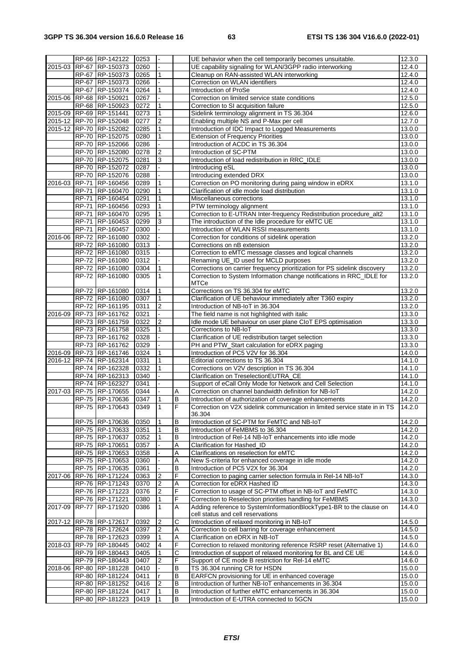|             |              | RP-66 RP-142122                    | 0253         |                |   | UE behavior when the cell temporarily becomes unsuitable.                              | 12.3.0           |
|-------------|--------------|------------------------------------|--------------|----------------|---|----------------------------------------------------------------------------------------|------------------|
| 2015-03     |              | RP-67 RP-150373                    | 0260         |                |   | UE capability signaling for WLAN/3GPP radio interworking                               | 12.4.0           |
|             |              | RP-67 RP-150373                    | 0265         | 1              |   | Cleanup on RAN-assisted WLAN interworking                                              | 12.4.0           |
|             |              | RP-67 RP-150373                    | 0266         |                |   | Correction on WLAN identifiers                                                         | 12.4.0           |
|             |              | RP-67 RP-150374                    | 0264         |                |   | Introduction of ProSe                                                                  | 12.4.0           |
| $2015 - 06$ |              | RP-68 RP-150921                    | 0267         |                |   | Correction on limited service state conditions                                         | 12.5.0           |
|             |              | RP-68 RP-150923                    | 0272         | 1              |   | Correction to SI acquisition failure                                                   | 12.5.0           |
|             |              |                                    |              |                |   |                                                                                        |                  |
|             |              | 2015-09 RP-69 RP-151441            | 0273         | $\mathbf{1}$   |   | Sidelink terminology alignment in TS 36.304                                            | 12.6.0           |
|             |              | 2015-12 RP-70 RP-152048            | 0277         | $\overline{2}$ |   | Enabling multiple NS and P-Max per cell                                                | 12.7.0           |
|             |              | 2015-12 RP-70 RP-152082            | 0285         | 1              |   | Introduction of IDC Impact to Logged Measurements                                      | 13.0.0           |
|             |              | RP-70 RP-152075                    | 0280         | $\mathbf{1}$   |   | <b>Extension of Frequency Priorities</b>                                               | 13.0.0           |
|             |              | RP-70 RP-152066                    | 0286         |                |   | Introduction of ACDC in TS 36.304                                                      | 13.0.0           |
|             |              | RP-70 RP-152080                    | 0278         | 2              |   | Introduction of SC-PTM                                                                 | 13.0.0           |
|             |              | RP-70 RP-152075                    | 0281         | 3              |   | Introduction of load redistribution in RRC_IDLE                                        | 13.0.0           |
|             |              | RP-70 RP-152072                    | 0287         |                |   | Introducing eSL                                                                        | 13.0.0           |
|             |              | RP-70 RP-152076                    | 0288         |                |   | Introducing extended DRX                                                               | 13.0.0           |
| 2016-03     |              | RP-71 RP-160456                    | 0289         |                |   | Correction on PO monitoring during paing window in eDRX                                | 13.1.0           |
|             |              | RP-71 RP-160470                    | 0290         | 1              |   | Clarification of idle mode load distribution                                           | 13.1.0           |
|             | <b>RP-71</b> | RP-160454                          | 0291         | 1              |   | Miscellaneous corrections                                                              | 13.1.0           |
|             |              | RP-71 RP-160456                    | 0293         | 1              |   | PTW terminology alignment                                                              | 13.1.0           |
|             |              | RP-71 RP-160470                    | 0295         |                |   | Correction to E-UTRAN Inter-frequency Redistribution procedure_alt2                    | 13.1.0           |
|             | <b>RP-71</b> | RP-160453                          | 0299         | 3              |   | The introduction of the Idle procedure for eMTC UE                                     | 13.1.0           |
|             |              | RP-71 RP-160457                    | 0300         |                |   | Introduction of WLAN RSSI measurements                                                 | 13.1.0           |
| 2016-06     |              | RP-72 RP-161080                    | 0302         |                |   | Correction for conditions of sidelink operation                                        | 13.2.0           |
|             |              |                                    |              |                |   |                                                                                        |                  |
|             |              | RP-72 RP-161080<br>RP-72 RP-161080 | 0313<br>0315 |                |   | Corrections on nB extension<br>Correction to eMTC message classes and logical channels | 13.2.0<br>13.2.0 |
|             |              |                                    |              |                |   |                                                                                        |                  |
|             |              | RP-72 RP-161080                    | 0312         |                |   | Renaming UE_ID used for MCLD purposes                                                  | 13.2.0           |
|             |              | RP-72 RP-161080                    | 0304         |                |   | Corrections on carrier frequency prioritization for PS sidelink discovery              | 13.2.0           |
|             |              | RP-72 RP-161080                    | 0305         | $\mathbf{1}$   |   | Correction to System Information change notifications in RRC_IDLE for                  | 13.2.0           |
|             |              |                                    |              |                |   | MTCe                                                                                   |                  |
|             |              | RP-72 RP-161080                    | 0314         | 1              |   | Corrections on TS 36.304 for eMTC                                                      | 13.2.0           |
|             |              | RP-72 RP-161080                    | 0307         | $\mathbf{1}$   |   | Clarification of UE behaviour immediately after T360 expiry                            | 13.2.0           |
|             |              | RP-72 RP-161195                    | 0311         | 2              |   | Introduction of NB-IoT in 36.304                                                       | 13.2.0           |
| 2016-09     |              | RP-73 RP-161762                    | 0321         |                |   | The field name is not highlighted with italic                                          | 13.3.0           |
|             |              | RP-73 RP-161759                    | 0322         | $\overline{2}$ |   | Idle mode UE behaviour on user plane CIoT EPS optimisation                             | 13.3.0           |
|             |              | RP-73 RP-161758                    | 0325         | 1              |   | Corrections to NB-IoT                                                                  | 13.3.0           |
|             |              | RP-73 RP-161762                    | 0328         |                |   | Clarification of UE redistribution target selection                                    | 13.3.0           |
|             |              | RP-73 RP-161762                    | 0329         |                |   | PH and PTW_Start calculation for eDRX paging                                           | 13.3.0           |
|             |              | 2016-09 RP-73 RP-161746            | 0324         | 1              |   | Introduction of PC5 V2V for 36.304                                                     | 14.0.0           |
|             |              | 2016-12 RP-74 RP-162314            | 0331         | 1              |   | Editorial corrections to TS 36.304                                                     | 14.1.0           |
|             |              | RP-74 RP-162328                    | 0332         | 1              |   | Corrections on V2V description in TS 36.304                                            | 14.1.0           |
|             |              | RP-74 RP-162313                    | 0340         |                |   | Clarification on TreselectionEUTRA_CE                                                  | 14.1.0           |
|             |              | RP-74 RP-162327                    | 0341         |                |   | Support of eCall Only Mode for Network and Cell Selection                              | 14.1.0           |
| 2017-03     |              | RP-75 RP-170655                    | 0344         |                | Α | Correction on channel bandwidth definition for NB-IoT                                  | 14.2.0           |
|             |              | RP-75 RP-170636                    | 0347         |                | B | Introduction of authorization of coverage enhancements                                 | 14.2.0           |
|             |              | RP-75 RP-170643                    |              | 11             | F |                                                                                        |                  |
|             |              |                                    | 0349         |                |   | Correction on V2X sidelink communication in limited service state in in TS             | 14.2.0           |
|             |              |                                    |              |                |   | 36.304                                                                                 |                  |
|             |              | RP-75 RP-170636                    | 0350         | 1              | B | Introduction of SC-PTM for FeMTC and NB-IoT                                            | 14.2.0           |
|             |              | RP-75 RP-170633                    | 0351         | 1              | B | Introduction of FeMBMS to 36.304                                                       | 14.2.0           |
|             |              | RP-75 RP-170637                    | 0352         |                | В | Introduction of Rel-14 NB-IoT enhancements into idle mode                              | 14.2.0           |
|             |              | RP-75 RP-170651                    | 0357         |                | Α | Clarification for Hashed_ID                                                            | 14.2.0           |
|             |              | RP-75 RP-170653                    | 0358         |                | Α | Clarifications on reselection for eMTC                                                 | 14.2.0           |
|             |              | RP-75 RP-170653                    | 0360         |                | Α | New S-criteria for enhanced coverage in idle mode                                      | 14.2.0           |
|             |              | RP-75 RP-170635                    | 0361         |                | В | Introduction of PC5 V2X for 36.304                                                     | 14.2.0           |
| 2017-06     |              | RP-76 RP-171224                    | 0363         | 2              | F | Correction to paging carrier selection formula in Rel-14 NB-IoT                        | 14.3.0           |
|             |              | RP-76 RP-171243                    | 0370         | 2              | Α | Correction for eDRX Hashed ID                                                          | 14.3.0           |
|             |              | RP-76 RP-171223                    | 0376         | 2              | F | Correction to usage of SC-PTM offset in NB-IoT and FeMTC                               | 14.3.0           |
|             |              | RP-76 RP-171221                    | 0380         |                | F | Correction to Reselection priorities handling for FeMBMS                               | 14.3.0           |
| 2017-09     |              | RP-77 RP-171920                    | 0386         | 1              | A | Adding reference to SystemInformationBlockType1-BR to the clause on                    | 14.4.0           |
|             |              |                                    |              |                |   | cell status and cell reservations                                                      |                  |
|             |              | 2017-12 RP-78 RP-172617            | 0392         | 2              | С | Introduction of relaxed monitoring in NB-IoT                                           | 14.5.0           |
|             |              | RP-78 RP-172624                    | 0397         | 2              | Α | Correction to cell barring for coverage enhancement                                    | 14.5.0           |
|             |              | RP-78 RP-172623                    | 0399         | 1              | Α | Clarification on eDRX in NB-IoT                                                        | 14.5.0           |
|             |              | 2018-03 RP-79 RP-180445            | 0402         | 4              | F | Correction to relaxed monitoring reference RSRP reset (Alternative 1)                  | 14.6.0           |
|             |              | RP-79 RP-180443                    | 0405         |                | С | Introduction of support of relaxed monitoring for BL and CE UE                         | 14.6.0           |
|             |              | RP-79 RP-180443                    | 0407         | 2              | F | Support of CE mode B restriction for Rel-14 eMTC                                       | 14.6.0           |
|             |              | 2018-06 RP-80 RP-181228            | 0410         |                | B | TS 36.304 running CR for HSDN                                                          | 15.0.0           |
|             |              | RP-80 RP-181224                    | 0411         |                | В | EARFCN provisioning for UE in enhanced coverage                                        | 15.0.0           |
|             |              | RP-80 RP-181252                    | 0416         | 2              | В | Introduction of further NB-IoT enhancements in 36.304                                  | 15.0.0           |
|             |              | RP-80 RP-181224                    | 0417         |                | B | Introduction of further eMTC enhancements in 36.304                                    | 15.0.0           |
|             |              | RP-80 RP-181223                    | 0419         |                | В | Introduction of E-UTRA connected to 5GCN                                               | 15.0.0           |
|             |              |                                    |              |                |   |                                                                                        |                  |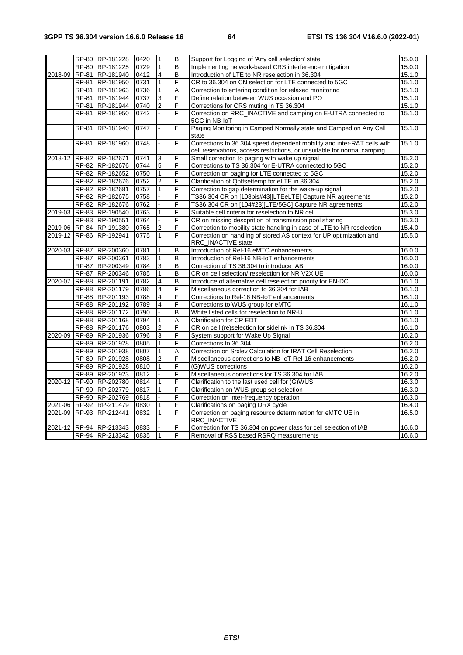|         |              | RP-80 RP-181228         | 0420 | $\vert$ 1      | B | Support for Logging of 'Any cell selection' state                                                                                                   | 15.0.0 |
|---------|--------------|-------------------------|------|----------------|---|-----------------------------------------------------------------------------------------------------------------------------------------------------|--------|
|         |              | RP-80 RP-181225         | 0729 | $\mathbf{1}$   | В | Implementing network-based CRS interference mitigation                                                                                              | 15.0.0 |
| 2018-09 |              | RP-81 RP-181940         | 0412 | 4              | В | Introduction of LTE to NR reselection in 36.304                                                                                                     | 15.1.0 |
|         |              | RP-81 RP-181950         | 0731 | $\mathbf{1}$   | F | CR to 36.304 on CN selection for LTE connected to 5GC                                                                                               | 15.1.0 |
|         |              | RP-81 RP-181963         | 0736 | $\mathbf{1}$   | Α | Correction to entering condition for relaxed monitoring                                                                                             | 15.1.0 |
|         |              | RP-81 RP-181944         | 0737 | 3              | F | Define relation between WUS occasion and PO                                                                                                         | 15.1.0 |
|         |              | RP-81 RP-181944         | 0740 | 2              | F | Corrections for CRS muting in TS 36.304                                                                                                             | 15.1.0 |
|         |              | RP-81 RP-181950         | 0742 |                | F | Correction on RRC_INACTIVE and camping on E-UTRA connected to<br>5GC in NB-IoT                                                                      | 15.1.0 |
|         | <b>RP-81</b> | RP-181940               | 0747 | L.             | F | Paging Monitoring in Camped Normally state and Camped on Any Cell<br>state                                                                          | 15.1.0 |
|         |              | RP-81 RP-181960         | 0748 |                | F | Corrections to 36.304 speed dependent mobility and inter-RAT cells with<br>cell reservations, access restrictions, or unsuitable for normal camping | 15.1.0 |
|         |              | 2018-12 RP-82 RP-182671 | 0741 | 3              | F | Small correction to paging with wake up signal                                                                                                      | 15.2.0 |
|         |              | RP-82 RP-182676         | 0744 | $\overline{5}$ | F | Corrections to TS 36.304 for E-UTRA connected to 5GC                                                                                                | 15.2.0 |
|         |              | RP-82 RP-182652         | 0750 | $\mathbf{1}$   | F | Correction on paging for LTE connected to 5GC                                                                                                       | 15.2.0 |
|         |              | RP-82 RP-182676         | 0752 | $\overline{2}$ | F | Clarification of Qoffsettemp for eLTE in 36.304                                                                                                     | 15.2.0 |
|         |              | RP-82 RP-182681         | 0757 | 1              | F | Correction to gap determination for the wake-up signal                                                                                              | 15.2.0 |
|         |              | RP-82 RP-182675         | 0758 |                | F | TS36.304 CR on [103bis#43][LTEeLTE] Capture NR agreements                                                                                           | 15.2.0 |
|         |              | RP-82 RP-182676         | 0762 |                | F | TS36.304 CR on [104#23][LTE/5GC] Capture NR agreements                                                                                              | 15.2.0 |
| 2019-03 |              | RP-83 RP-190540         | 0763 | $\mathbf{1}$   | F | Suitable cell criteria for reselection to NR cell                                                                                                   | 15.3.0 |
|         |              | RP-83 RP-190551         | 0764 |                | F | CR on missing descprition of transmission pool sharing                                                                                              | 15.3.0 |
| 2019-06 |              | RP-84 RP-191380         | 0765 | $\overline{2}$ | F | Correction to mobility state handling in case of LTE to NR reselection                                                                              | 15.4.0 |
| 2019-12 |              | <b>RP-86 RP-192941</b>  | 0775 | $\mathbf{1}$   | F | Correction on handling of stored AS context for UP optimization and<br>RRC_INACTIVE state                                                           | 15.5.0 |
| 2020-03 |              | RP-87 RP-200360         | 0781 | 1              | B | Introduction of Rel-16 eMTC enhancements                                                                                                            | 16.0.0 |
|         |              | RP-87 RP-200361         | 0783 | $\mathbf{1}$   | B | Introduction of Rel-16 NB-IoT enhancements                                                                                                          | 16.0.0 |
|         |              | RP-87 RP-200349         | 0784 | 3              | B | Correction of TS 36.304 to introduce IAB                                                                                                            | 16.0.0 |
|         |              | RP-87 RP-200346         | 0785 | $\mathbf{1}$   | B | CR on cell selection/ reselection for NR V2X UE                                                                                                     | 16.0.0 |
| 2020-07 |              | RP-88 RP-201191         | 0782 | $\overline{4}$ | B | Introduce of alternative cell reselection priority for EN-DC                                                                                        | 16.1.0 |
|         |              | RP-88 RP-201179         | 0786 | $\overline{4}$ | F | Miscellaneous correction to 36.304 for IAB                                                                                                          | 16.1.0 |
|         |              | RP-88 RP-201193         | 0788 | $\overline{4}$ | F | Corrections to Rel-16 NB-IoT enhancements                                                                                                           | 16.1.0 |
|         |              | RP-88 RP-201192         | 0789 | $\overline{4}$ | F | Corrections to WUS group for eMTC                                                                                                                   | 16.1.0 |
|         |              | RP-88 RP-201172         | 0790 |                | B | White listed cells for reselection to NR-U                                                                                                          | 16.1.0 |
|         |              | RP-88 RP-201168         | 0794 | $\mathbf{1}$   | A | <b>Clarification for CP EDT</b>                                                                                                                     | 16.1.0 |
|         |              | RP-88 RP-201176         | 0803 | $\overline{2}$ | F | CR on cell (re)selection for sidelink in TS 36.304                                                                                                  | 16.1.0 |
| 2020-09 |              | RP-89 RP-201936         | 0796 | $\overline{3}$ | F | System support for Wake Up Signal                                                                                                                   | 16.2.0 |
|         |              | RP-89 RP-201928         | 0805 | $\mathbf{1}$   | F | Corrections to 36.304                                                                                                                               | 16.2.0 |
|         |              | RP-89 RP-201938         | 0807 | $\mathbf{1}$   | A | Correction on Srxlev Calculation for IRAT Cell Reselection                                                                                          | 16.2.0 |
|         |              | RP-89 RP-201928         | 0808 | $\overline{2}$ | F | Miscellaneous corrections to NB-IoT Rel-16 enhancements                                                                                             | 16.2.0 |
|         |              | RP-89 RP-201928         | 0810 | $\mathbf{1}$   | F | (G)WUS corrections                                                                                                                                  | 16.2.0 |
|         |              | RP-89 RP-201923         | 0812 |                | F | Miscellaneous corrections for TS 36.304 for IAB                                                                                                     | 16.2.0 |
| 2020-12 |              | RP-90 RP-202780         | 0814 | $\mathbf{1}$   | F | Clarification to the last used cell for (G)WUS                                                                                                      | 16.3.0 |
|         |              | RP-90 RP-202779         | 0817 | 1              | F | Clarification on WUS group set selection                                                                                                            | 16.3.0 |
|         |              | RP-90 RP-202769         | 0818 |                | F | Correction on inter-frequency operation                                                                                                             | 16.3.0 |
| 2021-06 |              | RP-92 RP-211479         | 0830 | 1              | F | Clarifications on paging DRX cycle                                                                                                                  | 16.4.0 |
| 2021-09 |              | RP-93 RP-212441         | 0832 | $\mathbf{1}$   | F | Correction on paging resource determination for eMTC UE in<br>RRC_INACTIVE                                                                          | 16.5.0 |
| 2021-12 |              | RP-94 RP-213343         | 0833 |                | F | Correction for TS 36.304 on power class for cell selection of IAB                                                                                   | 16.6.0 |
|         |              | RP-94 RP-213342         | 0835 | I1             | F | Removal of RSS based RSRQ measurements                                                                                                              | 16.6.0 |